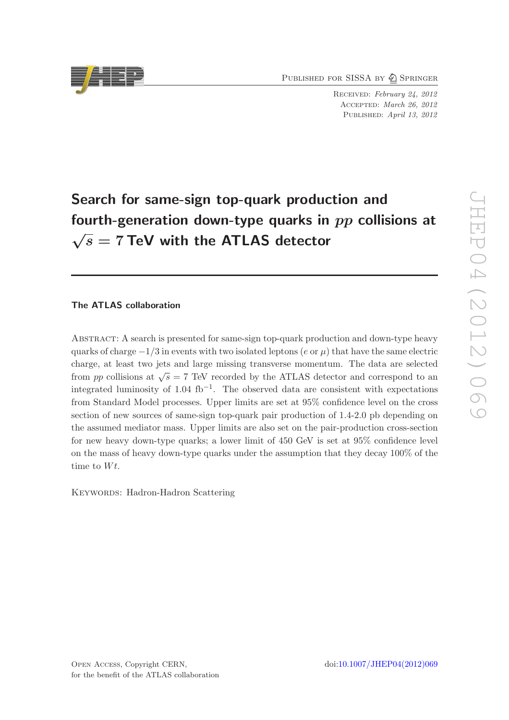PUBLISHED FOR SISSA BY 2 SPRINGER

Received: February 24, 2012 Accepted: March 26, 2012 PUBLISHED: April 13, 2012

# Search for same-sign top-quark production and fourth-generation down-type quarks in  $pp$  collisions at  $\sqrt{s}$  = 7 TeV with the ATLAS detector

# The ATLAS collaboration

Abstract: A search is presented for same-sign top-quark production and down-type heavy quarks of charge  $-1/3$  in events with two isolated leptons (e or  $\mu$ ) that have the same electric charge, at least two jets and large missing transverse momentum. The data are selected from pp collisions at  $\sqrt{s} = 7$  TeV recorded by the ATLAS detector and correspond to an integrated luminosity of 1.04 fb<sup>-1</sup>. The observed data are consistent with expectations from Standard Model processes. Upper limits are set at 95% confidence level on the cross section of new sources of same-sign top-quark pair production of 1.4-2.0 pb depending on the assumed mediator mass. Upper limits are also set on the pair-production cross-section for new heavy down-type quarks; a lower limit of 450 GeV is set at 95% confidence level on the mass of heavy down-type quarks under the assumption that they decay 100% of the time to  $Wt$ .

KEYWORDS: Hadron-Hadron Scattering

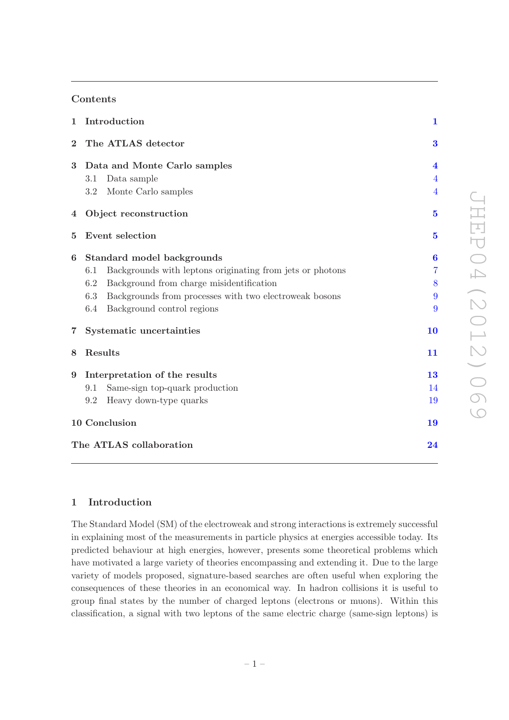# Contents

| $\mathbf 1$             | Introduction                                                     | $\mathbf{1}$            |  |
|-------------------------|------------------------------------------------------------------|-------------------------|--|
| $\bf{2}$                | The ATLAS detector                                               |                         |  |
| 3                       | Data and Monte Carlo samples                                     | $\overline{\mathbf{4}}$ |  |
|                         | Data sample<br>3.1                                               | $\overline{4}$          |  |
|                         | Monte Carlo samples<br>3.2                                       | $\overline{4}$          |  |
| 4                       | Object reconstruction                                            | $\bf{5}$                |  |
| 5                       | Event selection                                                  | $5\overline{a}$         |  |
| 6                       | Standard model backgrounds                                       | $\bf{6}$                |  |
|                         | Backgrounds with leptons originating from jets or photons<br>6.1 | $\overline{7}$          |  |
|                         | 6.2<br>Background from charge misidentification                  | 8                       |  |
|                         | Backgrounds from processes with two electroweak bosons<br>6.3    | 9                       |  |
|                         | 6.4<br>Background control regions                                | 9                       |  |
| $\overline{7}$          | Systematic uncertainties                                         | 10                      |  |
| 8                       | Results                                                          | 11                      |  |
| 9                       | Interpretation of the results                                    | 13                      |  |
|                         | Same-sign top-quark production<br>9.1                            | 14                      |  |
|                         | Heavy down-type quarks<br>9.2                                    | 19                      |  |
|                         | 10 Conclusion                                                    | 19                      |  |
| The ATLAS collaboration |                                                                  |                         |  |
|                         |                                                                  |                         |  |

# <span id="page-1-0"></span>1 Introduction

The Standard Model (SM) of the electroweak and strong interactions is extremely successful in explaining most of the measurements in particle physics at energies accessible today. Its predicted behaviour at high energies, however, presents some theoretical problems which have motivated a large variety of theories encompassing and extending it. Due to the large variety of models proposed, signature-based searches are often useful when exploring the consequences of these theories in an economical way. In hadron collisions it is useful to group final states by the number of charged leptons (electrons or muons). Within this classification, a signal with two leptons of the same electric charge (same-sign leptons) is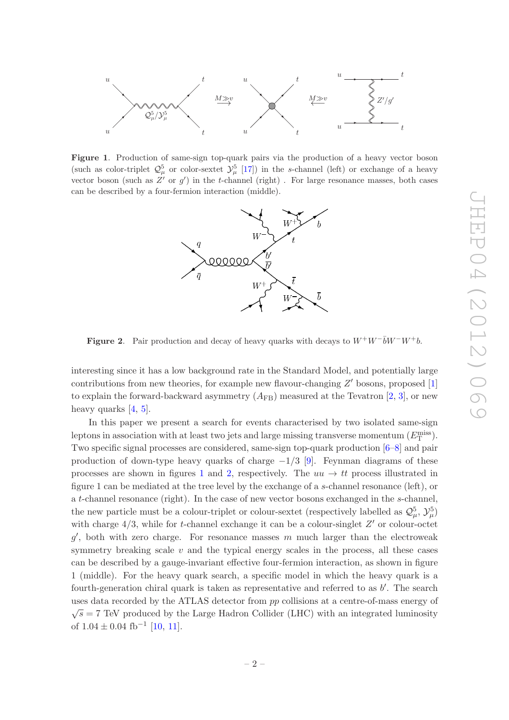

<span id="page-2-0"></span>Figure 1. Production of same-sign top-quark pairs via the production of a heavy vector boson (such as color-triplet  $\mathcal{Q}_{\mu}^{5}$  or color-sextet  $\mathcal{Y}_{\mu}^{5}$  [\[17\]](#page-21-0)) in the s-channel (left) or exchange of a heavy vector boson (such as  $Z'$  or  $g'$ ) in the t-channel (right). For large resonance masses, both cases can be described by a four-fermion interaction (middle).



<span id="page-2-1"></span>Figure 2. Pair production and decay of heavy quarks with decays to  $W^+W^-\bar{b}W^-W^+b$ .

interesting since it has a low background rate in the Standard Model, and potentially large contributions from new theories, for example new flavour-changing  $Z'$  bosons, proposed  $[1]$ to explain the forward-backward asymmetry  $(A_{FB})$  measured at the Tevatron [\[2,](#page-20-1) [3](#page-20-2)], or new heavy quarks [\[4](#page-20-3), [5](#page-20-4)].

In this paper we present a search for events characterised by two isolated same-sign leptons in association with at least two jets and large missing transverse momentum  $(E_{\text{T}}^{\text{miss}})$ . Two specific signal processes are considered, same-sign top-quark production [\[6](#page-20-5)[–8\]](#page-21-1) and pair production of down-type heavy quarks of charge  $-1/3$  [\[9\]](#page-21-2). Feynman diagrams of these processes are shown in figures [1](#page-2-0) and [2,](#page-2-1) respectively. The  $uu \rightarrow tt$  process illustrated in figure 1 can be mediated at the tree level by the exchange of a s-channel resonance (left), or a t-channel resonance (right). In the case of new vector bosons exchanged in the s-channel, the new particle must be a colour-triplet or colour-sextet (respectively labelled as  $\mathcal{Q}_\mu^5$ ,  $\mathcal{Y}_\mu^5$ ) with charge  $4/3$ , while for t-channel exchange it can be a colour-singlet  $Z'$  or colour-octet  $g'$ , both with zero charge. For resonance masses m much larger than the electroweak symmetry breaking scale  $v$  and the typical energy scales in the process, all these cases can be described by a gauge-invariant effective four-fermion interaction, as shown in figure 1 (middle). For the heavy quark search, a specific model in which the heavy quark is a fourth-generation chiral quark is taken as representative and referred to as  $b'$ . The search uses data recorded by the ATLAS detector from pp collisions at a centre-of-mass energy of  $\sqrt{s}$  = 7 TeV produced by the Large Hadron Collider (LHC) with an integrated luminosity of  $1.04 \pm 0.04$  fb<sup>-1</sup> [\[10,](#page-21-3) [11](#page-21-4)].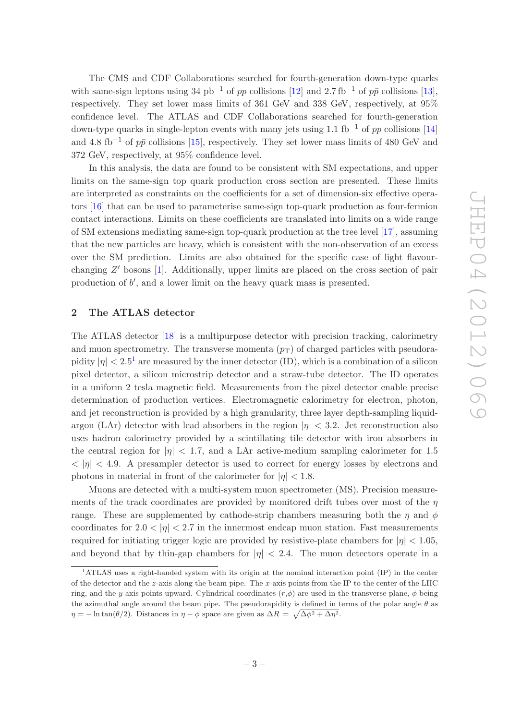The CMS and CDF Collaborations searched for fourth-generation down-type quarks with same-sign leptons using 34 pb<sup>-1</sup> of pp collisions [\[12\]](#page-21-5) and 2.7 fb<sup>-1</sup> of pp collisions [\[13\]](#page-21-6), respectively. They set lower mass limits of 361 GeV and 338 GeV, respectively, at 95% confidence level. The ATLAS and CDF Collaborations searched for fourth-generation down-type quarks in single-lepton events with many jets using 1.1 fb<sup>-1</sup> of pp collisions [\[14\]](#page-21-7) and 4.8 fb<sup>-1</sup> of  $p\bar{p}$  collisions [\[15\]](#page-21-8), respectively. They set lower mass limits of 480 GeV and 372 GeV, respectively, at 95% confidence level.

In this analysis, the data are found to be consistent with SM expectations, and upper limits on the same-sign top quark production cross section are presented. These limits are interpreted as constraints on the coefficients for a set of dimension-six effective operators [\[16\]](#page-21-9) that can be used to parameterise same-sign top-quark production as four-fermion contact interactions. Limits on these coefficients are translated into limits on a wide range of SM extensions mediating same-sign top-quark production at the tree level [\[17](#page-21-0)], assuming that the new particles are heavy, which is consistent with the non-observation of an excess over the SM prediction. Limits are also obtained for the specific case of light flavourchanging  $Z'$  bosons [\[1\]](#page-20-0). Additionally, upper limits are placed on the cross section of pair production of b', and a lower limit on the heavy quark mass is presented.

# <span id="page-3-0"></span>2 The ATLAS detector

The ATLAS detector [\[18](#page-21-10)] is a multipurpose detector with precision tracking, calorimetry and muon spectrometry. The transverse momenta  $(p_T)$  of charged particles with pseudorapidity  $|\eta| < 2.5^1$  $|\eta| < 2.5^1$  are measured by the inner detector (ID), which is a combination of a silicon pixel detector, a silicon microstrip detector and a straw-tube detector. The ID operates in a uniform 2 tesla magnetic field. Measurements from the pixel detector enable precise determination of production vertices. Electromagnetic calorimetry for electron, photon, and jet reconstruction is provided by a high granularity, three layer depth-sampling liquidargon (LAr) detector with lead absorbers in the region  $|\eta| < 3.2$ . Jet reconstruction also uses hadron calorimetry provided by a scintillating tile detector with iron absorbers in the central region for  $|\eta| < 1.7$ , and a LAr active-medium sampling calorimeter for 1.5  $<|\eta|<4.9$ . A presampler detector is used to correct for energy losses by electrons and photons in material in front of the calorimeter for  $|\eta| < 1.8$ .

Muons are detected with a multi-system muon spectrometer (MS). Precision measurements of the track coordinates are provided by monitored drift tubes over most of the  $\eta$ range. These are supplemented by cathode-strip chambers measuring both the  $\eta$  and  $\phi$ coordinates for  $2.0 < |\eta| < 2.7$  in the innermost endcap muon station. Fast measurements required for initiating trigger logic are provided by resistive-plate chambers for  $|\eta| < 1.05$ , and beyond that by thin-gap chambers for  $|\eta| < 2.4$ . The muon detectors operate in a

<span id="page-3-1"></span><sup>1</sup>ATLAS uses a right-handed system with its origin at the nominal interaction point (IP) in the center of the detector and the z-axis along the beam pipe. The x-axis points from the IP to the center of the LHC ring, and the y-axis points upward. Cylindrical coordinates  $(r, \phi)$  are used in the transverse plane,  $\phi$  being the azimuthal angle around the beam pipe. The pseudorapidity is defined in terms of the polar angle  $\theta$  as  $\eta = -\ln \tan(\theta/2)$ . Distances in  $\eta - \phi$  space are given as  $\Delta R = \sqrt{\Delta \phi^2 + \Delta \eta^2}$ .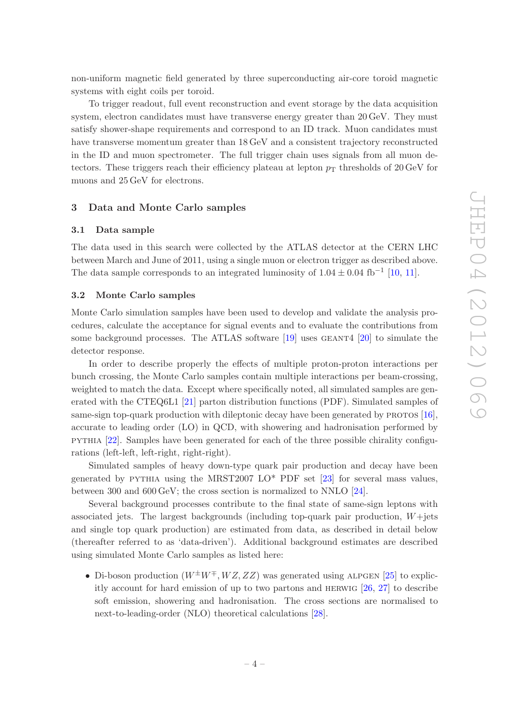non-uniform magnetic field generated by three superconducting air-core toroid magnetic systems with eight coils per toroid.

To trigger readout, full event reconstruction and event storage by the data acquisition system, electron candidates must have transverse energy greater than  $20 \,\text{GeV}$ . They must satisfy shower-shape requirements and correspond to an ID track. Muon candidates must have transverse momentum greater than 18 GeV and a consistent trajectory reconstructed in the ID and muon spectrometer. The full trigger chain uses signals from all muon detectors. These triggers reach their efficiency plateau at lepton  $p<sub>T</sub>$  thresholds of 20 GeV for muons and 25 GeV for electrons.

#### <span id="page-4-1"></span><span id="page-4-0"></span>3 Data and Monte Carlo samples

#### 3.1 Data sample

The data used in this search were collected by the ATLAS detector at the CERN LHC between March and June of 2011, using a single muon or electron trigger as described above. The data sample corresponds to an integrated luminosity of  $1.04 \pm 0.04$  fb<sup>-1</sup> [\[10](#page-21-3), [11\]](#page-21-4).

## <span id="page-4-2"></span>3.2 Monte Carlo samples

Monte Carlo simulation samples have been used to develop and validate the analysis procedures, calculate the acceptance for signal events and to evaluate the contributions from some background processes. The ATLAS software  $[19]$  uses GEANT4  $[20]$  to simulate the detector response.

In order to describe properly the effects of multiple proton-proton interactions per bunch crossing, the Monte Carlo samples contain multiple interactions per beam-crossing, weighted to match the data. Except where specifically noted, all simulated samples are generated with the CTEQ6L1 [\[21](#page-21-13)] parton distribution functions (PDF). Simulated samples of same-sign top-quark production with dileptonic decay have been generated by  $PROTOS [16]$  $PROTOS [16]$ , accurate to leading order (LO) in QCD, with showering and hadronisation performed by pythia [\[22\]](#page-21-14). Samples have been generated for each of the three possible chirality configurations (left-left, left-right, right-right).

Simulated samples of heavy down-type quark pair production and decay have been generated by PYTHIA using the MRST2007  $LO^*$  PDF set [\[23](#page-22-0)] for several mass values, between 300 and 600 GeV; the cross section is normalized to NNLO [\[24](#page-22-1)].

Several background processes contribute to the final state of same-sign leptons with associated jets. The largest backgrounds (including top-quark pair production,  $W +$ jets and single top quark production) are estimated from data, as described in detail below (thereafter referred to as 'data-driven'). Additional background estimates are described using simulated Monte Carlo samples as listed here:

• Di-boson production  $(W^{\pm}W^{\mp}, WZ, ZZ)$  was generated using ALPGEN [\[25](#page-22-2)] to explicitly account for hard emission of up to two partons and herwig [\[26,](#page-22-3) [27](#page-22-4)] to describe soft emission, showering and hadronisation. The cross sections are normalised to next-to-leading-order (NLO) theoretical calculations [\[28\]](#page-22-5).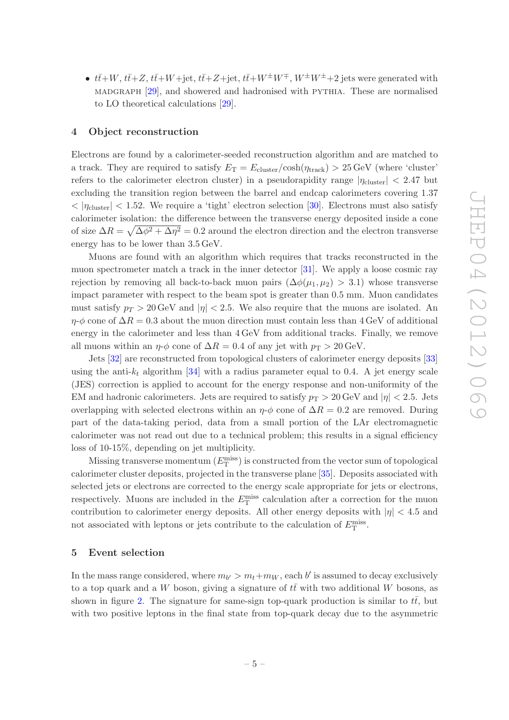•  $t\bar{t}+W$ ,  $t\bar{t}+Z$ ,  $t\bar{t}+W+\text{jet}$ ,  $t\bar{t}+Z+\text{jet}$ ,  $t\bar{t}+W^{\pm}W^{\mp}$ ,  $W^{\pm}W^{\pm}+2$  jets were generated with madgraph [\[29](#page-22-6)], and showered and hadronised with pythia. These are normalised to LO theoretical calculations [\[29](#page-22-6)].

### <span id="page-5-0"></span>4 Object reconstruction

Electrons are found by a calorimeter-seeded reconstruction algorithm and are matched to a track. They are required to satisfy  $E_T = E_{\text{cluster}}/\text{cosh}(\eta_{\text{track}}) > 25 \,\text{GeV}$  (where 'cluster' refers to the calorimeter electron cluster) in a pseudorapidity range  $|\eta_{\text{cluster}}| < 2.47$  but excluding the transition region between the barrel and endcap calorimeters covering 1.37  $< |\eta_{\text{cluster}}| < 1.52$ . We require a 'tight' electron selection [\[30\]](#page-22-7). Electrons must also satisfy calorimeter isolation: the difference between the transverse energy deposited inside a cone of size  $\Delta R = \sqrt{\Delta \phi^2 + \Delta \eta^2} = 0.2$  around the electron direction and the electron transverse energy has to be lower than 3.5 GeV.

Muons are found with an algorithm which requires that tracks reconstructed in the muon spectrometer match a track in the inner detector [\[31](#page-22-8)]. We apply a loose cosmic ray rejection by removing all back-to-back muon pairs  $(\Delta\phi(\mu_1, \mu_2) > 3.1)$  whose transverse impact parameter with respect to the beam spot is greater than 0.5 mm. Muon candidates must satisfy  $p_T > 20$  GeV and  $|\eta| < 2.5$ . We also require that the muons are isolated. An  $\eta$ - $\phi$  cone of  $\Delta R = 0.3$  about the muon direction must contain less than 4 GeV of additional energy in the calorimeter and less than 4 GeV from additional tracks. Finally, we remove all muons within an  $\eta$ - $\phi$  cone of  $\Delta R = 0.4$  of any jet with  $p_T > 20 \,\text{GeV}$ .

Jets [\[32\]](#page-22-9) are reconstructed from topological clusters of calorimeter energy deposits [\[33\]](#page-22-10) using the anti- $k_t$  algorithm [\[34](#page-22-11)] with a radius parameter equal to 0.4. A jet energy scale (JES) correction is applied to account for the energy response and non-uniformity of the EM and hadronic calorimeters. Jets are required to satisfy  $p_T > 20 \,\text{GeV}$  and  $|\eta| < 2.5$ . Jets overlapping with selected electrons within an  $\eta$ - $\phi$  cone of  $\Delta R = 0.2$  are removed. During part of the data-taking period, data from a small portion of the LAr electromagnetic calorimeter was not read out due to a technical problem; this results in a signal efficiency loss of 10-15%, depending on jet multiplicity.

Missing transverse momentum  $(E_{\textrm{T}}^{\textrm{miss}})$  is constructed from the vector sum of topological calorimeter cluster deposits, projected in the transverse plane [\[35](#page-22-12)]. Deposits associated with selected jets or electrons are corrected to the energy scale appropriate for jets or electrons, respectively. Muons are included in the  $E_{\rm T}^{\rm miss}$  calculation after a correction for the muon contribution to calorimeter energy deposits. All other energy deposits with  $|\eta| < 4.5$  and not associated with leptons or jets contribute to the calculation of  $E_{\rm T}^{\rm miss}$ .

## <span id="page-5-1"></span>5 Event selection

In the mass range considered, where  $m_{b'} > m_t + m_W$ , each b' is assumed to decay exclusively to a top quark and a W boson, giving a signature of  $t\bar{t}$  with two additional W bosons, as shown in figure [2.](#page-2-1) The signature for same-sign top-quark production is similar to  $t\bar{t}$ , but with two positive leptons in the final state from top-quark decay due to the asymmetric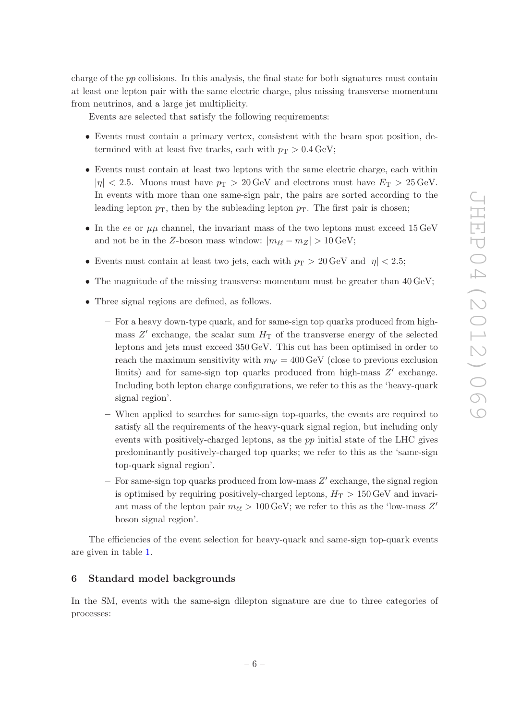charge of the pp collisions. In this analysis, the final state for both signatures must contain at least one lepton pair with the same electric charge, plus missing transverse momentum from neutrinos, and a large jet multiplicity.

Events are selected that satisfy the following requirements:

- Events must contain a primary vertex, consistent with the beam spot position, determined with at least five tracks, each with  $p_T > 0.4 \,\text{GeV}$ ;
- Events must contain at least two leptons with the same electric charge, each within  $|\eta| < 2.5$ . Muons must have  $p_T > 20 \,\text{GeV}$  and electrons must have  $E_T > 25 \,\text{GeV}$ . In events with more than one same-sign pair, the pairs are sorted according to the leading lepton  $p<sub>T</sub>$ , then by the subleading lepton  $p<sub>T</sub>$ . The first pair is chosen;
- In the ee or  $\mu\mu$  channel, the invariant mass of the two leptons must exceed 15 GeV and not be in the Z-boson mass window:  $|m_{\ell\ell} - m_Z| > 10 \,\text{GeV}$ ;
- Events must contain at least two jets, each with  $p_T > 20 \,\text{GeV}$  and  $|\eta| < 2.5$ ;
- The magnitude of the missing transverse momentum must be greater than 40 GeV;
- Three signal regions are defined, as follows.
	- For a heavy down-type quark, and for same-sign top quarks produced from highmass  $Z'$  exchange, the scalar sum  $H<sub>T</sub>$  of the transverse energy of the selected leptons and jets must exceed 350 GeV. This cut has been optimised in order to reach the maximum sensitivity with  $m_{b'} = 400 \,\text{GeV}$  (close to previous exclusion limits) and for same-sign top quarks produced from high-mass  $Z'$  exchange. Including both lepton charge configurations, we refer to this as the 'heavy-quark signal region'.
	- When applied to searches for same-sign top-quarks, the events are required to satisfy all the requirements of the heavy-quark signal region, but including only events with positively-charged leptons, as the pp initial state of the LHC gives predominantly positively-charged top quarks; we refer to this as the 'same-sign top-quark signal region'.
	- $-$  For same-sign top quarks produced from low-mass  $Z'$  exchange, the signal region is optimised by requiring positively-charged leptons,  $H_T > 150 \,\text{GeV}$  and invariant mass of the lepton pair  $m_{\ell\ell} > 100 \,\text{GeV}$ ; we refer to this as the 'low-mass Z' boson signal region'.

The efficiencies of the event selection for heavy-quark and same-sign top-quark events are given in table [1.](#page-7-1)

## <span id="page-6-0"></span>6 Standard model backgrounds

In the SM, events with the same-sign dilepton signature are due to three categories of processes: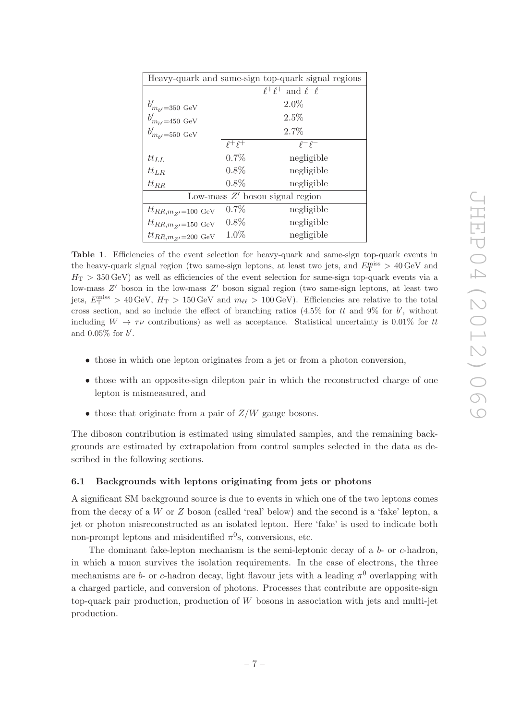| Heavy-quark and same-sign top-quark signal regions |                                   |                                   |  |  |  |
|----------------------------------------------------|-----------------------------------|-----------------------------------|--|--|--|
|                                                    | $\ell^+\ell^+$ and $\ell^-\ell^-$ |                                   |  |  |  |
| $b'_{m_{h'}=350 \text{ GeV}}$                      |                                   | $2.0\%$                           |  |  |  |
| $b'_{m_{h'}=450 \text{ GeV}}$                      |                                   | 2.5%                              |  |  |  |
| $b'_{m_{h'}=550 \text{ GeV}}$                      |                                   | 2.7%                              |  |  |  |
|                                                    | $\ell^+ \ell^+$                   | $\rho-\rho-$                      |  |  |  |
| $tt_{LL}$                                          | 0.7%                              | negligible                        |  |  |  |
| $tt_{LR}$                                          | $0.8\%$                           | negligible                        |  |  |  |
| $tt_{RR}$                                          | $0.8\%$                           | negligible                        |  |  |  |
|                                                    |                                   | Low-mass $Z'$ boson signal region |  |  |  |
| $tt_{RR,m_Z=100}$ GeV                              | 0.7%                              | negligible                        |  |  |  |
| $tt_{RR,m_Z=150}$ GeV                              | $0.8\%$                           | negligible                        |  |  |  |
| $tt_{RR,m_Z=200~\text{GeV}}$                       | $1.0\%$                           | negligible                        |  |  |  |

<span id="page-7-1"></span>Table 1. Efficiencies of the event selection for heavy-quark and same-sign top-quark events in the heavy-quark signal region (two same-sign leptons, at least two jets, and  $E_{\rm T}^{\rm miss} > 40\,\rm GeV$  and  $H<sub>T</sub> > 350 \,\text{GeV}$  as well as efficiencies of the event selection for same-sign top-quark events via a low-mass Z' boson in the low-mass Z' boson signal region (two same-sign leptons, at least two jets,  $E_{\rm T}^{\rm miss} > 40 \,\text{GeV}, H_{\rm T} > 150 \,\text{GeV}$  and  $m_{\ell\ell} > 100 \,\text{GeV}$ ). Efficiencies are relative to the total cross section, and so include the effect of branching ratios  $(4.5\%$  for tt and 9% for b', without including  $W \to \tau \nu$  contributions) as well as acceptance. Statistical uncertainty is 0.01% for tt and  $0.05\%$  for  $b'$ .

- those in which one lepton originates from a jet or from a photon conversion,
- those with an opposite-sign dilepton pair in which the reconstructed charge of one lepton is mismeasured, and
- those that originate from a pair of  $Z/W$  gauge bosons.

The diboson contribution is estimated using simulated samples, and the remaining backgrounds are estimated by extrapolation from control samples selected in the data as described in the following sections.

#### <span id="page-7-0"></span>6.1 Backgrounds with leptons originating from jets or photons

A significant SM background source is due to events in which one of the two leptons comes from the decay of a  $W$  or  $Z$  boson (called 'real' below) and the second is a 'fake' lepton, a jet or photon misreconstructed as an isolated lepton. Here 'fake' is used to indicate both non-prompt leptons and misidentified  $\pi^0$ s, conversions, etc.

The dominant fake-lepton mechanism is the semi-leptonic decay of a  $b$ - or  $c$ -hadron, in which a muon survives the isolation requirements. In the case of electrons, the three mechanisms are b- or c-hadron decay, light flavour jets with a leading  $\pi^0$  overlapping with a charged particle, and conversion of photons. Processes that contribute are opposite-sign top-quark pair production, production of W bosons in association with jets and multi-jet production.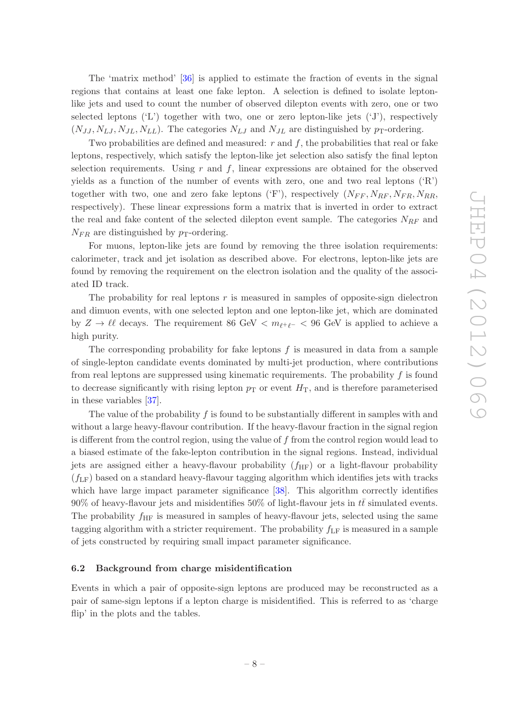The 'matrix method' [\[36](#page-22-13)] is applied to estimate the fraction of events in the signal regions that contains at least one fake lepton. A selection is defined to isolate leptonlike jets and used to count the number of observed dilepton events with zero, one or two selected leptons ('L') together with two, one or zero lepton-like jets ('J'), respectively  $(N_{JJ}, N_{LI}, N_{JL}, N_{LL})$ . The categories  $N_{LJ}$  and  $N_{JL}$  are distinguished by p<sub>T</sub>-ordering.

Two probabilities are defined and measured:  $r$  and  $f$ , the probabilities that real or fake leptons, respectively, which satisfy the lepton-like jet selection also satisfy the final lepton selection requirements. Using  $r$  and  $f$ , linear expressions are obtained for the observed yields as a function of the number of events with zero, one and two real leptons  $({}^{\circ}R)$ together with two, one and zero fake leptons ('F'), respectively  $(N_{FF}, N_{RF}, N_{FR}, N_{RR}, N_{RR}, N_{RR})$ respectively). These linear expressions form a matrix that is inverted in order to extract the real and fake content of the selected dilepton event sample. The categories  $N_{RF}$  and  $N_{FR}$  are distinguished by  $p_T$ -ordering.

For muons, lepton-like jets are found by removing the three isolation requirements: calorimeter, track and jet isolation as described above. For electrons, lepton-like jets are found by removing the requirement on the electron isolation and the quality of the associated ID track.

The probability for real leptons  $r$  is measured in samples of opposite-sign dielectron and dimuon events, with one selected lepton and one lepton-like jet, which are dominated by  $Z \to \ell \ell$  decays. The requirement 86 GeV  $\langle m_{\ell+\ell-} \rangle$  = 96 GeV is applied to achieve a high purity.

The corresponding probability for fake leptons  $f$  is measured in data from a sample of single-lepton candidate events dominated by multi-jet production, where contributions from real leptons are suppressed using kinematic requirements. The probability  $f$  is found to decrease significantly with rising lepton  $p<sub>T</sub>$  or event  $H<sub>T</sub>$ , and is therefore parameterised in these variables [\[37](#page-22-14)].

The value of the probability  $f$  is found to be substantially different in samples with and without a large heavy-flavour contribution. If the heavy-flavour fraction in the signal region is different from the control region, using the value of  $f$  from the control region would lead to a biased estimate of the fake-lepton contribution in the signal regions. Instead, individual jets are assigned either a heavy-flavour probability  $(f_{HF})$  or a light-flavour probability  $(f_{LF})$  based on a standard heavy-flavour tagging algorithm which identifies jets with tracks which have large impact parameter significance [\[38\]](#page-22-15). This algorithm correctly identifies 90% of heavy-flavour jets and misidentifies 50% of light-flavour jets in  $t\bar{t}$  simulated events. The probability  $f_{\rm HF}$  is measured in samples of heavy-flavour jets, selected using the same tagging algorithm with a stricter requirement. The probability  $f_{LF}$  is measured in a sample of jets constructed by requiring small impact parameter significance.

#### <span id="page-8-0"></span>6.2 Background from charge misidentification

Events in which a pair of opposite-sign leptons are produced may be reconstructed as a pair of same-sign leptons if a lepton charge is misidentified. This is referred to as 'charge flip' in the plots and the tables.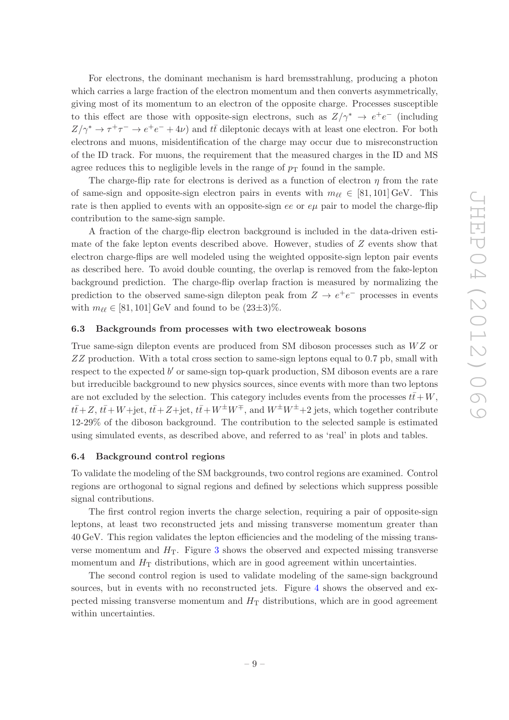For electrons, the dominant mechanism is hard bremsstrahlung, producing a photon which carries a large fraction of the electron momentum and then converts asymmetrically, giving most of its momentum to an electron of the opposite charge. Processes susceptible to this effect are those with opposite-sign electrons, such as  $Z/\gamma^* \rightarrow e^+e^-$  (including  $Z/\gamma^* \to \tau^+\tau^- \to e^+e^- + 4\nu$ ) and  $t\bar{t}$  dileptonic decays with at least one electron. For both electrons and muons, misidentification of the charge may occur due to misreconstruction of the ID track. For muons, the requirement that the measured charges in the ID and MS agree reduces this to negligible levels in the range of  $p<sub>T</sub>$  found in the sample.

The charge-flip rate for electrons is derived as a function of electron  $\eta$  from the rate of same-sign and opposite-sign electron pairs in events with  $m_{\ell\ell} \in [81, 101]$  GeV. This rate is then applied to events with an opposite-sign ee or  $e\mu$  pair to model the charge-flip contribution to the same-sign sample.

A fraction of the charge-flip electron background is included in the data-driven estimate of the fake lepton events described above. However, studies of Z events show that electron charge-flips are well modeled using the weighted opposite-sign lepton pair events as described here. To avoid double counting, the overlap is removed from the fake-lepton background prediction. The charge-flip overlap fraction is measured by normalizing the prediction to the observed same-sign dilepton peak from  $Z \to e^+e^-$  processes in events with  $m_{\ell\ell} \in [81, 101] \,\text{GeV}$  and found to be  $(23\pm3)\%$ .

#### <span id="page-9-0"></span>6.3 Backgrounds from processes with two electroweak bosons

True same-sign dilepton events are produced from SM diboson processes such as  $WZ$  or ZZ production. With a total cross section to same-sign leptons equal to 0.7 pb, small with respect to the expected b' or same-sign top-quark production, SM diboson events are a rare but irreducible background to new physics sources, since events with more than two leptons are not excluded by the selection. This category includes events from the processes  $t\bar{t}+W$ ,  $t\bar{t}+Z$ ,  $t\bar{t}+W+$ jet,  $t\bar{t}+Z+$ jet,  $t\bar{t}+W^{\pm}W^{\mp}$ , and  $W^{\pm}W^{\pm}+2$  jets, which together contribute 12-29% of the diboson background. The contribution to the selected sample is estimated using simulated events, as described above, and referred to as 'real' in plots and tables.

#### <span id="page-9-1"></span>6.4 Background control regions

To validate the modeling of the SM backgrounds, two control regions are examined. Control regions are orthogonal to signal regions and defined by selections which suppress possible signal contributions.

The first control region inverts the charge selection, requiring a pair of opposite-sign leptons, at least two reconstructed jets and missing transverse momentum greater than 40 GeV. This region validates the lepton efficiencies and the modeling of the missing transverse momentum and  $H<sub>T</sub>$ . Figure [3](#page-10-1) shows the observed and expected missing transverse momentum and  $H<sub>T</sub>$  distributions, which are in good agreement within uncertainties.

The second control region is used to validate modeling of the same-sign background sources, but in events with no reconstructed jets. Figure [4](#page-10-2) shows the observed and expected missing transverse momentum and  $H<sub>T</sub>$  distributions, which are in good agreement within uncertainties.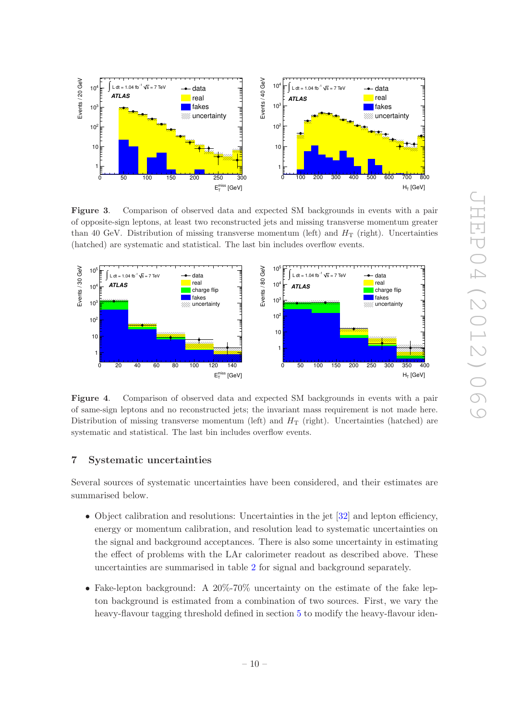

<span id="page-10-1"></span>Figure 3. Comparison of observed data and expected SM backgrounds in events with a pair of opposite-sign leptons, at least two reconstructed jets and missing transverse momentum greater than 40 GeV. Distribution of missing transverse momentum (left) and  $H_T$  (right). Uncertainties (hatched) are systematic and statistical. The last bin includes overflow events.



<span id="page-10-2"></span>Figure 4. Comparison of observed data and expected SM backgrounds in events with a pair of same-sign leptons and no reconstructed jets; the invariant mass requirement is not made here. Distribution of missing transverse momentum (left) and  $H<sub>T</sub>$  (right). Uncertainties (hatched) are systematic and statistical. The last bin includes overflow events.

# <span id="page-10-0"></span>7 Systematic uncertainties

Several sources of systematic uncertainties have been considered, and their estimates are summarised below.

- Object calibration and resolutions: Uncertainties in the jet [\[32\]](#page-22-9) and lepton efficiency, energy or momentum calibration, and resolution lead to systematic uncertainties on the signal and background acceptances. There is also some uncertainty in estimating the effect of problems with the LAr calorimeter readout as described above. These uncertainties are summarised in table [2](#page-12-0) for signal and background separately.
- Fake-lepton background: A 20%-70% uncertainty on the estimate of the fake lepton background is estimated from a combination of two sources. First, we vary the heavy-flavour tagging threshold defined in section [5](#page-5-1) to modify the heavy-flavour iden-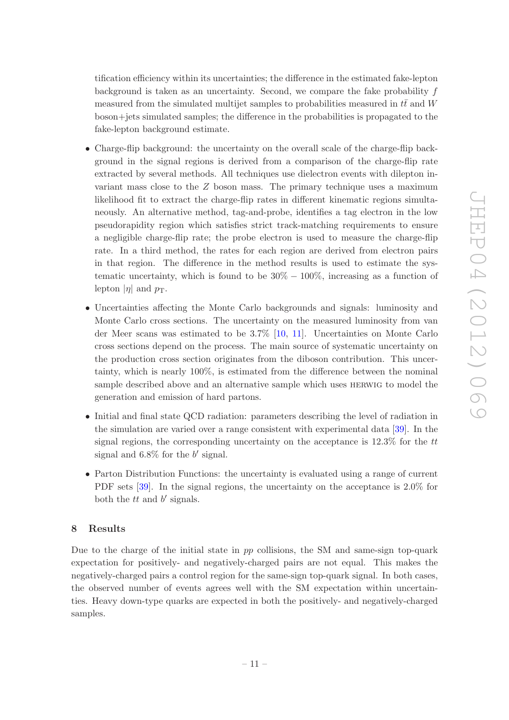tification efficiency within its uncertainties; the difference in the estimated fake-lepton background is taken as an uncertainty. Second, we compare the fake probability  $f$ measured from the simulated multijet samples to probabilities measured in  $t\bar{t}$  and W boson+jets simulated samples; the difference in the probabilities is propagated to the fake-lepton background estimate.

- Charge-flip background: the uncertainty on the overall scale of the charge-flip background in the signal regions is derived from a comparison of the charge-flip rate extracted by several methods. All techniques use dielectron events with dilepton invariant mass close to the Z boson mass. The primary technique uses a maximum likelihood fit to extract the charge-flip rates in different kinematic regions simultaneously. An alternative method, tag-and-probe, identifies a tag electron in the low pseudorapidity region which satisfies strict track-matching requirements to ensure a negligible charge-flip rate; the probe electron is used to measure the charge-flip rate. In a third method, the rates for each region are derived from electron pairs in that region. The difference in the method results is used to estimate the systematic uncertainty, which is found to be  $30\% - 100\%$ , increasing as a function of lepton  $|\eta|$  and  $p_T$ .
- Uncertainties affecting the Monte Carlo backgrounds and signals: luminosity and Monte Carlo cross sections. The uncertainty on the measured luminosity from van der Meer scans was estimated to be 3.7% [\[10,](#page-21-3) [11\]](#page-21-4). Uncertainties on Monte Carlo cross sections depend on the process. The main source of systematic uncertainty on the production cross section originates from the diboson contribution. This uncertainty, which is nearly 100%, is estimated from the difference between the nominal sample described above and an alternative sample which uses herwig to model the generation and emission of hard partons.
- Initial and final state QCD radiation: parameters describing the level of radiation in the simulation are varied over a range consistent with experimental data [\[39\]](#page-22-16). In the signal regions, the corresponding uncertainty on the acceptance is  $12.3\%$  for the tt signal and  $6.8\%$  for the  $b'$  signal.
- Parton Distribution Functions: the uncertainty is evaluated using a range of current PDF sets [\[39](#page-22-16)]. In the signal regions, the uncertainty on the acceptance is 2.0% for both the  $tt$  and  $b'$  signals.

# <span id="page-11-0"></span>8 Results

Due to the charge of the initial state in  $pp$  collisions, the SM and same-sign top-quark expectation for positively- and negatively-charged pairs are not equal. This makes the negatively-charged pairs a control region for the same-sign top-quark signal. In both cases, the observed number of events agrees well with the SM expectation within uncertainties. Heavy down-type quarks are expected in both the positively- and negatively-charged samples.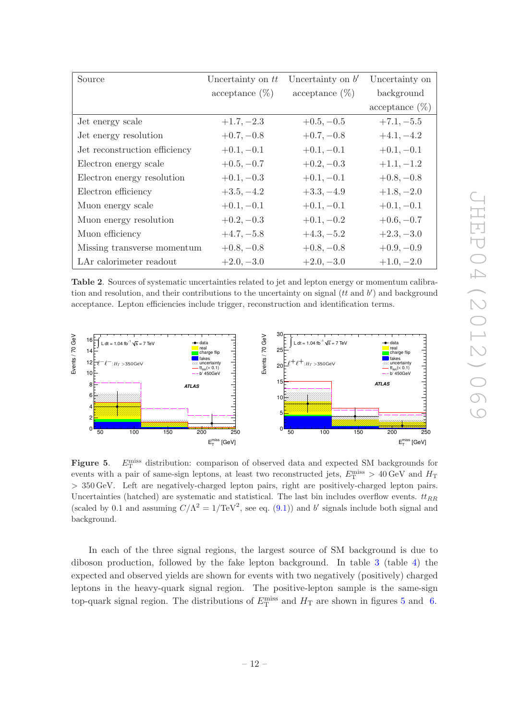|                               | $acceptance (\%)$ | $acceptance (\%)$ | background        |
|-------------------------------|-------------------|-------------------|-------------------|
|                               |                   |                   | $acceptance (\%)$ |
| Jet energy scale              | $+1.7, -2.3$      | $+0.5, -0.5$      | $+7.1, -5.5$      |
| Jet energy resolution         | $+0.7, -0.8$      | $+0.7, -0.8$      | $+4.1, -4.2$      |
| Jet reconstruction efficiency | $+0.1, -0.1$      | $+0.1, -0.1$      | $+0.1, -0.1$      |
| Electron energy scale         | $+0.5, -0.7$      | $+0.2, -0.3$      | $+1.1, -1.2$      |
| Electron energy resolution    | $+0.1, -0.3$      | $+0.1, -0.1$      | $+0.8, -0.8$      |
| Electron efficiency           | $+3.5, -4.2$      | $+3.3, -4.9$      | $+1.8, -2.0$      |
| Muon energy scale             | $+0.1, -0.1$      | $+0.1, -0.1$      | $+0.1, -0.1$      |
| Muon energy resolution        | $+0.2, -0.3$      | $+0.1, -0.2$      | $+0.6, -0.7$      |
| Muon efficiency               | $+4.7, -5.8$      | $+4.3, -5.2$      | $+2.3, -3.0$      |
| Missing transverse momentum   | $+0.8, -0.8$      | $+0.8, -0.8$      | $+0.9, -0.9$      |
| LAr calorimeter readout       | $+2.0, -3.0$      | $+2.0, -3.0$      | $+1.0, -2.0$      |

Uncertainty on

<span id="page-12-0"></span>

Source Uncertainty on  $tt$  Uncertainty on  $b'$ 

<span id="page-12-1"></span>Figure 5.  $E_{\rm T}^{\rm miss}$  distribution: comparison of observed data and expected SM backgrounds for events with a pair of same-sign leptons, at least two reconstructed jets,  $E_{\rm T}^{\rm miss} > 40\,\rm GeV$  and  $H_{\rm T}$ > 350 GeV. Left are negatively-charged lepton pairs, right are positively-charged lepton pairs. Uncertainties (hatched) are systematic and statistical. The last bin includes overflow events.  $t_{RR}$ (scaled by 0.1 and assuming  $C/\Lambda^2 = 1/\text{TeV}^2$ , see eq. [\(9.1\)](#page-16-0)) and b' signals include both signal and background.

In each of the three signal regions, the largest source of SM background is due to diboson production, followed by the fake lepton background. In table [3](#page-13-1) (table [4\)](#page-13-2) the expected and observed yields are shown for events with two negatively (positively) charged leptons in the heavy-quark signal region. The positive-lepton sample is the same-sign top-quark signal region. The distributions of  $E_{\rm T}^{\rm miss}$  and  $H_{\rm T}$  are shown in figures [5](#page-12-1) and [6.](#page-14-1)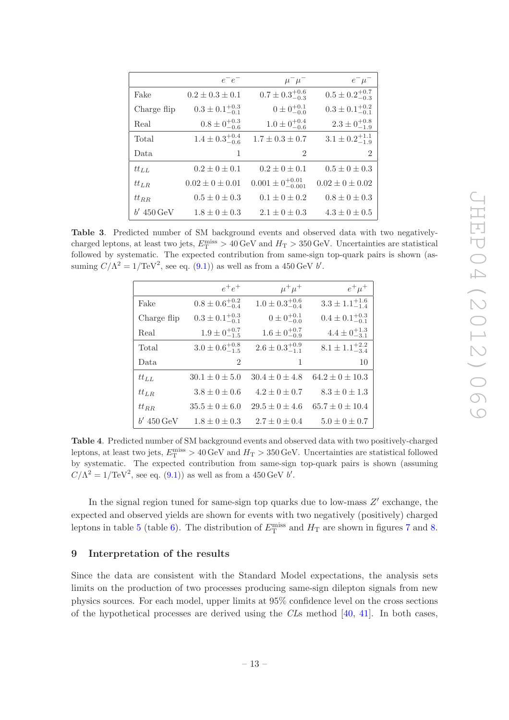|              | $e^-e^-$                    | $\mu^-\mu^-$                   | $e^-\mu^-$                  |
|--------------|-----------------------------|--------------------------------|-----------------------------|
| Fake         | $0.2 \pm 0.3 \pm 0.1$       | $0.7 \pm 0.3_{-0.3}^{+0.6}$    | $0.5 \pm 0.2^{+0.7}_{-0.3}$ |
| Charge flip  | $0.3 \pm 0.1^{+0.3}_{-0.1}$ | $0 \pm 0^{+0.1}_{-0.0}$        | $0.3 \pm 0.1^{+0.2}_{-0.1}$ |
| Real         | $0.8 \pm 0^{+0.3}_{-0.6}$   | $1.0 \pm 0^{+0.4}_{-0.6}$      | $2.3 \pm 0^{+0.8}_{-1.9}$   |
| Total        | $1.4 \pm 0.3^{+0.4}_{-0.6}$ | $1.7 \pm 0.3 \pm 0.7$          | $3.1 \pm 0.2_{-1.9}^{+1.1}$ |
| Data         | 1                           | $\mathfrak{D}$                 | $\overline{2}$              |
| $tt_{LL}$    | $0.2 \pm 0 \pm 0.1$         | $0.2 \pm 0 \pm 0.1$            | $0.5 \pm 0 \pm 0.3$         |
| $tt_{LR}$    | $0.02 \pm 0 \pm 0.01$       | $0.001 \pm 0^{+0.01}_{-0.001}$ | $0.02 \pm 0 \pm 0.02$       |
| $tt_{RR}$    | $0.5 \pm 0 \pm 0.3$         | $0.1 \pm 0 \pm 0.2$            | $0.8 \pm 0 \pm 0.3$         |
| $b'$ 450 GeV | $1.8 \pm 0 \pm 0.3$         | $2.1 \pm 0 \pm 0.3$            | $4.3 \pm 0 \pm 0.5$         |

<span id="page-13-1"></span>Table 3. Predicted number of SM background events and observed data with two negativelycharged leptons, at least two jets,  $E_{\rm T}^{\rm miss} > 40\,{\rm GeV}$  and  $H_{\rm T} > 350\,{\rm GeV}$ . Uncertainties are statistical followed by systematic. The expected contribution from same-sign top-quark pairs is shown (assuming  $C/\Lambda^2 = 1/\text{TeV}^2$ , see eq. [\(9.1\)](#page-16-0)) as well as from a 450 GeV b'.

|              | $e^+e^+$                    | $\mu^+\mu^+$                | $e^+\mu^+$                  |
|--------------|-----------------------------|-----------------------------|-----------------------------|
| Fake         | $0.8 \pm 0.6^{+0.2}_{-0.4}$ | $1.0 \pm 0.3_{-0.4}^{+0.6}$ | $3.3 \pm 1.1_{-1.4}^{+1.6}$ |
| Charge flip  | $0.3 \pm 0.1^{+0.3}_{-0.1}$ | $0 \pm 0^{+0.1}_{-0.0}$     | $0.4 \pm 0.1^{+0.3}_{-0.1}$ |
| Real         | $1.9 \pm 0^{+0.7}_{-1.5}$   | $1.6 \pm 0^{+0.7}_{-0.9}$   | $4.4 \pm 0^{+1.3}_{-3.1}$   |
| Total        | $3.0 \pm 0.6_{-1.5}^{+0.8}$ | $2.6 \pm 0.3_{-1.1}^{+0.9}$ | $8.1 \pm 1.1^{+2.2}_{-3.4}$ |
| Data.        | $\overline{2}$              | 1                           | 10                          |
| $tt_{LL}$    | $30.1 \pm 0 \pm 5.0$        | $30.4 \pm 0 \pm 4.8$        | $64.2 \pm 0 \pm 10.3$       |
| $tt_{LR}$    | $3.8 \pm 0 \pm 0.6$         | $4.2 \pm 0 \pm 0.7$         | $8.3 \pm 0 \pm 1.3$         |
| $tt_{RR}$    | $35.5 \pm 0 \pm 6.0$        | $29.5 \pm 0 \pm 4.6$        | $65.7 \pm 0 \pm 10.4$       |
| $b'$ 450 GeV | $1.8 \pm 0 \pm 0.3$         | $2.7 \pm 0 \pm 0.4$         | $5.0 \pm 0 \pm 0.7$         |

<span id="page-13-2"></span>Table 4. Predicted number of SM background events and observed data with two positively-charged leptons, at least two jets,  $E_{\rm T}^{\rm miss} > 40\,{\rm GeV}$  and  $H_{\rm T} > 350\,{\rm GeV}$ . Uncertainties are statistical followed by systematic. The expected contribution from same-sign top-quark pairs is shown (assuming  $C/\Lambda^2 = 1/\text{TeV}^2$ , see eq. [\(9.1\)](#page-16-0)) as well as from a 450 GeV b'.

In the signal region tuned for same-sign top quarks due to low-mass  $Z'$  exchange, the expected and observed yields are shown for events with two negatively (positively) charged leptons in table [5](#page-14-2) (table [6\)](#page-15-0). The distribution of  $E_{\rm T}^{\rm miss}$  and  $H_{\rm T}$  are shown in figures [7](#page-15-1) and [8.](#page-16-1)

## <span id="page-13-0"></span>9 Interpretation of the results

Since the data are consistent with the Standard Model expectations, the analysis sets limits on the production of two processes producing same-sign dilepton signals from new physics sources. For each model, upper limits at 95% confidence level on the cross sections of the hypothetical processes are derived using the  $CLs$  method [\[40](#page-23-0), [41\]](#page-23-1). In both cases,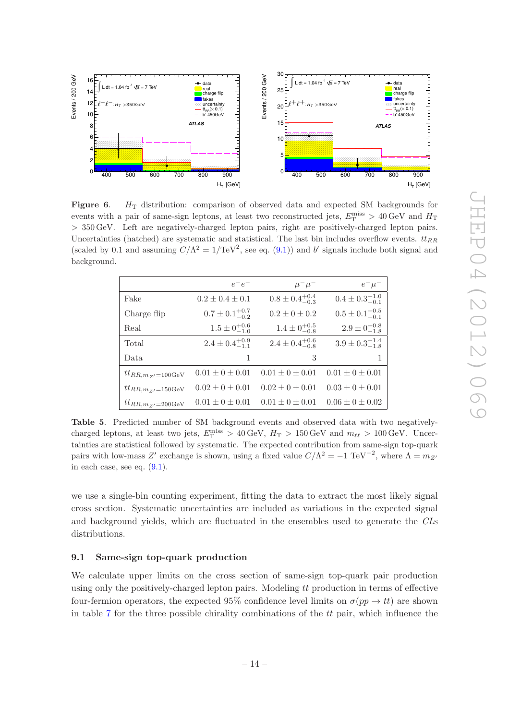

<span id="page-14-1"></span>**Figure 6.**  $H_T$  distribution: comparison of observed data and expected SM backgrounds for events with a pair of same-sign leptons, at least two reconstructed jets,  $E_{\rm T}^{\rm miss} > 40\,\rm GeV$  and  $H_{\rm T}$ > 350 GeV. Left are negatively-charged lepton pairs, right are positively-charged lepton pairs. Uncertainties (hatched) are systematic and statistical. The last bin includes overflow events.  $tt_{RR}$ (scaled by 0.1 and assuming  $C/\Lambda^2 = 1/\text{TeV}^2$ , see eq. [\(9.1\)](#page-16-0)) and b' signals include both signal and background.

|                      | $e^-e^-$                    | $\mu^{-}\mu^{-}$            | $e^-\mu^-$                  |
|----------------------|-----------------------------|-----------------------------|-----------------------------|
| Fake                 | $0.2 \pm 0.4 \pm 0.1$       | $0.8 \pm 0.4^{+0.4}_{-0.3}$ | $0.4 \pm 0.3^{+1.0}_{-0.1}$ |
| Charge flip          | $0.7 \pm 0.1^{+0.7}_{-0.2}$ | $0.2 \pm 0 \pm 0.2$         | $0.5 \pm 0.1^{+0.5}_{-0.1}$ |
| Real                 | $1.5 \pm 0^{+0.6}_{-1.0}$   | $1.4 \pm 0^{+0.5}_{-0.8}$   | $2.9 \pm 0^{+0.8}_{-1.8}$   |
| Total                | $2.4 \pm 0.4^{+0.9}_{-1.1}$ | $2.4 \pm 0.4^{+0.6}_{-0.8}$ | $3.9 \pm 0.3_{-1.8}^{+1.4}$ |
| Data.                | 1                           | 3                           |                             |
| $tt_{RR,m_Z=100GeV}$ | $0.01 \pm 0 \pm 0.01$       | $0.01 \pm 0 \pm 0.01$       | $0.01 \pm 0 \pm 0.01$       |
| $tt_{RR,m_Z=150GeV}$ | $0.02 + 0 + 0.01$           | $0.02 + 0 + 0.01$           | $0.03 \pm 0 \pm 0.01$       |
| $tt_{RR,m_Z=200GeV}$ | $0.01 \pm 0 \pm 0.01$       | $0.01 \pm 0 \pm 0.01$       | $0.06 \pm 0 \pm 0.02$       |

<span id="page-14-2"></span>Table 5. Predicted number of SM background events and observed data with two negativelycharged leptons, at least two jets,  $E_{\rm T}^{\rm miss} > 40 \,\text{GeV}$ ,  $H_{\rm T} > 150 \,\text{GeV}$  and  $m_{\ell\ell} > 100 \,\text{GeV}$ . Uncertainties are statistical followed by systematic. The expected contribution from same-sign top-quark pairs with low-mass Z' exchange is shown, using a fixed value  $C/\Lambda^2 = -1 \text{ TeV}^{-2}$ , where  $\Lambda = m_Z$ in each case, see eq.  $(9.1)$ .

we use a single-bin counting experiment, fitting the data to extract the most likely signal cross section. Systematic uncertainties are included as variations in the expected signal and background yields, which are fluctuated in the ensembles used to generate the CLs distributions.

# <span id="page-14-0"></span>9.1 Same-sign top-quark production

We calculate upper limits on the cross section of same-sign top-quark pair production using only the positively-charged lepton pairs. Modeling  $tt$  production in terms of effective four-fermion operators, the expected 95% confidence level limits on  $\sigma(pp \to tt)$  are shown in table [7](#page-16-2) for the three possible chirality combinations of the  $tt$  pair, which influence the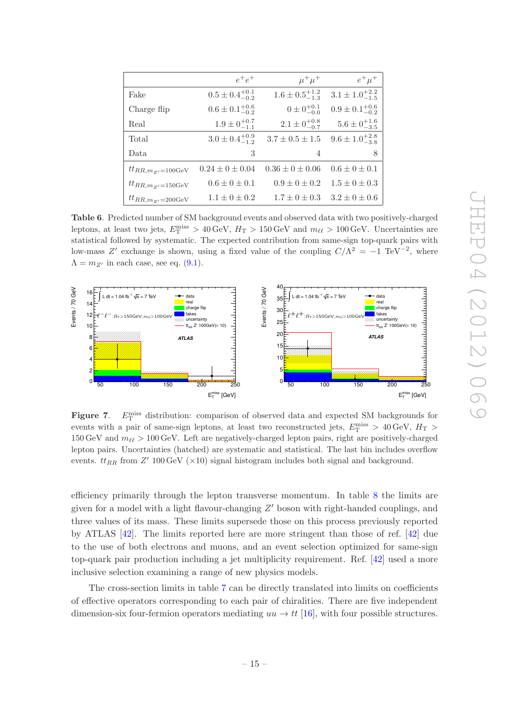|                                | $e^+e^+$                    | $\mu^+\mu^+$                | $e^+\mu^+$                  |
|--------------------------------|-----------------------------|-----------------------------|-----------------------------|
| Fake                           | $0.5 \pm 0.4^{+0.1}_{-0.2}$ | $1.6 \pm 0.5^{+1.2}_{-1.3}$ | $3.1 \pm 1.0^{+2.2}_{-1.5}$ |
| Charge flip                    | $0.6 \pm 0.1^{+0.6}_{-0.2}$ | $0 \pm 0^{+0.1}_{-0.0}$     | $0.9 \pm 0.1^{+0.6}_{-0.2}$ |
| Real                           | $1.9 \pm 0^{+0.7}_{-1.1}$   | $2.1 \pm 0^{+0.8}_{-0.7}$   | $5.6 \pm 0^{+1.6}_{-3.5}$   |
| Total                          | $3.0 \pm 0.4^{+0.9}_{-1.2}$ | $3.7 \pm 0.5 \pm 1.5$       | $9.6 \pm 1.0^{+2.8}_{-3.8}$ |
| Data                           | 3                           | 4                           | 8                           |
| $tt_{RR,m_Z=100GeV}$           | $0.24 \pm 0 \pm 0.04$       | $0.36 \pm 0 \pm 0.06$       | $0.6 \pm 0 \pm 0.1$         |
| $tt_{RR,m_Z=150GeV}$           | $0.6 \pm 0 \pm 0.1$         | $0.9 \pm 0 \pm 0.2$         | $1.5 \pm 0 \pm 0.3$         |
| $tt_{RR,m_{Z'}=200\text{GeV}}$ | $1.1 \pm 0 \pm 0.2$         | $1.7 \pm 0 \pm 0.3$         | $3.2 \pm 0 \pm 0.6$         |

<span id="page-15-0"></span>Table 6. Predicted number of SM background events and observed data with two positively-charged leptons, at least two jets,  $E_{\rm T}^{\rm miss} > 40 \,\text{GeV}$ ,  $H_{\rm T} > 150 \,\text{GeV}$  and  $m_{\ell\ell} > 100 \,\text{GeV}$ . Uncertainties are statistical followed by systematic. The expected contribution from same-sign top-quark pairs with low-mass Z' exchange is shown, using a fixed value of the coupling  $C/\Lambda^2 = -1 \text{ TeV}^{-2}$ , where  $\Lambda = m_{Z'}$  in each case, see eq. [\(9.1\)](#page-16-0).



<span id="page-15-1"></span>Figure 7.  $E_{\rm T}^{\rm miss}$  distribution: comparison of observed data and expected SM backgrounds for events with a pair of same-sign leptons, at least two reconstructed jets,  $E_{\rm T}^{\rm miss} > 40 \,\text{GeV}, H_{\rm T} >$ 150 GeV and  $m_{\ell\ell} > 100$  GeV. Left are negatively-charged lepton pairs, right are positively-charged lepton pairs. Uncertainties (hatched) are systematic and statistical. The last bin includes overflow events.  $tt_{RR}$  from  $Z'$  100 GeV ( $\times$ 10) signal histogram includes both signal and background.

efficiency primarily through the lepton transverse momentum. In table [8](#page-16-3) the limits are given for a model with a light flavour-changing  $Z'$  boson with right-handed couplings, and three values of its mass. These limits supersede those on this process previously reported by ATLAS [\[42\]](#page-23-2). The limits reported here are more stringent than those of ref. [\[42](#page-23-2)] due to the use of both electrons and muons, and an event selection optimized for same-sign top-quark pair production including a jet multiplicity requirement. Ref. [\[42\]](#page-23-2) used a more inclusive selection examining a range of new physics models.

The cross-section limits in table [7](#page-16-2) can be directly translated into limits on coefficients of effective operators corresponding to each pair of chiralities. There are five independent dimension-six four-fermion operators mediating  $uu \rightarrow tt$  [\[16](#page-21-9)], with four possible structures.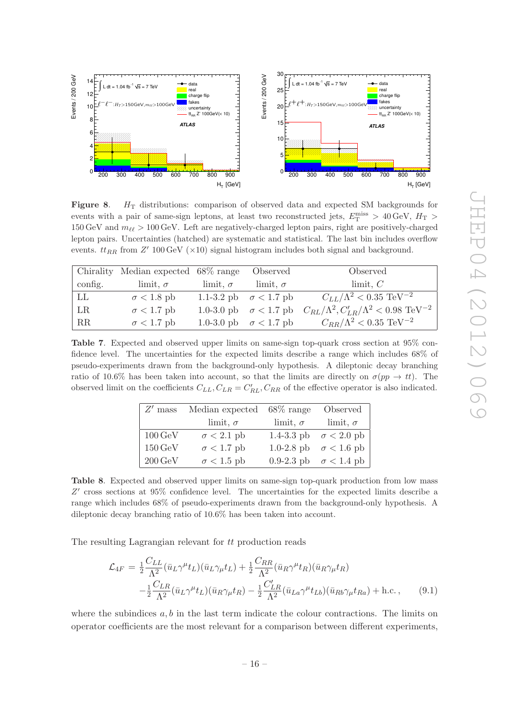

<span id="page-16-1"></span>**Figure 8.**  $H_T$  distributions: comparison of observed data and expected SM backgrounds for events with a pair of same-sign leptons, at least two reconstructed jets,  $E_{\rm T}^{\rm miss} > 40 \,\text{GeV}, H_{\rm T} >$ 150 GeV and  $m_{\ell\ell} > 100$  GeV. Left are negatively-charged lepton pairs, right are positively-charged lepton pairs. Uncertainties (hatched) are systematic and statistical. The last bin includes overflow events.  $tt_{RR}$  from  $Z'$  100 GeV ( $\times$ 10) signal histogram includes both signal and background.

|         | Chirality Median expected 68% range |                     | Observed                     | Observed                                                                                       |
|---------|-------------------------------------|---------------------|------------------------------|------------------------------------------------------------------------------------------------|
| config. | $\lim$ it, $\sigma$                 | $\lim$ it, $\sigma$ | limit, $\sigma$              | $\lim$ it, $C$                                                                                 |
| LL      | $\sigma$ < 1.8 pb                   |                     | 1.1-3.2 pb $\sigma$ < 1.7 pb | $C_{LL}/\Lambda^2 < 0.35 \,\, \rm TeV^{-2}$                                                    |
| LR      | $\sigma$ < 1.7 pb                   |                     |                              | 1.0-3.0 pb $\sigma$ < 1.7 pb $C_{RL}/\Lambda^2$ , $C'_{LR}/\Lambda^2$ < 0.98 TeV <sup>-2</sup> |
| RR      | $\sigma$ < 1.7 pb                   |                     | 1.0-3.0 pb $\sigma$ < 1.7 pb | $C_{RR}/\Lambda^2 < 0.35 \text{ TeV}^{-2}$                                                     |

<span id="page-16-2"></span>Table 7. Expected and observed upper limits on same-sign top-quark cross section at 95% confidence level. The uncertainties for the expected limits describe a range which includes 68% of pseudo-experiments drawn from the background-only hypothesis. A dileptonic decay branching ratio of 10.6% has been taken into account, so that the limits are directly on  $\sigma(pp \to tt)$ . The observed limit on the coefficients  $C_{LL}$ ,  $C_{LR} = C'_{RL}$ ,  $C_{RR}$  of the effective operator is also indicated.

| $Z'$ mass            | Median expected $68\%$ range |                     | Observed                     |
|----------------------|------------------------------|---------------------|------------------------------|
|                      | limit, $\sigma$              | $\lim$ it, $\sigma$ | $\lim$ it, $\sigma$          |
| $100 \,\mathrm{GeV}$ | $\sigma$ < 2.1 pb            |                     | 1.4-3.3 pb $\sigma$ < 2.0 pb |
| $150 \,\mathrm{GeV}$ | $\sigma$ < 1.7 pb            |                     | 1.0-2.8 pb $\sigma$ < 1.6 pb |
| $200 \,\mathrm{GeV}$ | $\sigma$ < 1.5 pb            |                     | 0.9-2.3 pb $\sigma$ < 1.4 pb |

<span id="page-16-3"></span>Table 8. Expected and observed upper limits on same-sign top-quark production from low mass Z' cross sections at 95% confidence level. The uncertainties for the expected limits describe a range which includes 68% of pseudo-experiments drawn from the background-only hypothesis. A dileptonic decay branching ratio of 10.6% has been taken into account.

The resulting Lagrangian relevant for tt production reads

<span id="page-16-0"></span>
$$
\mathcal{L}_{4F} = \frac{1}{2} \frac{C_{LL}}{\Lambda^2} (\bar{u}_L \gamma^\mu t_L)(\bar{u}_L \gamma_\mu t_L) + \frac{1}{2} \frac{C_{RR}}{\Lambda^2} (\bar{u}_R \gamma^\mu t_R)(\bar{u}_R \gamma_\mu t_R)
$$

$$
- \frac{1}{2} \frac{C_{LR}}{\Lambda^2} (\bar{u}_L \gamma^\mu t_L)(\bar{u}_R \gamma_\mu t_R) - \frac{1}{2} \frac{C_{LR}'}{\Lambda^2} (\bar{u}_{La} \gamma^\mu t_{Lb})(\bar{u}_{Rb} \gamma_\mu t_{Ra}) + \text{h.c.}, \qquad (9.1)
$$

where the subindices  $a, b$  in the last term indicate the colour contractions. The limits on operator coefficients are the most relevant for a comparison between different experiments,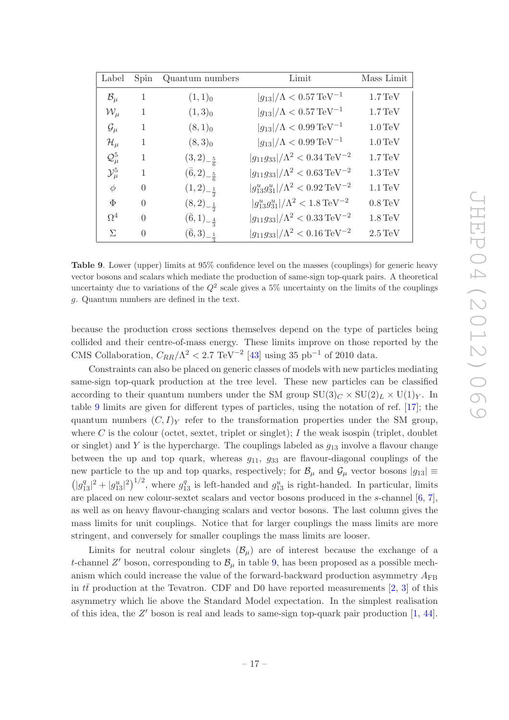| (<br>$\overline{\phantom{a}}$                               |
|-------------------------------------------------------------|
| IJ                                                          |
| C                                                           |
| Ì.<br>Š                                                     |
| C                                                           |
| $\overline{\phantom{0}}$                                    |
|                                                             |
| J<br>C<br>$\setminus$<br>$\overline{\phantom{0}}$<br>)<br>C |

| Label               | Spin         | Quantum numbers               | Limit                                                    | Mass Limit           |
|---------------------|--------------|-------------------------------|----------------------------------------------------------|----------------------|
| $\mathcal{B}_{\mu}$ | 1            | $(1,1)_0$                     | $ g_{13} /\Lambda < 0.57 \,\mathrm{TeV^{-1}}$            | $1.7 \,\mathrm{TeV}$ |
| $\mathcal{W}_\mu$   | $\mathbf{1}$ | $(1,3)_0$                     | $ g_{13} /\Lambda < 0.57 \,\mathrm{TeV^{-1}}$            | $1.7 \,\mathrm{TeV}$ |
| $\mathcal{G}_\mu$   | $\mathbf{1}$ | $(8,1)_0$                     | $ g_{13} /\Lambda < 0.99 \,\mathrm{TeV^{-1}}$            | $1.0 \,\mathrm{TeV}$ |
| $\mathcal{H}_\mu$   | $\mathbf{1}$ | $(8,3)_0$                     | $ g_{13} /\Lambda < 0.99 \,\mathrm{TeV^{-1}}$            | $1.0 \,\mathrm{TeV}$ |
| $\mathcal{Q}_\mu^5$ | 1            | $(3,2)_{-\frac{5}{6}}$        | $ g_{11}g_{33} /\Lambda^2 < 0.34 \,\mathrm{TeV^{-2}}$    | $1.7 \,\mathrm{TeV}$ |
| $\mathcal{Y}_\mu^5$ | 1            | $(\bar{6}, 2)_{-\frac{5}{6}}$ | $ g_{11}g_{33} /\Lambda^2 < 0.63 \,\mathrm{TeV^{-2}}$    | $1.3 \,\mathrm{TeV}$ |
| $\phi$              | $\Omega$     | $(1,2)_{-\frac{1}{2}}$        | $ g_{13}^ug_{31}^u /\Lambda^2 < 0.92 \,\text{TeV}^{-2}$  | $1.1 \,\mathrm{TeV}$ |
| Φ                   | $\Omega$     | $(8,2)_{-\frac{1}{2}}$        | $ g_{13}^ug_{31}^u /\Lambda^2 < 1.8 \,\mathrm{TeV^{-2}}$ | $0.8 \,\mathrm{TeV}$ |
| $\Omega^4$          | $\Omega$     | $(\bar{6},1)_{-\frac{4}{2}}$  | $ g_{11}g_{33} /\Lambda^2 < 0.33 \,\mathrm{TeV^{-2}}$    | $1.8 \,\mathrm{TeV}$ |
| $\Sigma$            | $\Omega$     | $(\bar{6},3)_{-\frac{1}{3}}$  | $ g_{11}g_{33} /\Lambda^2 < 0.16 \,\mathrm{TeV^{-2}}$    | $2.5 \,\mathrm{TeV}$ |

<span id="page-17-0"></span>Table 9. Lower (upper) limits at 95% confidence level on the masses (couplings) for generic heavy vector bosons and scalars which mediate the production of same-sign top-quark pairs. A theoretical uncertainty due to variations of the  $Q^2$  scale gives a 5% uncertainty on the limits of the couplings g. Quantum numbers are defined in the text.

because the production cross sections themselves depend on the type of particles being collided and their centre-of-mass energy. These limits improve on those reported by the CMS Collaboration,  $C_{RR}/\Lambda^2 < 2.7 \text{ TeV}^{-2}$  [\[43\]](#page-23-3) using 35 pb<sup>-1</sup> of 2010 data.

Constraints can also be placed on generic classes of models with new particles mediating same-sign top-quark production at the tree level. These new particles can be classified according to their quantum numbers under the SM group  $SU(3)_C \times SU(2)_L \times U(1)_Y$ . In table [9](#page-17-0) limits are given for different types of particles, using the notation of ref. [\[17\]](#page-21-0); the quantum numbers  $(C, I)_Y$  refer to the transformation properties under the SM group, where C is the colour (octet, sextet, triplet or singlet); I the weak isospin (triplet, doublet or singlet) and Y is the hypercharge. The couplings labeled as  $g_{13}$  involve a flavour change between the up and top quark, whereas  $g_{11}$ ,  $g_{33}$  are flavour-diagonal couplings of the new particle to the up and top quarks, respectively; for  $\mathcal{B}_{\mu}$  and  $\mathcal{G}_{\mu}$  vector bosons  $|g_{13}| \equiv$  $(|g_{13}^q|^2+|g_{13}^u|^2)^{1/2}$ , where  $g_{13}^q$  is left-handed and  $g_{13}^u$  is right-handed. In particular, limits are placed on new colour-sextet scalars and vector bosons produced in the s-channel  $[6, 7]$  $[6, 7]$ , as well as on heavy flavour-changing scalars and vector bosons. The last column gives the mass limits for unit couplings. Notice that for larger couplings the mass limits are more stringent, and conversely for smaller couplings the mass limits are looser.

Limits for neutral colour singlets  $(\mathcal{B}_{\mu})$  are of interest because the exchange of a t-channel  $Z'$  boson, corresponding to  $\mathcal{B}_{\mu}$  in table [9,](#page-17-0) has been proposed as a possible mechanism which could increase the value of the forward-backward production asymmetry  $A_{\text{FB}}$ in  $t\bar{t}$  production at the Tevatron. CDF and D0 have reported measurements [\[2](#page-20-1), [3\]](#page-20-2) of this asymmetry which lie above the Standard Model expectation. In the simplest realisation of this idea, the  $Z'$  boson is real and leads to same-sign top-quark pair production  $[1, 44]$  $[1, 44]$ .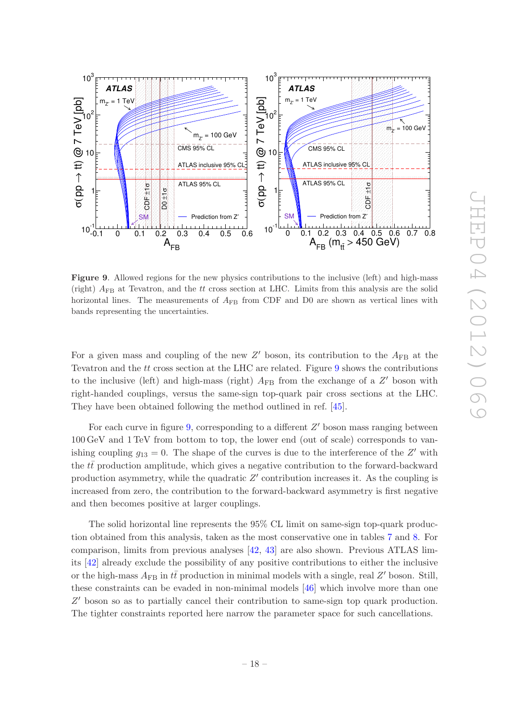

<span id="page-18-0"></span>Figure 9. Allowed regions for the new physics contributions to the inclusive (left) and high-mass (right)  $A_{FB}$  at Tevatron, and the *tt* cross section at LHC. Limits from this analysis are the solid horizontal lines. The measurements of  $A_{FB}$  from CDF and D0 are shown as vertical lines with bands representing the uncertainties.

For a given mass and coupling of the new  $Z'$  boson, its contribution to the  $A_{FB}$  at the Tevatron and the tt cross section at the LHC are related. Figure [9](#page-18-0) shows the contributions to the inclusive (left) and high-mass (right)  $A_{FB}$  from the exchange of a  $Z'$  boson with right-handed couplings, versus the same-sign top-quark pair cross sections at the LHC. They have been obtained following the method outlined in ref. [\[45](#page-23-5)].

For each curve in figure  $9$ , corresponding to a different  $Z'$  boson mass ranging between 100 GeV and 1 TeV from bottom to top, the lower end (out of scale) corresponds to vanishing coupling  $g_{13} = 0$ . The shape of the curves is due to the interference of the Z' with the  $t\bar{t}$  production amplitude, which gives a negative contribution to the forward-backward production asymmetry, while the quadratic  $Z'$  contribution increases it. As the coupling is increased from zero, the contribution to the forward-backward asymmetry is first negative and then becomes positive at larger couplings.

The solid horizontal line represents the 95% CL limit on same-sign top-quark production obtained from this analysis, taken as the most conservative one in tables [7](#page-16-2) and [8.](#page-16-3) For comparison, limits from previous analyses [\[42,](#page-23-2) [43\]](#page-23-3) are also shown. Previous ATLAS limits [\[42\]](#page-23-2) already exclude the possibility of any positive contributions to either the inclusive or the high-mass  $A_{\text{FB}}$  in  $t\bar{t}$  production in minimal models with a single, real Z' boson. Still, these constraints can be evaded in non-minimal models [\[46\]](#page-23-6) which involve more than one Z ′ boson so as to partially cancel their contribution to same-sign top quark production. The tighter constraints reported here narrow the parameter space for such cancellations.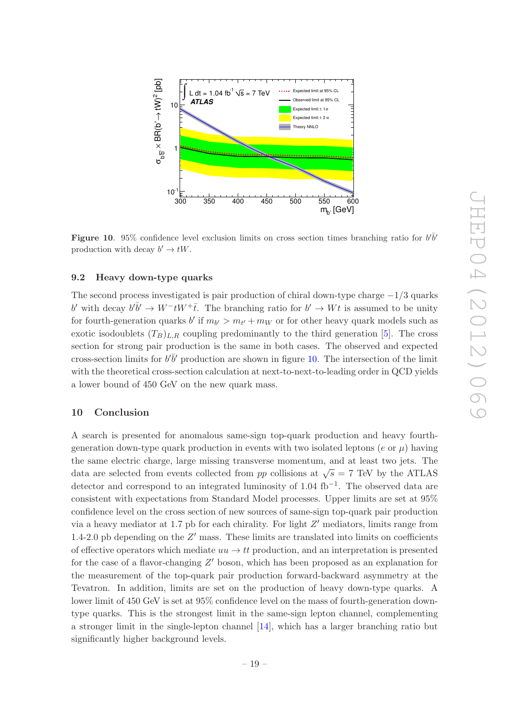

<span id="page-19-2"></span>Figure 10. 95% confidence level exclusion limits on cross section times branching ratio for  $b^{\prime}b^{\prime}$ production with decay  $b' \to tW$ .

# <span id="page-19-0"></span>9.2 Heavy down-type quarks

The second process investigated is pair production of chiral down-type charge  $-1/3$  quarks b' with decay  $b\bar{b}' \to W^-tW^+\bar{t}$ . The branching ratio for  $b' \to Wt$  is assumed to be unity for fourth-generation quarks  $b'$  if  $m_{b'} > m_{t'} + m_W$  or for other heavy quark models such as exotic isodoublets  $(T_B)_{L,R}$  coupling predominantly to the third generation [\[5\]](#page-20-4). The cross section for strong pair production is the same in both cases. The observed and expected cross-section limits for  $b^{\dagger}b^{\dagger}$  production are shown in figure [10.](#page-19-2) The intersection of the limit with the theoretical cross-section calculation at next-to-next-to-leading order in QCD yields a lower bound of 450 GeV on the new quark mass.

# <span id="page-19-1"></span>10 Conclusion

A search is presented for anomalous same-sign top-quark production and heavy fourthgeneration down-type quark production in events with two isolated leptons (e or  $\mu$ ) having the same electric charge, large missing transverse momentum, and at least two jets. The data are selected from events collected from pp collisions at  $\sqrt{s} = 7$  TeV by the ATLAS detector and correspond to an integrated luminosity of 1.04 fb−<sup>1</sup> . The observed data are consistent with expectations from Standard Model processes. Upper limits are set at 95% confidence level on the cross section of new sources of same-sign top-quark pair production via a heavy mediator at 1.7 pb for each chirality. For light  $Z'$  mediators, limits range from 1.4-2.0 pb depending on the  $Z'$  mass. These limits are translated into limits on coefficients of effective operators which mediate  $uu \rightarrow tt$  production, and an interpretation is presented for the case of a flavor-changing  $Z'$  boson, which has been proposed as an explanation for the measurement of the top-quark pair production forward-backward asymmetry at the Tevatron. In addition, limits are set on the production of heavy down-type quarks. A lower limit of 450 GeV is set at 95% confidence level on the mass of fourth-generation downtype quarks. This is the strongest limit in the same-sign lepton channel, complementing a stronger limit in the single-lepton channel [\[14](#page-21-7)], which has a larger branching ratio but significantly higher background levels.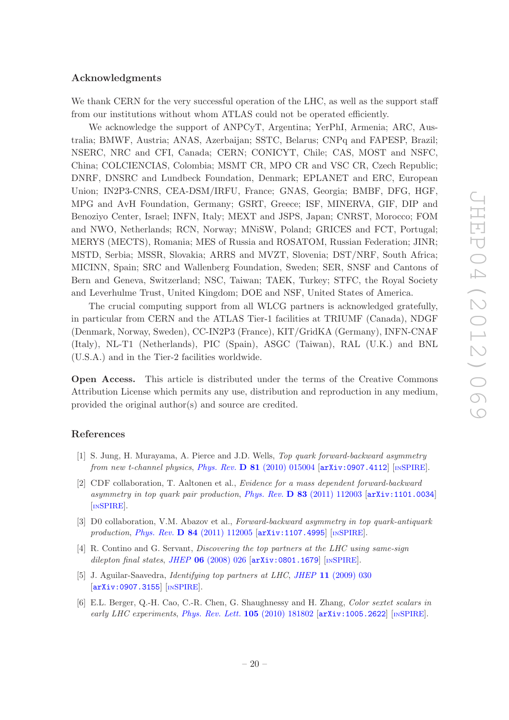## Acknowledgments

We thank CERN for the very successful operation of the LHC, as well as the support staff from our institutions without whom ATLAS could not be operated efficiently.

We acknowledge the support of ANPCyT, Argentina; YerPhI, Armenia; ARC, Australia; BMWF, Austria; ANAS, Azerbaijan; SSTC, Belarus; CNPq and FAPESP, Brazil; NSERC, NRC and CFI, Canada; CERN; CONICYT, Chile; CAS, MOST and NSFC, China; COLCIENCIAS, Colombia; MSMT CR, MPO CR and VSC CR, Czech Republic; DNRF, DNSRC and Lundbeck Foundation, Denmark; EPLANET and ERC, European Union; IN2P3-CNRS, CEA-DSM/IRFU, France; GNAS, Georgia; BMBF, DFG, HGF, MPG and AvH Foundation, Germany; GSRT, Greece; ISF, MINERVA, GIF, DIP and Benoziyo Center, Israel; INFN, Italy; MEXT and JSPS, Japan; CNRST, Morocco; FOM and NWO, Netherlands; RCN, Norway; MNiSW, Poland; GRICES and FCT, Portugal; MERYS (MECTS), Romania; MES of Russia and ROSATOM, Russian Federation; JINR; MSTD, Serbia; MSSR, Slovakia; ARRS and MVZT, Slovenia; DST/NRF, South Africa; MICINN, Spain; SRC and Wallenberg Foundation, Sweden; SER, SNSF and Cantons of Bern and Geneva, Switzerland; NSC, Taiwan; TAEK, Turkey; STFC, the Royal Society and Leverhulme Trust, United Kingdom; DOE and NSF, United States of America.

The crucial computing support from all WLCG partners is acknowledged gratefully, in particular from CERN and the ATLAS Tier-1 facilities at TRIUMF (Canada), NDGF (Denmark, Norway, Sweden), CC-IN2P3 (France), KIT/GridKA (Germany), INFN-CNAF (Italy), NL-T1 (Netherlands), PIC (Spain), ASGC (Taiwan), RAL (U.K.) and BNL (U.S.A.) and in the Tier-2 facilities worldwide.

Open Access. This article is distributed under the terms of the Creative Commons Attribution License which permits any use, distribution and reproduction in any medium, provided the original author(s) and source are credited.

# References

- <span id="page-20-0"></span>[1] S. Jung, H. Murayama, A. Pierce and J.D. Wells, Top quark forward-backward asymmetry from new t-channel physics, Phys. Rev.  $\bf{D} 81$  [\(2010\) 015004](http://dx.doi.org/10.1103/PhysRevD.81.015004)  $\bf{arXiv:}$  0907.4112 [IN[SPIRE](http://inspirehep.net/search?p=find+J+Phys.Rev.,D81,015004)].
- <span id="page-20-1"></span>[2] CDF collaboration, T. Aaltonen et al., Evidence for a mass dependent forward-backward asymmetry in top quark pair production, Phys. Rev.  $\bf{D} 83$  [\(2011\) 112003](http://dx.doi.org/10.1103/PhysRevD.83.112003) [[arXiv:1101.0034](http://arxiv.org/abs/1101.0034)] [IN[SPIRE](http://inspirehep.net/search?p=find+J+Phys.Rev.,D83,112003)].
- <span id="page-20-2"></span>[3] D0 collaboration, V.M. Abazov et al., Forward-backward asymmetry in top quark-antiquark production, *Phys. Rev. D* 84 [\(2011\) 112005](http://dx.doi.org/10.1103/PhysRevD.84.112005) [[arXiv:1107.4995](http://arxiv.org/abs/1107.4995)] [IN[SPIRE](http://inspirehep.net/search?p=find+J+Phys.Rev.,D84,112005)].
- <span id="page-20-3"></span>[4] R. Contino and G. Servant, Discovering the top partners at the LHC using same-sign dilepton final states, JHEP  $06$  [\(2008\) 026](http://dx.doi.org/10.1088/1126-6708/2008/06/026)  $\left[$ [arXiv:0801.1679](http://arxiv.org/abs/0801.1679) $\right]$   $\left[$ IN[SPIRE](http://inspirehep.net/search?p=find+J+JHEP,0806,026) $\right]$ .
- <span id="page-20-4"></span>[5] J. Aguilar-Saavedra, *Identifying top partners at LHC*, *JHEP* 11 [\(2009\) 030](http://dx.doi.org/10.1088/1126-6708/2009/11/030) [[arXiv:0907.3155](http://arxiv.org/abs/0907.3155)] [IN[SPIRE](http://inspirehep.net/search?p=find+J+JHEP,0911,030)].
- <span id="page-20-5"></span>[6] E.L. Berger, Q.-H. Cao, C.-R. Chen, G. Shaughnessy and H. Zhang, Color sextet scalars in early LHC experiments, [Phys. Rev. Lett.](http://dx.doi.org/10.1103/PhysRevLett.105.181802)  $105$  (2010) 181802  $\text{arXiv:1005.2622}$  $\text{arXiv:1005.2622}$  $\text{arXiv:1005.2622}$  [IN[SPIRE](http://inspirehep.net/search?p=find+J+Phys.Rev.Lett.,105,181802)].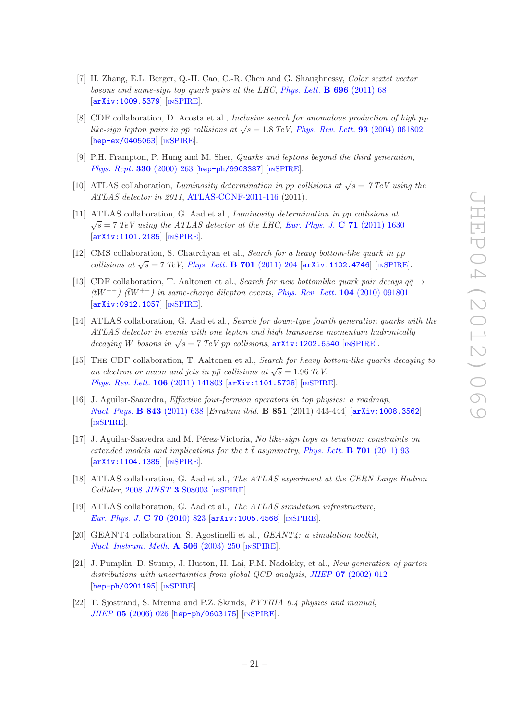- <span id="page-21-15"></span>[7] H. Zhang, E.L. Berger, Q.-H. Cao, C.-R. Chen and G. Shaughnessy, Color sextet vector bosons and same-sign top quark pairs at the LHC, [Phys. Lett.](http://dx.doi.org/10.1016/j.physletb.2010.12.005) **B** 696 (2011) 68 [[arXiv:1009.5379](http://arxiv.org/abs/1009.5379)] [IN[SPIRE](http://inspirehep.net/search?p=find+J+Phys.Lett.,B696,68)].
- <span id="page-21-1"></span>[8] CDF collaboration, D. Acosta et al., Inclusive search for anomalous production of high  $p_T$ like-sign lepton pairs in pp collisions at  $\sqrt{s} = 1.8$  TeV, [Phys. Rev. Lett.](http://dx.doi.org/10.1103/PhysRevLett.93.061802) **93** (2004) 061802 [[hep-ex/0405063](http://arxiv.org/abs/hep-ex/0405063)] [IN[SPIRE](http://inspirehep.net/search?p=find+J+Phys.Rev.Lett.,93,061802)].
- <span id="page-21-2"></span>[9] P.H. Frampton, P. Hung and M. Sher, Quarks and leptons beyond the third generation, [Phys. Rept.](http://dx.doi.org/10.1016/S0370-1573(99)00095-2) 330 (2000) 263 [[hep-ph/9903387](http://arxiv.org/abs/hep-ph/9903387)] [IN[SPIRE](http://inspirehep.net/search?p=find+J+Phys.Rept.,330,263)].
- <span id="page-21-3"></span>[10] ATLAS collaboration, Luminosity determination in pp collisions at  $\sqrt{s} = 7 \text{ TeV}$  using the ATLAS detector in 2011, [ATLAS-CONF-2011-116](http://cdsweb.cern.ch/record/1376384) (2011).
- <span id="page-21-4"></span>[11] ATLAS collaboration, G. Aad et al., Luminosity determination in pp collisions at  $\sqrt{s} = 7 \; TeV$  using the ATLAS detector at the LHC, [Eur. Phys. J.](http://dx.doi.org/10.1140/epjc/s10052-011-1630-5) C 71 (2011) 1630  $\left[\text{arXiv}:1101.2185\right]$   $\left[\text{nSPIRE}\right]$  $\left[\text{nSPIRE}\right]$  $\left[\text{nSPIRE}\right]$ .
- <span id="page-21-5"></span>[12] CMS collaboration, S. Chatrchyan et al., Search for a heavy bottom-like quark in pp collisions at  $\sqrt{s} = 7 \text{ TeV}$ , [Phys. Lett.](http://dx.doi.org/10.1016/j.physletb.2011.05.074) **B 701** (2011) 204 [[arXiv:1102.4746](http://arxiv.org/abs/1102.4746)] [IN[SPIRE](http://inspirehep.net/search?p=find+J+Phys.Lett.,B701,204)].
- <span id="page-21-6"></span>[13] CDF collaboration, T. Aaltonen et al., Search for new bottomlike quark pair decays  $q\bar{q} \rightarrow$  $(tW^{-+})$  (tw<sup>+-</sup>) in same-charge dilepton events, [Phys. Rev. Lett.](http://dx.doi.org/10.1103/PhysRevLett.104.091801) 104 (2010) 091801 [[arXiv:0912.1057](http://arxiv.org/abs/0912.1057)] [IN[SPIRE](http://inspirehep.net/search?p=find+J+Phys.Rev.Lett.,104,091801)].
- <span id="page-21-7"></span>[14] ATLAS collaboration, G. Aad et al., Search for down-type fourth generation quarks with the ATLAS detector in events with one lepton and high transverse momentum hadronically decaying W bosons in  $\sqrt{s} = 7$  TeV pp collisions,  $\ar{xiv:1202.6540}$  [IN[SPIRE](http://inspirehep.net/search?p=find+EPRINT+arXiv:1202.6540)].
- <span id="page-21-8"></span>[15] The CDF collaboration, T. Aaltonen et al., Search for heavy bottom-like quarks decaying to an electron or muon and jets in  $p\bar{p}$  collisions at  $\sqrt{s} = 1.96$  TeV, [Phys. Rev. Lett.](http://dx.doi.org/10.1103/PhysRevLett.106.141803) 106 (2011) 141803 [[arXiv:1101.5728](http://arxiv.org/abs/1101.5728)] [IN[SPIRE](http://inspirehep.net/search?p=find+J+Phys.Rev.Lett.,106,141803)].
- <span id="page-21-9"></span>[16] J. Aguilar-Saavedra, Effective four-fermion operators in top physics: a roadmap, [Nucl. Phys.](http://dx.doi.org/10.1016/j.nuclphysb.2010.10.015) B 843 (2011) 638 [Erratum ibid. B 851 (2011) 443-444] [[arXiv:1008.3562](http://arxiv.org/abs/1008.3562)] [IN[SPIRE](http://inspirehep.net/search?p=find+J+Nucl.Phys.,B843,638)].
- <span id="page-21-0"></span>[17] J. Aguilar-Saavedra and M. Pérez-Victoria, No like-sign tops at tevatron: constraints on extended models and implications for the t  $\bar{t}$  asymmetry, [Phys. Lett.](http://dx.doi.org/10.1016/j.physletb.2011.05.037) **B** 701 (2011) 93 [[arXiv:1104.1385](http://arxiv.org/abs/1104.1385)] [IN[SPIRE](http://inspirehep.net/search?p=find+J+Phys.Lett.,B701,93)].
- <span id="page-21-10"></span>[18] ATLAS collaboration, G. Aad et al., The ATLAS experiment at the CERN Large Hadron Collider, 2008 JINST 3 [S08003](http://dx.doi.org/10.1088/1748-0221/3/08/S08003) [IN[SPIRE](http://inspirehep.net/search?p=find+J+JINST,3,S08003)].
- <span id="page-21-11"></span>[19] ATLAS collaboration, G. Aad et al., The ATLAS simulation infrastructure, [Eur. Phys. J.](http://dx.doi.org/10.1140/epjc/s10052-010-1429-9) C 70 (2010) 823 [[arXiv:1005.4568](http://arxiv.org/abs/1005.4568)] [IN[SPIRE](http://inspirehep.net/search?p=find+J+Eur.Phys.J.,C70,823)].
- <span id="page-21-12"></span>[20] GEANT4 collaboration, S. Agostinelli et al., GEANT4: a simulation toolkit, [Nucl. Instrum. Meth.](http://dx.doi.org/10.1016/S0168-9002(03)01368-8) **A 506** (2003) 250 [IN[SPIRE](http://inspirehep.net/search?p=find+J+Nucl.Instrum.Meth.,A506,250)].
- <span id="page-21-13"></span>[21] J. Pumplin, D. Stump, J. Huston, H. Lai, P.M. Nadolsky, et al., New generation of parton distributions with uncertainties from global QCD analysis, JHEP 07 [\(2002\) 012](http://dx.doi.org/10.1088/1126-6708/2002/07/012) [[hep-ph/0201195](http://arxiv.org/abs/hep-ph/0201195)] [IN[SPIRE](http://inspirehep.net/search?p=find+J+JHEP,0207,012)].
- <span id="page-21-14"></span>[22] T. Sjöstrand, S. Mrenna and P.Z. Skands, PYTHIA 6.4 physics and manual, JHEP 05 [\(2006\) 026](http://dx.doi.org/10.1088/1126-6708/2006/05/026) [[hep-ph/0603175](http://arxiv.org/abs/hep-ph/0603175)] [IN[SPIRE](http://inspirehep.net/search?p=find+J+JHEP,0605,026)].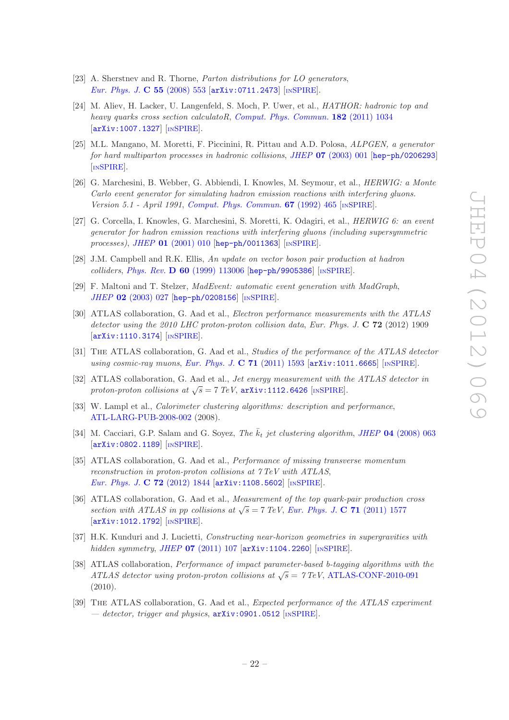- <span id="page-22-0"></span>[23] A. Sherstnev and R. Thorne, *Parton distributions for LO generators*, [Eur. Phys. J.](http://dx.doi.org/10.1140/epjc/s10052-008-0610-x) C 55 (2008) 553 [[arXiv:0711.2473](http://arxiv.org/abs/0711.2473)] [IN[SPIRE](http://inspirehep.net/search?p=find+J+Eur.Phys.J.,C55,553)].
- <span id="page-22-1"></span>[24] M. Aliev, H. Lacker, U. Langenfeld, S. Moch, P. Uwer, et al., HATHOR: hadronic top and heavy quarks cross section calculatoR, [Comput. Phys. Commun.](http://dx.doi.org/10.1016/j.cpc.2010.12.040) 182 (2011) 1034 [[arXiv:1007.1327](http://arxiv.org/abs/1007.1327)] [IN[SPIRE](http://inspirehep.net/search?p=find+J+Comput.Phys.Commun.,182,1034)].
- <span id="page-22-2"></span>[25] M.L. Mangano, M. Moretti, F. Piccinini, R. Pittau and A.D. Polosa, ALPGEN, a generator for hard multiparton processes in hadronic collisions, JHEP 07 [\(2003\) 001](http://dx.doi.org/10.1088/1126-6708/2003/07/001) [[hep-ph/0206293](http://arxiv.org/abs/hep-ph/0206293)] [IN[SPIRE](http://inspirehep.net/search?p=find+J+JHEP,0307,001)].
- <span id="page-22-3"></span>[26] G. Marchesini, B. Webber, G. Abbiendi, I. Knowles, M. Seymour, et al., HERWIG: a Monte Carlo event generator for simulating hadron emission reactions with interfering gluons. Version 5.1 - April 1991, [Comput. Phys. Commun.](http://dx.doi.org/10.1016/0010-4655(92)90055-4) **67** (1992) 465 [IN[SPIRE](http://inspirehep.net/search?p=find+J+Comput.Phys.Commun.,67,465)].
- <span id="page-22-4"></span>[27] G. Corcella, I. Knowles, G. Marchesini, S. Moretti, K. Odagiri, et al., HERWIG 6: an event generator for hadron emission reactions with interfering gluons (including supersymmetric processes), JHEP 01 [\(2001\) 010](http://dx.doi.org/10.1088/1126-6708/2001/01/010) [[hep-ph/0011363](http://arxiv.org/abs/hep-ph/0011363)] [IN[SPIRE](http://inspirehep.net/search?p=find+J+JHEP,0101,010)].
- <span id="page-22-5"></span>[28] J.M. Campbell and R.K. Ellis, An update on vector boson pair production at hadron colliders, Phys. Rev. D 60 [\(1999\) 113006](http://dx.doi.org/10.1103/PhysRevD.60.113006)  $[hep-ph/9905386]$  $[hep-ph/9905386]$  $[hep-ph/9905386]$   $[INSPIRE]$  $[INSPIRE]$  $[INSPIRE]$ .
- <span id="page-22-6"></span>[29] F. Maltoni and T. Stelzer, MadEvent: automatic event generation with MadGraph, JHEP 02 [\(2003\) 027](http://dx.doi.org/10.1088/1126-6708/2003/02/027) [[hep-ph/0208156](http://arxiv.org/abs/hep-ph/0208156)] [IN[SPIRE](http://inspirehep.net/search?p=find+J+JHEP,0302,027)].
- <span id="page-22-7"></span>[30] ATLAS collaboration, G. Aad et al., Electron performance measurements with the ATLAS detector using the 2010 LHC proton-proton collision data, Eur. Phys. J. C 72 (2012) 1909 [[arXiv:1110.3174](http://arxiv.org/abs/1110.3174)] [IN[SPIRE](http://inspirehep.net/search?p=find+EPRINT+arXiv:1110.3174)].
- <span id="page-22-8"></span>[31] The ATLAS collaboration, G. Aad et al., Studies of the performance of the ATLAS detector using cosmic-ray muons, [Eur. Phys. J.](http://dx.doi.org/10.1140/epjc/s10052-011-1593-6) **C 71** (2011) 1593 [[arXiv:1011.6665](http://arxiv.org/abs/1011.6665)] [IN[SPIRE](http://inspirehep.net/search?p=find+J+Eur.Phys.J.,C71,1593)].
- <span id="page-22-9"></span>[32] ATLAS collaboration, G. Aad et al., *Jet energy measurement with the ATLAS detector in* proton-proton collisions at  $\sqrt{s} = 7 \text{ TeV}$ ,  $\text{arXiv:1112.6426}$  $\text{arXiv:1112.6426}$  $\text{arXiv:1112.6426}$  [IN[SPIRE](http://inspirehep.net/search?p=find+EPRINT+arXiv:1112.6426)].
- <span id="page-22-10"></span>[33] W. Lampl et al., *Calorimeter clustering algorithms: description and performance*, [ATL-LARG-PUB-2008-002](http://cdsweb.cern.ch/record/1099735) (2008).
- <span id="page-22-11"></span>[34] M. Cacciari, G.P. Salam and G. Soyez, The  $\bar{k}_t$  jet clustering algorithm, JHEP 04 [\(2008\) 063](http://dx.doi.org/10.1088/1126-6708/2008/04/063) [[arXiv:0802.1189](http://arxiv.org/abs/0802.1189)] [IN[SPIRE](http://inspirehep.net/search?p=find+J+JHEP,0804,063)].
- <span id="page-22-12"></span>[35] ATLAS collaboration, G. Aad et al., Performance of missing transverse momentum reconstruction in proton-proton collisions at 7 TeV with ATLAS, [Eur. Phys. J.](http://dx.doi.org/10.1140/epjc/s10052-011-1844-6) **C 72** (2012) 1844 [[arXiv:1108.5602](http://arxiv.org/abs/1108.5602)] [IN[SPIRE](http://inspirehep.net/search?p=find+J+Eur.Phys.J.,C72,1844)].
- <span id="page-22-13"></span>[36] ATLAS collaboration, G. Aad et al., Measurement of the top quark-pair production cross section with ATLAS in pp collisions at  $\sqrt{s} = 7 \text{ TeV}$ , [Eur. Phys. J.](http://dx.doi.org/10.1140/epjc/s10052-011-1577-6) C 71 (2011) 1577 [[arXiv:1012.1792](http://arxiv.org/abs/1012.1792)] [IN[SPIRE](http://inspirehep.net/search?p=find+J+Eur.Phys.J.,C71,1577)].
- <span id="page-22-14"></span>[37] H.K. Kunduri and J. Lucietti, Constructing near-horizon geometries in supergravities with hidden symmetry, JHEP  $07$  [\(2011\) 107](http://dx.doi.org/10.1007/JHEP07(2011)107)  $\text{arXiv:1104.2260}$  $\text{arXiv:1104.2260}$  $\text{arXiv:1104.2260}$   $\text{lnSPIRE}$  $\text{lnSPIRE}$  $\text{lnSPIRE}$ .
- <span id="page-22-15"></span>[38] ATLAS collaboration, Performance of impact parameter-based b-tagging algorithms with the ATLAS detector using proton-proton collisions at  $\sqrt{s} = 7 \text{ TeV}$ , [ATLAS-CONF-2010-091](http://cdsweb.cern.ch/record/1299106) (2010).
- <span id="page-22-16"></span>[39] The ATLAS collaboration, G. Aad et al., Expected performance of the ATLAS experiment — detector, trigger and physics,  $arXiv:0901.0512$  [IN[SPIRE](http://inspirehep.net/search?p=find+EPRINT+arXiv:0901.0512)].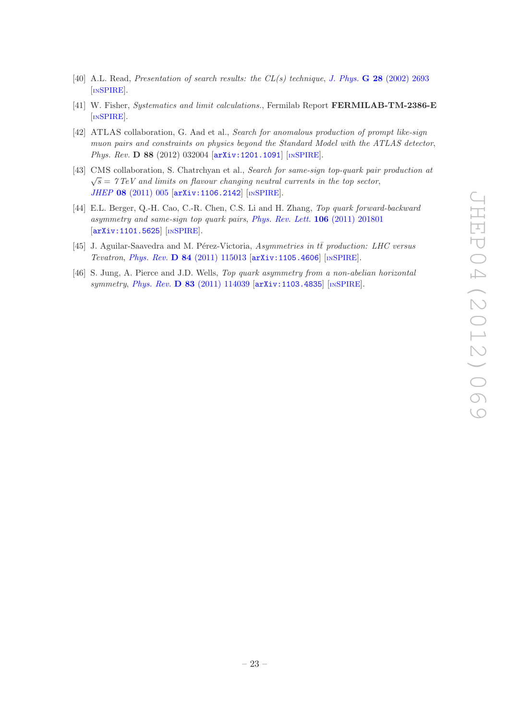- <span id="page-23-0"></span>[40] A.L. Read, Presentation of search results: the  $CL(s)$  technique, J. Phys. **G 28** [\(2002\) 2693](http://dx.doi.org/10.1088/0954-3899/28/10/313) [IN[SPIRE](http://inspirehep.net/search?p=find+J.Phys.,G28,2693)].
- <span id="page-23-1"></span>[41] W. Fisher, Systematics and limit calculations., Fermilab Report FERMILAB-TM-2386-E [IN[SPIRE](http://inspirehep.net/search?p=find+http://www-spires.slac.stanford.edu/spires/find/hep/www?r=fermilab-tm-2386-e)].
- <span id="page-23-2"></span>[42] ATLAS collaboration, G. Aad et al., Search for anomalous production of prompt like-sign muon pairs and constraints on physics beyond the Standard Model with the ATLAS detector, Phys. Rev. D 88 (2012) 032004 [[arXiv:1201.1091](http://arxiv.org/abs/1201.1091)] [IN[SPIRE](http://inspirehep.net/search?p=find+EPRINT+arXiv:1201.1091)].
- <span id="page-23-3"></span>[43] CMS collaboration, S. Chatrchyan et al., Search for same-sign top-quark pair production at  $\sqrt{s}$  = 7 TeV and limits on flavour changing neutral currents in the top sector, JHEP 08 [\(2011\) 005](http://dx.doi.org/10.1007/JHEP08(2011)005) [[arXiv:1106.2142](http://arxiv.org/abs/1106.2142)] [IN[SPIRE](http://inspirehep.net/search?p=find+J+JHEP,1108,005)].
- <span id="page-23-4"></span>[44] E.L. Berger, Q.-H. Cao, C.-R. Chen, C.S. Li and H. Zhang, Top quark forward-backward asymmetry and same-sign top quark pairs, [Phys. Rev. Lett.](http://dx.doi.org/10.1103/PhysRevLett.106.201801) 106 (2011) 201801 [[arXiv:1101.5625](http://arxiv.org/abs/1101.5625)] [IN[SPIRE](http://inspirehep.net/search?p=find+J+Phys.Rev.Lett.,106,201801)].
- <span id="page-23-5"></span>[45] J. Aguilar-Saavedra and M. Pérez-Victoria, Asymmetries in tt production: LHC versus Tevatron, Phys. Rev. D 84 [\(2011\) 115013](http://dx.doi.org/10.1103/PhysRevD.84.115013) [[arXiv:1105.4606](http://arxiv.org/abs/1105.4606)] [IN[SPIRE](http://inspirehep.net/search?p=find+J+Phys.Rev.,D84,115013)].
- <span id="page-23-6"></span>[46] S. Jung, A. Pierce and J.D. Wells, Top quark asymmetry from a non-abelian horizontal symmetry, Phys. Rev. D 83 [\(2011\) 114039](http://dx.doi.org/10.1103/PhysRevD.83.114039) [[arXiv:1103.4835](http://arxiv.org/abs/1103.4835)] [IN[SPIRE](http://inspirehep.net/search?p=find+J+Phys.Rev.,D83,114039)].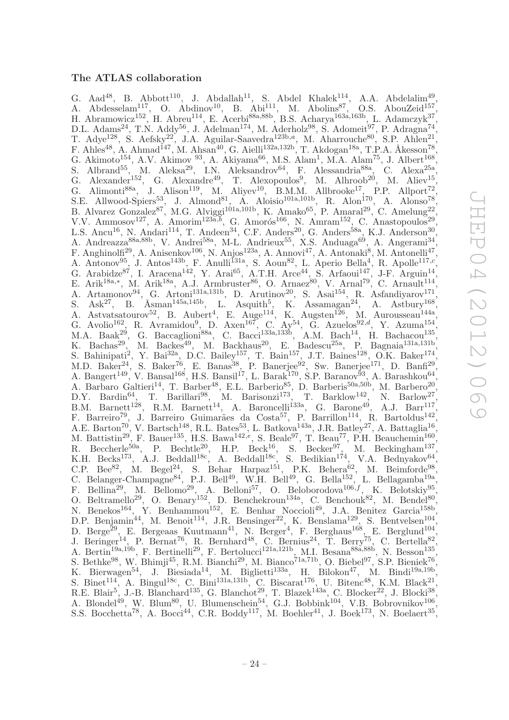# <span id="page-24-0"></span>The ATLAS collaboration

G. Aad<sup>48</sup>, B. Abbott<sup>110</sup>, J. Abdallah<sup>11</sup>, S. Abdel Khalek<sup>114</sup>, A.A. Abdelalim<sup>49</sup>, A. Abdesselam<sup>117</sup>, O. Abdinov<sup>10</sup>, B. Abi<sup>111</sup>, M. Abolins<sup>87</sup>, O.S. AbouZeid<sup>157</sup>, H. Abramowicz<sup>152</sup>, H. Abreu<sup>114</sup>, E. Acerbi<sup>88a,88b</sup>, B.S. Acharya<sup>163a,163b</sup>, L. Adamczyk<sup>37</sup>, D.L. Adams<sup>24</sup>, T.N. Addy<sup>56</sup>, J. Adelman<sup>174</sup>, M. Aderholz<sup>98</sup>, S. Adomeit<sup>97</sup>, P. Adragna<sup>74</sup>, T. Adye<sup>128</sup>, S. Aefsky<sup>22</sup>, J.A. Aguilar-Saavedra<sup>123b,a</sup>, M. Aharrouche<sup>80</sup>, S.P. Ahlen<sup>21</sup>, F. Ahles<sup>48</sup>, A. Ahmad<sup>147</sup>, M. Ahsan<sup>40</sup>, G. Aielli<sup>132a,132b</sup>, T. Akdogan<sup>18a</sup>, T.P.A. Åkesson<sup>78</sup> , G. Akimoto<sup>154</sup>, A.V. Akimov<sup>93</sup>, A. Akiyama<sup>66</sup>, M.S. Alam<sup>1</sup>, M.A. Alam<sup>75</sup>, J. Albert<sup>168</sup>, S. Albrand<sup>55</sup>, M. Aleksa<sup>29</sup>, I.N. Aleksandrov<sup>64</sup>, F. Alessandria<sup>88a</sup>, C. Alexa<sup>25a</sup>, G. Alexander<sup>152</sup>, G. Alexandre<sup>49</sup>, T. Alexopoulos<sup>9</sup>, M. Alhroob<sup>20</sup>, M. Aliev<sup>15</sup>, G. Alimonti<sup>88a</sup>, J. Alison<sup>119</sup>, M. Aliyev<sup>10</sup>, B.M.M. Allbrooke<sup>17</sup>, P.P. Allport<sup>72</sup>, S.E. Allwood-Spiers<sup>53</sup>, J. Almond<sup>81</sup>, A. Aloisio<sup>101a,101b</sup>, R. Alon<sup>170</sup>, A. Alonso<sup>78</sup>, B. Alvarez Gonzalez<sup>87</sup>, M.G. Alviggi<sup>101a,101b</sup>, K. Amako<sup>65</sup>, P. Amaral<sup>29</sup>, C. Amelung<sup>22</sup>, V.V. Ammosov<sup>127</sup>, A. Amorim<sup>123 $\tilde{a}$ , G. Amorós<sup>166</sup>, N. Amram<sup>152</sup>, C. Anastopoulos<sup>29</sup>,</sup> L.S. Ancu<sup>16</sup>, N. Andari<sup>114</sup>, T. Andeen<sup>34</sup>, C.F. Anders<sup>20</sup>, G. Anders<sup>58a</sup>, K.J. Anderson<sup>30</sup>, A. Andreazza<sup>88a, 88b</sup>, V. Andrei<sup>58a</sup>, M-L. Andrieux<sup>55</sup>, X.S. Anduaga<sup>69</sup>, A. Angerami<sup>34</sup>, , A. Andreazza<sup>88a,88b</sup>, V. Andrei<sup>58a</sup>, M-L. Andrieux<sup>55</sup>, X.S. Anduaga<sup>69</sup>, A. Angerami<sup>34</sup>, F. Anghinolfi<sup>29</sup>, A. Anisenkov<sup>106</sup>, N. Anjos<sup>123a</sup>, A. Annovi<sup>47</sup>, A. Antonaki<sup>8</sup>, M. Antonelli<sup>47</sup>, A. Antonov<sup>95</sup>, J. Antos<sup>143b</sup>, F. Anulli<sup>131a</sup>, S. Aoun<sup>82</sup>, L. Aperio Bella<sup>4</sup>, R. Apolle<sup>117,c</sup>, G. Arabidze<sup>87</sup>, I. Aracena<sup>142</sup>, Y. Arai<sup>65</sup>, A.T.H. Arce<sup>44</sup>, S. Arfaoui<sup>147</sup>, J-F. Arguin<sup>14</sup>, E. Arik<sup>18a,\*</sup>, M. Arik<sup>18a</sup>, A.J. Armbruster<sup>86</sup>, O. Arnaez<sup>80</sup>, V. Arnal<sup>79</sup>, C. Arnault<sup>114</sup>, A. Artamonov<sup>94</sup>, G. Artoni<sup>131a,131b</sup>, D. Arutinov<sup>20</sup>, S. Asai<sup>154</sup>, R. Asfandiyarov<sup>171</sup>, S. Ask<sup>27</sup>, B. Åsman<sup>145a,145b</sup>, L. Asquith<sup>5</sup>, K. Assamagan<sup>24</sup>, A. Astbury<sup>168</sup>, A. Astvatsatourov<sup>52</sup>, B. Aubert<sup>4</sup>, E. Auge<sup>114</sup>, K. Augsten<sup>126</sup>, M. Aurousseau<sup>144a</sup>, G. Avolio<sup>162</sup>, R. Avramidou<sup>9</sup>, D. Axen<sup>167</sup>, C. Ay<sup>54</sup>, G. Azuelos<sup>92,d</sup>, Y. Azuma<sup>154</sup>, M.A. Baak<sup>29</sup>, G. Baccaglioni<sup>88a</sup>, C. Bacci<sup>133a,133b</sup>, A.M. Bach<sup>14</sup>, H. Bachacou<sup>135</sup>, K. Bachas<sup>29</sup>, M. Backes<sup>49</sup>, M. Backhaus<sup>20</sup>, E. Badescu<sup>25a</sup>, P. Bagnaia<sup>131a,131b</sup>, S. Bahinipati<sup>2</sup>, Y. Bai<sup>32a</sup>, D.C. Bailey<sup>157</sup>, T. Bain<sup>157</sup>, J.T. Baines<sup>128</sup>, O.K. Baker<sup>174</sup>, M.D. Baker<sup>24</sup>, S. Baker<sup>76</sup>, E. Banas<sup>38</sup>, P. Banerjee<sup>92</sup>, Sw. Banerjee<sup>171</sup>, D. Banfi<sup>29</sup>, A. Bangert<sup>149</sup>, V. Bansal<sup>168</sup>, H.S. Bansil<sup>17</sup>, L. Barak<sup>170</sup>, S.P. Baranov<sup>93</sup>, A. Barashkou<sup>64</sup>, A. Barbaro Galtieri<sup>14</sup>, T. Barber<sup>48</sup>, E.L. Barberio<sup>85</sup>, D. Barberis<sup>50a,50b</sup>, M. Barbero<sup>20</sup>, D.Y. Bardin<sup>64</sup>, T. Barillari<sup>98</sup>, M. Barisonzi<sup>173</sup>, T. Barklow<sup>142</sup>, N. Barlow<sup>27</sup>, B.M. Barnett<sup>128</sup>, R.M. Barnett<sup>14</sup>, A. Baroncelli<sup>133a</sup>, G. Barone<sup>49</sup>, A.J. Barr<sup>117</sup>, F. Barreiro<sup>79</sup>, J. Barreiro Guimarães da Costa<sup>57</sup>, P. Barrillon<sup>114</sup>, R. Bartoldus<sup>142</sup>, A.E. Barton<sup>70'</sup>, V. Bartsch<sup>148</sup>, R.L. Bates<sup>53</sup>, L. Batkova<sup>143a</sup>, J.R. Batley<sup>27</sup>, A. Battaglia<sup>16'</sup>, M. Battistin<sup>29</sup>, F. Bauer<sup>135</sup>, H.S. Bawa<sup>142,e</sup>, S. Beale<sup>97</sup>, T. Beau<sup>77</sup>, P.H. Beauchemin<sup>160</sup>, R. Beccherle<sup>50a</sup>, P. Bechtle<sup>20</sup>, H.P. Beck<sup>16</sup>, S. Becker<sup>97</sup>, M. Beckingham<sup>137</sup>, K.H. Becks<sup>173</sup>, A.J. Beddall<sup>18c</sup>, A. Beddall<sup>18c</sup>, S. Bedikian<sup>174</sup>, V.A. Bednyakov<sup>64</sup>, C.P. Bee<sup>82</sup>, M. Begel<sup>24</sup>, S. Behar Harpaz<sup>151</sup>, P.K. Behera<sup>62</sup>, M. Beimforde<sup>98</sup>, C. Belanger-Champagne<sup>84</sup>, P.J. Bell<sup>49</sup>, W.H. Bell<sup>49</sup>, G. Bella<sup>152</sup>, L. Bellagamba<sup>19a</sup>, F. Bellina<sup>29</sup>, M. Bellomo<sup>29</sup>, A. Belloni<sup>57</sup>, O. Beloborodova<sup>106,f</sup>, K. Belotskiy<sup>95</sup> , O. Beltramello<sup>29</sup>, O. Benary<sup>152</sup>, D. Benchekroun<sup>134a</sup>, C. Benchouk<sup>82</sup>, M. Bendel<sup>80</sup>, N. Benekos<sup>164</sup>, Y. Benhammou<sup>152</sup>, E. Benhar Noccioli<sup>49</sup>, J.A. Benitez Garcia<sup>158b</sup>, D.P. Benjamin<sup>44</sup>, M. Benoit<sup>114</sup>, J.R. Bensinger<sup>22</sup>, K. Benslama<sup>129</sup>, S. Bentvelsen<sup>104</sup>, D. Berge<sup>29</sup>, E. Bergeaas Kuutmann<sup>41</sup>, N. Berger<sup>4</sup>, F. Berghaus<sup>168</sup>, E. Berglund<sup>104</sup>, J. Beringer<sup>14</sup>, P. Bernat<sup>76</sup>, R. Bernhard<sup>48</sup>, C. Bernius<sup>24</sup>, T. Berry<sup>75</sup>, C. Bertella<sup>82</sup>, A. Bertin<sup>19a,19b</sup>, F. Bertinelli<sup>29</sup>, F. Bertolucci<sup>121a,121b</sup>, M.I. Besana<sup>88a,88b</sup>, N. Besson<sup>135</sup>, S. Bethke<sup>98</sup>, W. Bhimji<sup>45</sup>, R.M. Bianchi<sup>29</sup>, M. Bianco<sup>71a,71b</sup>, O. Biebel<sup>97</sup>, S.P. Bieniek<sup>76</sup>, , K. Bierwagen<sup>54</sup>, J. Biesiada<sup>14</sup>, M. Biglietti<sup>133a</sup>, H. Bilokon<sup>47</sup>, M. Bindi<sup>19a,19b</sup>, S. Binet<sup>114</sup>, A. Bingul<sup>18c</sup>, C. Bini<sup>131a,131b</sup>, C. Biscarat<sup>176</sup>, U. Bitenc<sup>48</sup>, K.M. Black<sup>21</sup>, R.E. Blair<sup>5</sup>, J.-B. Blanchard<sup>135</sup>, G. Blanchot<sup>29</sup>, T. Blazek<sup>143a</sup>, C. Blocker<sup>22</sup>, J. Blocki<sup>38</sup>, A. Blondel<sup>49</sup>, W. Blum<sup>80</sup>, U. Blumenschein<sup>54</sup>, G.J. Bobbink<sup>104</sup>, V.B. Bobrovnikov<sup>106</sup>, S.S. Bocchetta<sup>78</sup>, A. Bocci<sup>44</sup>, C.R. Boddy<sup>117</sup>, M. Boehler<sup>41</sup>, J. Boek<sup>173</sup>, N. Boelaert<sup>35</sup>,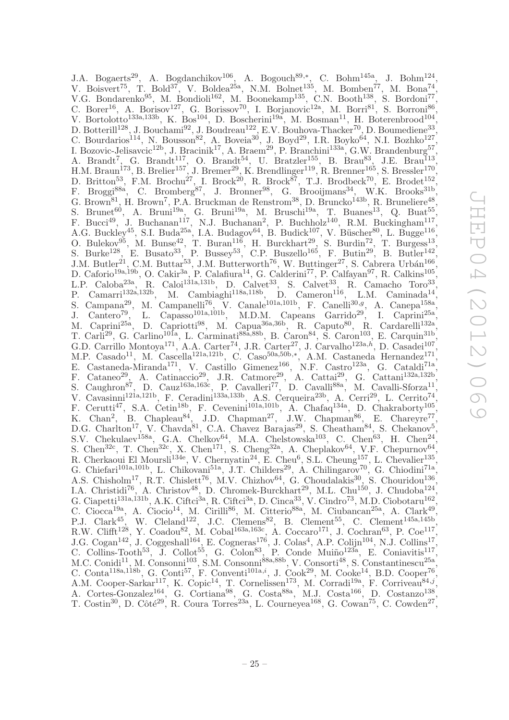J.A. Bogaerts<sup>29</sup>, A. Bogdanchikov<sup>106</sup>, A. Bogouch<sup>89,\*</sup>, C. Bohm<sup>145a</sup>, J. Bohm<sup>124</sup>, V. Boisvert<sup>75</sup>, T. Bold<sup>37</sup>, V. Boldea<sup>25a</sup>, N.M. Bolnet<sup>135</sup>, M. Bomben<sup>77</sup>, M. Bona<sup>74</sup>, V.G. Bondarenko<sup>95</sup>, M. Bondioli<sup>162</sup>, M. Boonekamp<sup>135</sup>, C.N. Booth<sup>138</sup>, S. Bordoni<sup>77</sup>, C. Borer<sup>16</sup>, A. Borisov<sup>127</sup>, G. Borissov<sup>70</sup>, I. Borjanovic<sup>12a</sup>, M. Borri<sup>81</sup>, S. Borroni<sup>86</sup>, V. Bortolotto<sup>133a,133b</sup>, K. Bos<sup>104</sup>, D. Boscherini<sup>19a</sup>, M. Bosman<sup>11</sup>, H. Boterenbrood<sup>104</sup>, D. Botterill<sup>128</sup>, J. Bouchami<sup>92</sup>, J. Boudreau<sup>122</sup>, E.V. Bouhova-Thacker<sup>70</sup>, D. Boumediene<sup>33</sup>, C. Bourdarios<sup>114</sup>, N. Bousson<sup>82</sup>, A. Boveia<sup>30</sup>, J. Boyd<sup>29</sup>, I.R. Boyko<sup>64</sup>, N.I. Bozhko<sup>127</sup>, I. Bozovic-Jelisavcic<sup>12b</sup>, J. Bracinik<sup>17</sup>, A. Braem<sup>29</sup>, P. Branchini<sup>133a</sup>, G.W. Brandenburg<sup>57</sup>, A. Brandt<sup>7</sup>, G. Brandt<sup>117</sup>, O. Brandt<sup>54</sup>, U. Bratzler<sup>155</sup>, B. Brau<sup>83</sup>, J.E. Brau<sup>113</sup>, H.M. Braun<sup>173</sup>, B. Brelier<sup>157</sup>, J. Bremer<sup>29</sup>, K. Brendlinger<sup>119</sup>, R. Brenner<sup>165</sup>, S. Bressler<sup>170</sup>, D. Britton<sup>53</sup>, F.M. Brochu<sup>27</sup>, I. Brock<sup>20</sup>, R. Brock<sup>87</sup>, T.J. Brodbeck<sup>70</sup>, E. Brodet<sup>152</sup>, F. Broggi<sup>88a</sup>, C. Bromberg<sup>87</sup>, J. Bronner<sup>98</sup>, G. Brooijmans<sup>34</sup>, W.K. Brooks<sup>31b</sup>, G. Brown<sup>81</sup>, H. Brown<sup>7</sup>, P.A. Bruckman de Renstrom<sup>38</sup>, D. Bruncko<sup>143b</sup>, R. Bruneliere<sup>48</sup> , S. Brunet<sup>60</sup>, A. Bruni<sup>19a</sup>, G. Bruni<sup>19a</sup>, M. Bruschi<sup>19a</sup>, T. Buanes<sup>13</sup>, Q. Buat<sup>55</sup>, F. Bucci<sup>49</sup>, J. Buchanan<sup>117</sup>, N.J. Buchanan<sup>2</sup>, P. Buchholz<sup>140</sup>, R.M. Buckingham<sup>117</sup>, A.G. Buckley<sup>45</sup>, S.I. Buda<sup>25a'</sup>, I.A. Budagov<sup>64</sup>, B. Budick<sup>107</sup>, V. Büscher<sup>80</sup>, L. Bugge<sup>116</sup>, O. Bulekov<sup>95</sup>, M. Bunse<sup>42</sup>, T. Buran<sup>116</sup>, H. Burckhart<sup>29</sup>, S. Burdin<sup>72</sup>, T. Burgess<sup>13</sup>, S. Burke<sup>128</sup>, E. Busato<sup>33</sup>, P. Bussey<sup>53</sup>, C.P. Buszello<sup>165</sup>, F. Butin<sup>29</sup>, B. Butler<sup>142</sup>, J.M. Butler<sup>21</sup>, C.M. Buttar<sup>53</sup>, J.M. Butterworth<sup>76</sup>, W. Buttinger<sup>27</sup>, S. Cabrera Urbán<sup>166</sup>, D. Caforio<sup>19a,19b</sup>, O. Cakir<sup>3a</sup>, P. Calafiura<sup>14</sup>, G. Calderini<sup>77</sup>, P. Calfayan<sup>97</sup>, R. Calkins<sup>105</sup>, L.P. Caloba<sup>23a</sup>, R. Caloi<sup>131a,131b</sup>, D. Calvet<sup>33</sup>, S. Calvet<sup>33</sup>, R. Camacho Toro<sup>33</sup>, P. Camarri<sup>132a,132b</sup>, M. Cambiaghi<sup>118a,118b</sup>, D. Cameron<sup>116</sup>, L.M. Caminada<sup>14</sup>, S. Campana<sup>29</sup>, M. Campanelli<sup>76</sup>, V. Canale<sup>101a,101b</sup>, F. Canelli<sup>30,g</sup>, A. Canepa<sup>158a</sup>, J. Cantero<sup>79</sup>, L. Capasso<sup>101a,101b</sup>, M.D.M. Capeans Garrido<sup>29</sup>, I. Caprini<sup>25a</sup>, M. Caprini<sup>25a</sup>, D. Capriotti<sup>98</sup>, M. Capua<sup>36a,36b</sup>, R. Caputo<sup>80</sup>, R. Cardarelli<sup>132a</sup>, T. Carli<sup>29</sup>, G. Carlino<sup>101a</sup>, L. Carminati<sup>88a,88b</sup>, B. Caron<sup>84</sup>, S. Caron<sup>103</sup>, E. Carquin<sup>31b</sup>, G.D. Carrillo Montoya<sup>171</sup>, A.A. Carter<sup>74</sup>, J.R. Carter<sup>27</sup>, J. Carvalho<sup>123a,h</sup>, D. Casadei<sup>107</sup>, M.P. Casado<sup>11</sup>, M. Cascella<sup>121a,121b</sup>, C. Caso<sup>50a,50b,\*</sup>, A.M. Castaneda Hernandez<sup>171</sup>, E. Castaneda-Miranda<sup>171</sup>, V. Castillo Gimenez<sup>166</sup>, N.F. Castro<sup>123a</sup>, G. Cataldi<sup>71a</sup>, F. Cataneo<sup>29</sup>, A. Catinaccio<sup>29</sup>, J.R. Catmore<sup>29</sup>, A. Cattai<sup>29</sup>, G. Cattani<sup>132a,132b</sup>, S. Caughron<sup>87</sup>, D. Cauz<sup>163a,163c</sup>, P. Cavalleri<sup>77</sup>, D. Cavalli<sup>88a</sup>, M. Cavalli-Sforza<sup>11</sup>, V. Cavasinni<sup>121a,121b</sup>, F. Ceradini<sup>133a,133b</sup>, A.S. Cerqueira<sup>23b</sup>, A. Cerri<sup>29</sup>, L. Cerrito<sup>74</sup>, F. Cerutti<sup>47</sup>, S.A. Cetin<sup>18b</sup>, F. Cevenini<sup>101a,101b</sup>, A. Chafaq<sup>134a</sup>, D. Chakraborty<sup>105</sup>, K. Chan<sup>2</sup>, B. Chapleau<sup>84</sup>, J.D. Chapman<sup>27</sup>, J.W. Chapman<sup>86</sup>, E. Chareyre<sup>77</sup>, D.G. Charlton<sup>17</sup>, V. Chavda<sup>81</sup>, C.A. Chavez Barajas<sup>29</sup>, S. Cheatham<sup>84</sup>, S. Chekanov<sup>5</sup>, S.V. Chekulaev<sup>158a</sup>, G.A. Chelkov<sup>64</sup>, M.A. Chelstowska<sup>103</sup>, C. Chen<sup>63</sup>, H. Chen<sup>24</sup>, S. Chen<sup>32c</sup>, T. Chen<sup>32c</sup>, X. Chen<sup>171</sup>, S. Cheng<sup>32a</sup>, A. Cheplakov<sup>64</sup>, V.F. Chepurnov<sup>64</sup>, R. Cherkaoui El Moursli<sup>134e</sup>, V. Chernyatin<sup>24</sup>, E. Cheu<sup>6</sup>, S.L. Cheung<sup>157</sup>, L. Chevalier<sup>135</sup>, G. Chiefari<sup>101a,101b</sup>, L. Chikovani<sup>51a</sup>, J.T. Childers<sup>29</sup>, A. Chilingarov<sup>70</sup>, G. Chiodini<sup>71a</sup>, A.S. Chisholm<sup>17</sup>, R.T. Chislett<sup>76</sup>, M.V. Chizhov<sup>64</sup>, G. Choudalakis<sup>30</sup>, S. Chouridou<sup>136</sup>, I.A. Christidi<sup>76</sup>, A. Christov<sup>48</sup>, D. Chromek-Burckhart<sup>29</sup>, M.L. Chu<sup>150</sup>, J. Chudoba<sup>124</sup>, G. Ciapetti<sup>131a, 131b</sup>, A.K. Ciftci<sup>3a</sup>, R. Ciftci<sup>3a</sup>, D. Cinca<sup>33</sup>, V. Cindro<sup>73</sup>, M.D. Ciobotaru<sup>162</sup>, C. Ciocca<sup>19a</sup>, A. Ciocio<sup>14</sup>, M. Cirilli<sup>86</sup>, M. Citterio<sup>88a</sup>, M. Ciubancan<sup>25a</sup>, A. Clark<sup>49</sup>, P.J. Clark<sup>45</sup>, W. Cleland<sup>122</sup>, J.C. Clemens<sup>82</sup>, B. Clement<sup>55</sup>, C. Clement<sup>145a,145b</sup>, R.W. Clifft<sup>128</sup>, Y. Coadou<sup>82</sup>, M. Cobal<sup>163a,163c</sup>, A. Coccaro<sup>171</sup>, J. Cochran<sup>63</sup>, P. Coe<sup>117</sup>, J.G. Cogan<sup>142</sup>, J. Coggeshall<sup>164</sup>, E. Cogneras<sup>176</sup>, J. Colas<sup>4</sup>, A.P. Colijn<sup>104</sup>, N.J. Collins<sup>17</sup>, C. Collins-Tooth<sup>53</sup>, J. Collot<sup>55</sup>, G. Colon<sup>83</sup>, P. Conde Muiño<sup>123a</sup>, E. Coniavitis<sup>117</sup>, M.C. Conidi<sup>11</sup>, M. Consonni<sup>103</sup>, S.M. Consonni<sup>88a,88b</sup>, V. Consorti<sup>48</sup>, S. Constantinescu<sup>25a</sup>, C. Conta<sup>118a,118b</sup>, G. Conti<sup>57</sup>, F. Conventi<sup>101a,i</sup>, J. Cook<sup>29</sup>, M. Cooke<sup>14</sup>, B.D. Cooper<sup>76</sup>, A.M. Cooper-Sarkar<sup>117</sup>, K. Copic<sup>14</sup>, T. Cornelissen<sup>173</sup>, M. Corradi<sup>19a</sup>, F. Corriveau<sup>84,j</sup>, A. Cortes-Gonzalez<sup>164</sup>, G. Cortiana<sup>98</sup>, G. Costa<sup>88a</sup>, M.J. Costa<sup>166</sup>, D. Costanzo<sup>138</sup>, T. Costin<sup>30</sup>, D. Côté<sup>29</sup>, R. Coura Torres<sup>23a</sup>, L. Courneyea<sup>168</sup>, G. Cowan<sup>75</sup>, C. Cowden<sup>27</sup>,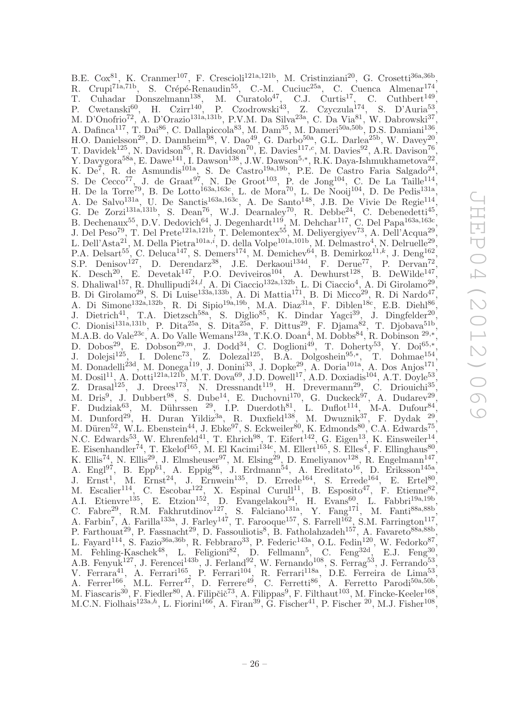B.E. Cox<sup>81</sup>, K. Cranmer<sup>107</sup>, F. Crescioli<sup>121a,121b</sup>, M. Cristinziani<sup>20</sup>, G. Crosetti<sup>36a,36b</sup> , R. Crupi<sup>71a,71b</sup>, S. Crépé-Renaudin<sup>55</sup>, C.-M. Cuciuc<sup>25a</sup>, C. Cuenca Almenar<sup>174</sup>, T. Cuhadar Donszelmann<sup>138</sup>, M. Curatolo<sup>47</sup>, C.J. Curtis<sup>17</sup>, C. Cuthbert<sup>149</sup>, P. Cwetanski<sup>60</sup>, H. Czirr<sup>140</sup>, P. Czodrowski<sup>43</sup>, Z. Czyczula<sup>174</sup>, S. D'Auria<sup>53</sup>, M. D'Onofrio<sup>72</sup>, A. D'Orazio<sup>131a,131b</sup>, P.V.M. Da Silva<sup>23a</sup>, C. Da Via<sup>81</sup>, W. Dabrowski<sup>37</sup>, A. Dafinca<sup>117</sup>, T. Dai<sup>86</sup>, C. Dallapiccola<sup>83</sup>, M. Dam<sup>35</sup>, M. Dameri<sup>50a,50b</sup>, D.S. Damiani<sup>136</sup>, H.O. Danielsson<sup>29</sup>, D. Dannheim<sup>98</sup>, V. Dao<sup>49</sup>, G. Darbo<sup>50a</sup>, G.L. Darlea<sup>25b</sup>, W. Davey<sup>20</sup>, T. Davidek<sup>125</sup>, N. Davidson<sup>85</sup>, R. Davidson<sup>70</sup>, E. Davies<sup>117,c</sup>, M. Davies<sup>92</sup>, A.R. Davison<sup>76</sup>, Y. Davygora<sup>58a</sup>, E. Dawe<sup>141</sup>, I. Dawson<sup>138</sup>, J.W. Dawson<sup>5,\*</sup>, R.K. Daya-Ishmukhametova<sup>22</sup>, K.  $De^7$ , R. de Asmundis<sup>101a</sup>, S. De Castro<sup>19a, 19b</sup>, P.E. De Castro Faria Salgado<sup>24</sup>, S. De Cecco<sup>77</sup>, J. de Graat<sup>97</sup>, N. De Groot<sup>103</sup>, P. de Jong<sup>104</sup>, C. De La Taille<sup>114</sup>, H. De la Torre<sup>79</sup>, B. De Lotto<sup>163a,163c</sup>, L. de Mora<sup>70</sup>, L. De Nooij<sup>104</sup>, D. De Pedis<sup>131a</sup>, A. De Salvo<sup>131a</sup>, U. De Sanctis<sup>163a,163c</sup>, A. De Santo<sup>148</sup>, J.B. De Vivie De Regie<sup>114</sup>, G. De Zorzi<sup>131a,131b</sup>, S. Dean<sup>76</sup>, W.J. Dearnaley<sup>70</sup>, R. Debbe<sup>24</sup>, C. Debenedetti<sup>45</sup>, B. Dechenaux<sup>55</sup>, D.V. Dedovich<sup>64</sup>, J. Degenhardt<sup>119</sup>, M. Dehchar<sup>117</sup>, C. Del Papa<sup>163a,163c</sup>, J. Del Peso<sup>79</sup>, T. Del Prete<sup>121a,121b</sup>, T. Delemontex<sup>55</sup>, M. Deliyergiyev<sup>73</sup>, A. Dell'Acqua<sup>29</sup>, L. Dell'Asta<sup>21</sup>, M. Della Pietra<sup>101a, $i$ </sup>, D. della Volpe<sup>101a,101b</sup>, M. Delmastro<sup>4</sup>, N. Delruelle<sup>29</sup>, P.A. Delsart<sup>55</sup>, C. Deluca<sup>147</sup>, S. Demers<sup>174</sup>, M. Demichev<sup>64</sup>, B. Demirkoz<sup>11,k</sup>, J. Deng<sup>162</sup>, S.P. Denisov<sup>127</sup>, D. Derendarz<sup>38</sup>, J.E. Derkaoui<sup>134d</sup>, F. Derue<sup>77</sup>, P. Dervan<sup>72</sup>, K. Desch<sup>20</sup>, E. Devetak<sup>147</sup>, P.O. Deviveiros<sup>104</sup>, A. Dewhurst<sup>128</sup>, B. DeWilde<sup>147</sup>, S. Dhaliwal<sup>157</sup>, R. Dhullipudi<sup>24,1</sup>, A. Di Ciaccio<sup>132a,132b</sup>, L. Di Ciaccio<sup>4</sup>, A. Di Girolamo<sup>29</sup>, B. Di Girolamo<sup>29</sup>, S. Di Luise<sup>133a,133b</sup>, A. Di Mattia<sup>171</sup>, B. Di Micco<sup>29</sup>, R. Di Nardo<sup>47</sup>, A. Di Simone<sup>132a,132b</sup>, R. Di Sipio<sup>19a,19b</sup>, M.A. Diaz<sup>31a</sup>, F. Diblen<sup>18c</sup>, E.B. Diehl<sup>86</sup>, J. Dietrich<sup>41</sup>, T.A. Dietzsch<sup>58a</sup>, S. Diglio<sup>85</sup>, K. Dindar Yagci<sup>39</sup>, J. Dingfelder<sup>20</sup>, C. Dionisi<sup>131a,131b</sup>, P. Dita<sup>25a</sup>, S. Dita<sup>25a</sup>, F. Dittus<sup>29</sup>, F. Djama<sup>82</sup>, T. Djobava<sup>51b</sup>, M.A.B. do Vale<sup>23c</sup>, A. Do Valle Wemans<sup>123a</sup>, T.K.O. Doan<sup>4</sup>, M. Dobbs<sup>84</sup>, R. Dobinson <sup>29,\*</sup>, D. Dobos<sup>29</sup>, E. Dobson<sup>29,*m*</sup>, J. Dodd<sup>34</sup>, C. Doglioni<sup>49</sup>, T. Doherty<sup>53</sup>, Y. Doi<sup>65,\*</sup>, J. Dolejsi<sup>125</sup>, I. Dolenc<sup>73</sup>, Z. Dolezal<sup>125</sup>, B.A. Dolgoshein<sup>95,\*</sup>, T. Dohmae<sup>154</sup>, M. Donadelli<sup>23d</sup>, M. Donega<sup>119</sup>, J. Donini<sup>33</sup>, J. Dopke<sup>29</sup>, A. Doria<sup>101a</sup>, A. Dos Anjos<sup>171</sup>, M. Dosil<sup>11</sup>, A. Dotti<sup>121a,121b</sup>, M.T. Dova<sup>69</sup>, J.D. Dowell<sup>17</sup>, A.D. Doxiadis<sup>104</sup>, A.T. Doyle<sup>53</sup>, Z. Drasal<sup>125</sup>, J. Drees<sup>173</sup>, N. Dressnandt<sup>119</sup>, H. Drevermann<sup>29</sup>, C. Driouichi<sup>35</sup>, M. Dris<sup>9</sup>, J. Dubbert<sup>98</sup>, S. Dube<sup>14</sup>, E. Duchovni<sup>170</sup>, G. Duckeck<sup>97</sup>, A. Dudarev<sup>29</sup>, F. Dudziak<sup>63</sup>, M. Dührssen <sup>29</sup>, I.P. Duerdoth<sup>81</sup>, L. Duflot<sup>114</sup>, M-A. Dufour<sup>84</sup>, M. Dunford<sup>29</sup>, H. Duran Yildiz<sup>3a</sup>, R. Duxfield<sup>138</sup>, M. Dwuznik<sup>37</sup>, F. Dydak <sup>29</sup>, M. Düren<sup>52</sup>, W.L. Ebenstein<sup>44</sup>, J. Ebke<sup>97</sup>, S. Eckweiler<sup>80</sup>, K. Edmonds<sup>80</sup>, C.A. Edwards<sup>75</sup>, N.C. Edwards<sup>53</sup>, W. Ehrenfeld<sup>41</sup>, T. Ehrich<sup>98</sup>, T. Eifert<sup>142</sup>, G. Eigen<sup>13</sup>, K. Einsweiler<sup>14</sup>, E. Eisenhandler<sup>74</sup>, T. Ekelof<sup>165</sup>, M. El Kacimi<sup>134c</sup>, M. Ellert<sup>165</sup>, S. Elles<sup>4</sup>, F. Ellinghaus<sup>80</sup>, K. Ellis<sup>74</sup>, N. Ellis<sup>29</sup>, J. Elmsheuser<sup>97</sup>, M. Elsing<sup>29</sup>, D. Emeliyanov<sup>128</sup>, R. Engelmann<sup>147</sup>, A. Engl<sup>97</sup>, B. Epp<sup>61</sup>, A. Eppig<sup>86</sup>, J. Erdmann<sup>54</sup>, A. Ereditato<sup>16</sup>, D. Eriksson<sup>145a</sup>, J. Ernst<sup>1</sup>, M. Ernst<sup>24</sup>, J. Ernwein<sup>135</sup>, D. Errede<sup>164</sup>, S. Errede<sup>164</sup>, E. Ertel<sup>80</sup>, M. Escalier<sup>114</sup>, C. Escobar<sup>122</sup>, X. Espinal Curull<sup>11</sup>, B. Esposito<sup>47</sup>, F. Etienne<sup>82</sup>, A.I. Etienvre<sup>135</sup>, E. Etzion<sup>152</sup>, D. Evangelakou<sup>54</sup>, H. Evans<sup>60</sup>, L. Fabbri<sup>19a,19b</sup>, C. Fabre<sup>29</sup>, R.M. Fakhrutdinov<sup>127</sup>, S. Falciano<sup>131a</sup>, Y. Fang<sup>171</sup>, M. Fanti<sup>88a,88b</sup>, A. Farbin<sup>7</sup>, A. Farilla<sup>133a</sup>, J. Farley<sup>147</sup>, T. Farooque<sup>157</sup>, S. Farrell<sup>162</sup>, S.M. Farrington<sup>117</sup>, P. Farthouat<sup>29</sup>, P. Fassnacht<sup>29</sup>, D. Fassouliotis<sup>8</sup>, B. Fatholahzadeh<sup>157</sup>, A. Favareto<sup>88a,88b</sup> , L. Fayard<sup>114</sup>, S. Fazio<sup>36a,36b</sup>, R. Febbraro<sup>33</sup>, P. Federic<sup>143a</sup>, O.L. Fedin<sup>120</sup>, W. Fedorko<sup>87</sup>, M. Fehling-Kaschek<sup>48</sup>, L. Feligioni<sup>82</sup>, D. Fellmann<sup>5</sup>, C. Feng<sup>32d</sup>, E.J. Feng<sup>30</sup>, A.B. Fenyuk<sup>127</sup>, J. Ferencei<sup>143b</sup>, J. Ferland<sup>92</sup>, W. Fernando<sup>108</sup>, S. Ferrag<sup>53</sup>, J. Ferrando<sup>53</sup>, V. Ferrara<sup>41</sup>, A. Ferrari<sup>165</sup>, P. Ferrari<sup>104</sup>, R. Ferrari<sup>118a</sup>, D.E. Ferreira de Lima<sup>53</sup>, A. Ferrer<sup>166</sup>, M.L. Ferrer<sup>47</sup>, D. Ferrere<sup>49</sup>, C. Ferretti<sup>86</sup>, A. Ferretto Parodi<sup>50a,50b</sup>, M. Fiascaris<sup>30</sup>, F. Fiedler<sup>80</sup>, A. Filipčič<sup>73</sup>, A. Filippas<sup>9</sup>, F. Filthaut<sup>103</sup>, M. Fincke-Keeler<sup>168</sup>, M.C.N. Fiolhais<sup>123a,h</sup>, L. Fiorini<sup>166</sup>, A. Firan<sup>39</sup>, G. Fischer<sup>41</sup>, P. Fischer<sup>20</sup>, M.J. Fisher<sup>108</sup>,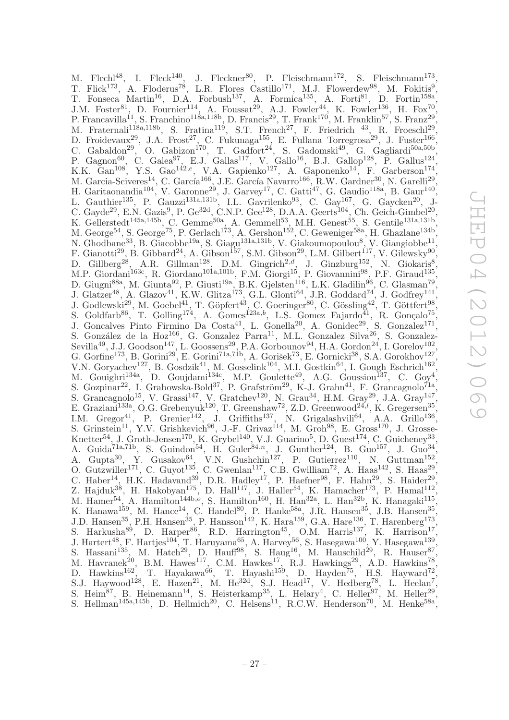M. Flechl<sup>48</sup>, I. Fleck<sup>140</sup>, J. Fleckner<sup>80</sup>, P. Fleischmann<sup>172</sup>, S. Fleischmann<sup>173</sup>, T. Flick<sup>173</sup>, A. Floderus<sup>78</sup>, L.R. Flores Castillo<sup>171</sup>, M.J. Flowerdew<sup>98</sup>, M. Fokitis<sup>9</sup>, T. Fonseca Martin<sup>16</sup>, D.A. Forbush<sup>137</sup>, A. Formica<sup>135</sup>, A. Forti<sup>81</sup>, D. Fortin<sup>158a</sup>, J.M. Foster<sup>81</sup>, D. Fournier<sup>114</sup>, A. Foussat<sup>29</sup>, A.J. Fowler<sup>44</sup>, K. Fowler<sup>136</sup>, H. Fox<sup>70</sup>, P. Francavilla<sup>11</sup>, S. Franchino<sup>118a,118b</sup>, D. Francis<sup>29</sup>, T. Frank<sup>170</sup>, M. Franklin<sup>57</sup>, S. Franz<sup>29</sup> , M. Fraternali<sup>118a,118b</sup>, S. Fratina<sup>119</sup>, S.T. French<sup>27</sup>, F. Friedrich<sup>43</sup>, R. Froeschl<sup>29</sup>, D. Froidevaux<sup>29</sup>, J.A. Frost<sup>27</sup>, C. Fukunaga<sup>155</sup>, E. Fullana Torregrosa<sup>29</sup>, J. Fuster<sup>166</sup>, C. Gabaldon<sup>29</sup>, O. Gabizon<sup>170</sup>, T. Gadfort<sup>24</sup>, S. Gadomski<sup>49</sup>, G. Gagliardi<sup>50a,50b</sup>, P. Gagnon<sup>60</sup>, C. Galea<sup>97</sup>, E.J. Gallas<sup>117</sup>, V. Gallo<sup>16</sup>, B.J. Gallop<sup>128</sup>, P. Gallus<sup>124</sup>, K.K.  $\text{Can}^{108}$ , Y.S.  $\text{Gao}^{142,e}$ , V.A.  $\text{Gapienko}^{127}$ , A.  $\text{Gaponenko}^{14}$ , F.  $\text{Garberson}^{174}$ , M. Garcia-Sciveres<sup>14</sup>, C. García<sup>166</sup>, J.E. García Navarro<sup>166</sup>, R.W. Gardner<sup>30</sup>, N. Garelli<sup>29</sup>, , H. Garitaonandia<sup>104</sup>, V. Garonne<sup>29</sup>, J. Garvey<sup>17</sup>, C. Gatti<sup>47</sup>, G. Gaudio<sup>118a</sup>, B. Gaur<sup>140</sup>, L. Gauthier<sup>135</sup>, P. Gauzzi<sup>131a,131b</sup>, I.L. Gavrilenko<sup>93</sup>, C. Gay<sup>167</sup>, G. Gaycken<sup>20</sup>, J-C. Gayde<sup>29</sup>, E.N. Gazis<sup>9</sup>, P. Ge<sup>32d</sup>, C.N.P. Gee<sup>128</sup>, D.A.A. Geerts<sup>104</sup>, Ch. Geich-Gimbel<sup>20</sup>, K. Gellerstedt<sup>145a,145b</sup>, C. Gemme<sup>50a</sup>, A. Gemmell<sup>53</sup>, M.H. Genest<sup>55</sup>, S. Gentile<sup>131a,131b</sup>, M. George<sup>54</sup>, S. George<sup>75</sup>, P. Gerlach<sup>173</sup>, A. Gershon<sup>152</sup>, C. Geweniger<sup>58a</sup>, H. Ghazlane<sup>134b</sup>, N. Ghodbane<sup>33</sup>, B. Giacobbe<sup>19a</sup>, S. Giagu<sup>131a,131b</sup>, V. Giakoumopoulou<sup>8</sup>, V. Giangiobbe<sup>11</sup>, F. Gianotti<sup>29</sup>, B. Gibbard<sup>24</sup>, A. Gibson<sup>157</sup>, S.M. Gibson<sup>29</sup>, L.M. Gilbert<sup>117</sup>, V. Gilewsky<sup>90</sup>, D. Gillberg<sup>28</sup>, A.R. Gillman<sup>128</sup>, D.M. Gingrich<sup>2,d</sup>, J. Ginzburg<sup>152</sup>, N. Giokaris<sup>8</sup>, M.P. Giordani<sup>163c</sup>, R. Giordano<sup>101a,101b</sup>, F.M. Giorgi<sup>15</sup>, P. Giovannini<sup>98</sup>, P.F. Giraud<sup>135</sup>, D. Giugni<sup>88a</sup>, M. Giunta<sup>92</sup>, P. Giusti<sup>19a</sup>, B.K. Gjelsten<sup>116</sup>, L.K. Gladilin<sup>96</sup>, C. Glasman<sup>79</sup>, J. Glatzer<sup>48</sup>, A. Glazov<sup>41</sup>, K.W. Glitza<sup>173</sup>, G.L. Glonti<sup>64</sup>, J.R. Goddard<sup>74</sup>, J. Godfrey<sup>141</sup>, J. Godlewski<sup>29</sup>, M. Goebel<sup>41</sup>, T. Göpfert<sup>43</sup>, C. Goeringer<sup>80</sup>, C. Gössling<sup>42</sup>, T. Göttfert<sup>98</sup>, S. Goldfarb<sup>86</sup>, T. Golling<sup>174</sup>, A. Gomes<sup>123a,b</sup>, L.S. Gomez Fajardo<sup>41</sup>, R. Gonçalo<sup>75</sup>, J. Goncalves Pinto Firmino Da Costa<sup>41</sup>, L. Gonella<sup>20</sup>, A. Gonidec<sup>29</sup>, S. Gonzalez<sup>171</sup>, S. González de la Hoz<sup>166</sup>, G. Gonzalez Parra<sup>11</sup>, M.L. Gonzalez Silva<sup>26</sup>, S. Gonzalez-Sevilla<sup>49</sup>, J.J. Goodson<sup>147</sup>, L. Goossens<sup>29</sup>, P.A. Gorbounov<sup>94</sup>, H.A. Gordon<sup>24</sup>, I. Gorelov<sup>102</sup>, G. Gorfine<sup>173</sup>, B. Gorini<sup>29</sup>, E. Gorini<sup>71a,71b</sup>, A. Gorišek<sup>73</sup>, E. Gornicki<sup>38</sup>, S.A. Gorokhov<sup>127</sup>, V.N. Goryachev<sup>127</sup>, B. Gosdzik<sup>41</sup>, M. Gosselink<sup>104</sup>, M.I. Gostkin<sup>64</sup>, I. Gough Eschrich<sup>162</sup>, M. Gouighri<sup>134a</sup>, D. Goujdami<sup>134c</sup>, M.P. Goulette<sup>49</sup>, A.G. Goussiou<sup>137</sup>, C. Goy<sup>4</sup>, S. Gozpinar<sup>22</sup>, I. Grabowska-Bold<sup>37</sup>, P. Grafström<sup>29</sup>, K-J. Grahn<sup>41</sup>, F. Grancagnolo<sup>71a</sup>, S. Grancagnolo<sup>15</sup>, V. Grassi<sup>147</sup>, V. Gratchev<sup>120</sup>, N. Grau<sup>34</sup>, H.M. Gray<sup>29</sup>, J.A. Gray<sup>147</sup>, E. Graziani<sup>133a</sup>, O.G. Grebenyuk<sup>120</sup>, T. Greenshaw<sup>72</sup>, Z.D. Greenwood<sup>24,*l*</sup>, K. Gregersen<sup>35</sup>, I.M. Gregor<sup>41</sup>, P. Grenier<sup>142</sup>, J. Griffiths<sup>137</sup>, N. Grigalashvili<sup>64</sup>, A.A. Grillo<sup>136</sup>, S. Grinstein<sup>11</sup>, Y.V. Grishkevich<sup>96</sup>, J.-F. Grivaz<sup>114</sup>, M. Groh<sup>98</sup>, E. Gross<sup>170</sup>, J. Grosse-Knetter<sup>54</sup>, J. Groth-Jensen<sup>170</sup>, K. Grybel<sup>140</sup>, V.J. Guarino<sup>5</sup>, D. Guest<sup>174</sup>, C. Guicheney<sup>33</sup>, A. Guida<sup>71a,71b</sup>, S. Guindon<sup>54</sup>, H. Guler<sup>84,n</sup>, J. Gunther<sup>124</sup>, B. Guo<sup>157</sup>, J. Guo<sup>34</sup>, A. Gupta<sup>30</sup>, Y. Gusakov<sup>64</sup>, V.N. Gushchin<sup>127</sup>, P. Gutierrez<sup>110</sup>, N. Guttman<sup>152</sup>, O. Gutzwiller<sup>171</sup>, C. Guyot<sup>135</sup>, C. Gwenlan<sup>117</sup>, C.B. Gwilliam<sup>72</sup>, A. Haas<sup>142</sup>, S. Haas<sup>29</sup>, C. Haber<sup>14</sup>, H.K. Hadavand<sup>39</sup>, D.R. Hadley<sup>17</sup>, P. Haefner<sup>98</sup>, F. Hahn<sup>29</sup>, S. Haider<sup>29</sup>, Z. Hajduk<sup>38</sup>, H. Hakobyan<sup>175</sup>, D. Hall<sup>117</sup>, J. Haller<sup>54</sup>, K. Hamacher<sup>173</sup>, P. Hamal<sup>112</sup>, M. Hamer<sup>54</sup>, A. Hamilton<sup>144b, $\sigma$ </sup>, S. Hamilton<sup>160</sup>, H. Han<sup>32a</sup>, L. Han<sup>32b</sup>, K. Hanagaki<sup>115</sup>, K. Hanawa<sup>159</sup>, M. Hance<sup>14</sup>, C. Handel<sup>80</sup>, P. Hanke<sup>58a</sup>, J.R. Hansen<sup>35</sup>, J.B. Hansen<sup>35</sup>, J.D. Hansen<sup>35</sup>, P.H. Hansen<sup>35</sup>, P. Hansson<sup>142</sup>, K. Hara<sup>159</sup>, G.A. Hare<sup>136</sup>, T. Harenberg<sup>173</sup>, S. Harkusha<sup>89</sup>, D. Harper<sup>86</sup>, R.D. Harrington<sup>45</sup>, O.M. Harris<sup>137</sup>, K. Harrison<sup>17</sup>, J. Hartert<sup>48</sup>, F. Hartjes<sup>104</sup>, T. Haruyama<sup>65</sup>, A. Harvey<sup>56</sup>, S. Hasegawa<sup>100</sup>, Y. Hasegawa<sup>139</sup>, S. Hassani<sup>135</sup>, M. Hatch<sup>29</sup>, D. Hauff<sup>98</sup>, S. Haug<sup>16</sup>, M. Hauschild<sup>29</sup>, R. Hauser<sup>87</sup>, M. Havranek<sup>20</sup>, B.M. Hawes<sup>117</sup>, C.M. Hawkes<sup>17</sup>, R.J. Hawkings<sup>29</sup>, A.D. Hawkins<sup>78</sup>, D. Hawkins<sup>162</sup>, T. Hayakawa<sup>66</sup>, T. Hayashi<sup>159</sup>, D. Hayden<sup>75</sup>, H.S. Hayward<sup>72</sup>, S.J. Haywood<sup>128</sup>, E. Hazen<sup>21</sup>, M. He<sup>32d</sup>, S.J. Head<sup>17</sup>, V. Hedberg<sup>78</sup>, L. Heelan<sup>7</sup>, S. Heim<sup>87</sup>, B. Heinemann<sup>14</sup>, S. Heisterkamp<sup>35</sup>, L. Helary<sup>4</sup>, C. Heller<sup>97</sup>, M. Heller<sup>29</sup>, S. Hellman<sup>145a,145b</sup>, D. Hellmich<sup>20</sup>, C. Helsens<sup>11</sup>, R.C.W. Henderson<sup>70</sup>, M. Henke<sup>58a</sup>,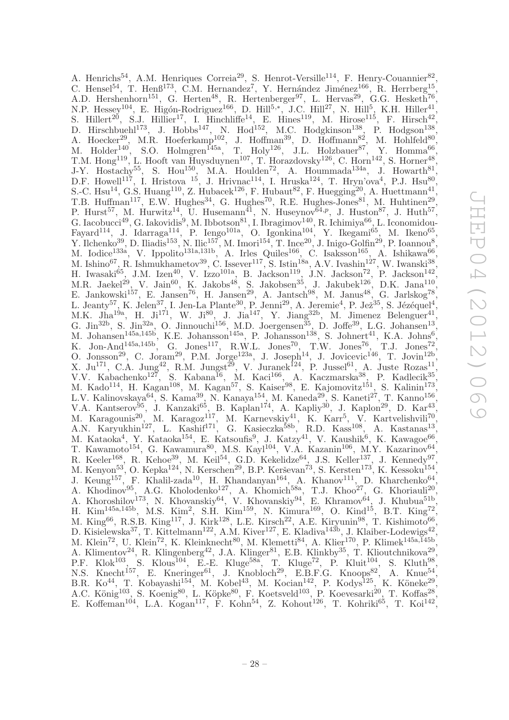A. Henrichs<sup>54</sup>, A.M. Henriques Correia<sup>29</sup>, S. Henrot-Versille<sup>114</sup>, F. Henry-Couannier<sup>82</sup>, C. Hensel<sup>54</sup>, T. Henß<sup>173</sup>, C.M. Hernandez<sup>7</sup>, Y. Hernández Jiménez<sup>166</sup>, R. Herrberg<sup>15</sup>, A.D. Hershenhorn<sup>151</sup>, G. Herten<sup>48</sup>, R. Hertenberger<sup>97</sup>, L. Hervas<sup>29</sup>, G.G. Hesketh<sup>76</sup>, N.P. Hessey<sup>104</sup>, E. Higón-Rodriguez<sup>166</sup>, D. Hill<sup>5,\*</sup>, J.C. Hill<sup>27</sup>, N. Hill<sup>5</sup>, K.H. Hiller<sup>41</sup>, S. Hillert<sup>20</sup>, S.J. Hillier<sup>17</sup>, I. Hinchliffe<sup>14</sup>, E. Hines<sup>119</sup>, M. Hirose<sup>115</sup>, F. Hirsch<sup>42</sup>, D. Hirschbuehl<sup>173</sup>, J. Hobbs<sup>147</sup>, N. Hod<sup>152</sup>, M.C. Hodgkinson<sup>138</sup>, P. Hodgson<sup>138</sup>, A. Hoecker<sup>29</sup>, M.R. Hoeferkamp<sup>102</sup>, J. Hoffman<sup>39</sup>, D. Hoffmann<sup>82</sup>, M. Hohlfeld<sup>80</sup>, M. Holder<sup>140</sup>, S.O. Holmgren<sup>145a</sup>, T. Holy<sup>126</sup>, J.L. Holzbauer<sup>87</sup>, Y. Homma<sup>66</sup>, T.M. Hong<sup>119</sup>, L. Hooft van Huysduynen<sup>107</sup>, T. Horazdovsky<sup>126</sup>, C. Horn<sup>142</sup>, S. Horner<sup>48</sup>, J-Y. Hostachy<sup>55</sup>, S. Hou<sup>150</sup>, M.A. Houlden<sup>72</sup>, A. Hoummada<sup>134a</sup>, J. Howarth<sup>81</sup>, D.F. Howell<sup>117</sup>, I. Hristova <sup>15</sup>, J. Hrivnac<sup>114</sup>, I. Hruska<sup>124</sup>, T. Hryn'ova<sup>4</sup>, P.J. Hsu<sup>80</sup>, S.-C. Hsu<sup>14</sup>, G.S. Huang<sup>110</sup>, Z. Hubacek<sup>126</sup>, F. Hubaut<sup>82</sup>, F. Huegging<sup>20</sup>, A. Huettmann<sup>41</sup>, T.B. Huffman<sup>117</sup>, E.W. Hughes<sup>34</sup>, G. Hughes<sup>70</sup>, R.E. Hughes-Jones<sup>81</sup>, M. Huhtinen<sup>29</sup>, P. Hurst<sup>57</sup>, M. Hurwitz<sup>14</sup>, U. Husemann<sup>41</sup>, N. Huseynov<sup> $64,p$ </sup>, J. Huston<sup>87</sup>, J. Huth<sup>57</sup>, G. Iacobucci<sup>49</sup>, G. Iakovidis<sup>9</sup>, M. Ibbotson<sup>81</sup>, I. Ibragimov<sup>140</sup>, R. Ichimiya<sup>66</sup>, L. Iconomidou-Fayard<sup>114</sup>, J. Idarraga<sup>114</sup>, P. Iengo<sup>101a</sup>, O. Igonkina<sup>104</sup>, Y. Ikegami<sup>65</sup>, M. Ikeno<sup>65</sup>, Y. Ilchenko<sup>39</sup>, D. Iliadis<sup>153</sup>, N. Ilic<sup>157</sup>, M. Imori<sup>154</sup>, T. Ince<sup>20</sup>, J. Inigo-Golfin<sup>29</sup>, P. Ioannou<sup>8</sup>, M. Iodice<sup>133a</sup>, V. Ippolito<sup>131a,131b</sup>, A. Irles Quiles<sup>166</sup>, C. Isaksson<sup>165</sup>, A. Ishikawa<sup>66</sup>, M. Ishino<sup>67</sup>, R. Ishmukhametov<sup>39</sup>, C. Issever<sup>117</sup>, S. Istin<sup>18a</sup>, A.V. Ivashin<sup>127</sup>, W. Iwanski<sup>38</sup>, H. Iwasaki $^{65}$ , J.M. Izen<sup>40</sup>, V. Izzo<sup>101a</sup>, B. Jackson<sup>119</sup>, J.N. Jackson<sup>72</sup>, P. Jackson<sup>142</sup>, M.R. Jaekel<sup>29</sup>, V. Jain<sup>60</sup>, K. Jakobs<sup>48</sup>, S. Jakobsen<sup>35</sup>, J. Jakubek<sup>126</sup>, D.K. Jana<sup>110</sup>, E. Jankowski<sup>157</sup>, E. Jansen<sup>76</sup>, H. Jansen<sup>29</sup>, A. Jantsch<sup>98</sup>, M. Janus<sup>48</sup>, G. Jarlskog<sup>78</sup>, L. Jeanty<sup>57</sup>, K. Jelen<sup>37</sup>, I. Jen-La Plante<sup>30</sup>, P. Jenni<sup>29</sup>, A. Jeremie<sup>4</sup>, P. Jež<sup>35</sup>, S. Jézéquel<sup>4</sup>, M.K. Jha<sup>19a</sup>, H. Ji<sup>171</sup>, W. Ji<sup>80</sup>, J. Jia<sup>147</sup>, Y. Jiang<sup>32b</sup>, M. Jimenez Belenguer<sup>41</sup>, G. Jin<sup>32b</sup>, S. Jin<sup>32a</sup>, O. Jinnouchi<sup>156</sup>, M.D. Joergensen<sup>35</sup>, D. Joffe<sup>39</sup>, L.G. Johansen<sup>13</sup>, M. Johansen<sup>145a,145b</sup>, K.E. Johansson<sup>145a</sup>, P. Johansson<sup>138</sup>, S. Johnert<sup>41</sup>, K.A. Johns<sup>6</sup>, K. Jon-And<sup>145a,145b</sup>, G. Jones<sup>117</sup>, R.W.L. Jones<sup>70</sup>, T.W. Jones<sup>76</sup>, T.J. Jones<sup>72</sup>, O. Jonsson<sup>29</sup>, C. Joram<sup>29</sup>, P.M. Jorge<sup>123a</sup>, J. Joseph<sup>14</sup>, J. Jovicevic<sup>146</sup>, T. Jovin<sup>12b</sup>, X. Ju<sup>171</sup>, C.A. Jung<sup>42</sup>, R.M. Jungst<sup>29</sup>, V. Juranek<sup>124</sup>, P. Jussel<sup>61</sup>, A. Juste Rozas<sup>11</sup>, V.V. Kabachenko<sup>127</sup>, S. Kabana<sup>16</sup>, M. Kaci<sup>166</sup>, A. Kaczmarska<sup>38</sup>, P. Kadlecik<sup>35</sup>, M. Kado<sup>114</sup>, H. Kagan<sup>108</sup>, M. Kagan<sup>57</sup>, S. Kaiser<sup>98</sup>, E. Kajomovitz<sup>151</sup>, S. Kalinin<sup>173</sup>, L.V. Kalinovskaya<sup>64</sup>, S. Kama<sup>39</sup>, N. Kanaya<sup>154</sup>, M. Kaneda<sup>29</sup>, S. Kaneti<sup>27</sup>, T. Kanno<sup>156</sup>, V.A. Kantserov<sup>95</sup>, J. Kanzaki<sup>65</sup>, B. Kaplan<sup>174</sup>, A. Kapliy<sup>30</sup>, J. Kaplon<sup>29</sup>, D. Kar<sup>43</sup>, M. Karagounis<sup>20</sup>, M. Karagoz<sup>117</sup>, M. Karnevskiy<sup>41</sup>, K. Karr<sup>5</sup>, V. Kartvelishvili<sup>70</sup>, A.N. Karyukhin<sup>127</sup>, L. Kashif<sup>171</sup>, G. Kasieczka<sup>58b</sup>, R.D. Kass<sup>108</sup>, A. Kastanas<sup>13</sup>, M. Kataoka<sup>4</sup>, Y. Kataoka<sup>154</sup>, E. Katsoufis<sup>9</sup>, J. Katzy<sup>41</sup>, V. Kaushik<sup>6</sup>, K. Kawagoe<sup>66</sup>, T. Kawamoto<sup>154</sup>, G. Kawamura<sup>80</sup>, M.S. Kayl<sup>104</sup>, V.A. Kazanin<sup>106</sup>, M.Y. Kazarinov<sup>64</sup>, R. Keeler<sup>168</sup>, R. Kehoe<sup>39</sup>, M. Keil<sup>54</sup>, G.D. Kekelidze<sup>64</sup>, J.S. Keller<sup>137</sup>, J. Kennedy<sup>97</sup>, M. Kenyon<sup>53'</sup>, O. Kepka<sup>124'</sup>, N. Kerschen<sup>29</sup>, B.P. Kerševan<sup>73</sup>, S. Kersten<sup>173'</sup>, K. Kessoku<sup>154'</sup>, J. Keung<sup>157</sup>, F. Khalil-zada<sup>10</sup>, H. Khandanyan<sup>164</sup>, A. Khanov<sup>111</sup>, D. Kharchenko<sup>64</sup>, A. Khodinov<sup>95</sup>, A.G. Kholodenko<sup>127</sup>, A. Khomich<sup>58a</sup>, T.J. Khoo<sup>27</sup>, G. Khoriauli<sup>20</sup>, A. Khoroshilov<sup>173</sup>, N. Khovanskiy<sup>64</sup>, V. Khovanskiy<sup>94</sup>, E. Khramov<sup>64</sup>, J. Khubua<sup>51b</sup>, H. Kim<sup>145a,145b</sup>, M.S. Kim<sup>2</sup>, S.H. Kim<sup>159</sup>, N. Kimura<sup>169</sup>, O. Kind<sup>15</sup>, B.T. King<sup>72</sup>, M. King<sup>66</sup>, R.S.B. King<sup>117</sup>, J. Kirk<sup>128</sup>, L.E. Kirsch<sup>22</sup>, A.E. Kiryunin<sup>98</sup>, T. Kishimoto<sup>66</sup>, D. Kisielewska<sup>37</sup>, T. Kittelmann<sup>122</sup>, A.M. Kiver<sup>127</sup>, E. Kladiva<sup>143b</sup>, J. Klaiber-Lodewigs<sup>42</sup> , M. Klein<sup>72</sup>, U. Klein<sup>72</sup>, K. Kleinknecht<sup>80</sup>, M. Klemetti<sup>84</sup>, A. Klier<sup>170</sup>, P. Klimek<sup>145a,145b</sup>, A. Klimentov<sup>24</sup>, R. Klingenberg<sup>42</sup>, J.A. Klinger<sup>81</sup>, E.B. Klinkby<sup>35</sup>, T. Klioutchnikova<sup>29</sup>, P.F. Klok<sup>103</sup>, S. Klous<sup>104</sup>, E.-E. Kluge<sup>58a</sup>, T. Kluge<sup>72</sup>, P. Kluit<sup>104</sup>, S. Kluth<sup>98</sup>, N.S. Knecht<sup>157</sup>, E. Kneringer<sup>61</sup>, J. Knobloch<sup>29</sup>, E.B.F.G. Knoops<sup>82</sup>, A. Knue<sup>54</sup>, B.R. Ko<sup>44</sup>, T. Kobayashi<sup>154</sup>, M. Kobel<sup>43</sup>, M. Kocian<sup>142</sup>, P. Kodys<sup>125</sup>, K. Köneke<sup>29</sup>, A.C. König<sup>103</sup>, S. Koenig<sup>80</sup>, L. Köpke<sup>80</sup>, F. Koetsveld<sup>103</sup>, P. Koevesarki<sup>20</sup>, T. Koffas<sup>28</sup>, E. Koffeman<sup>104</sup>, L.A. Kogan<sup>117</sup>, F. Kohn<sup>54</sup>, Z. Kohout<sup>126</sup>, T. Kohriki<sup>65</sup>, T. Koi<sup>142</sup>,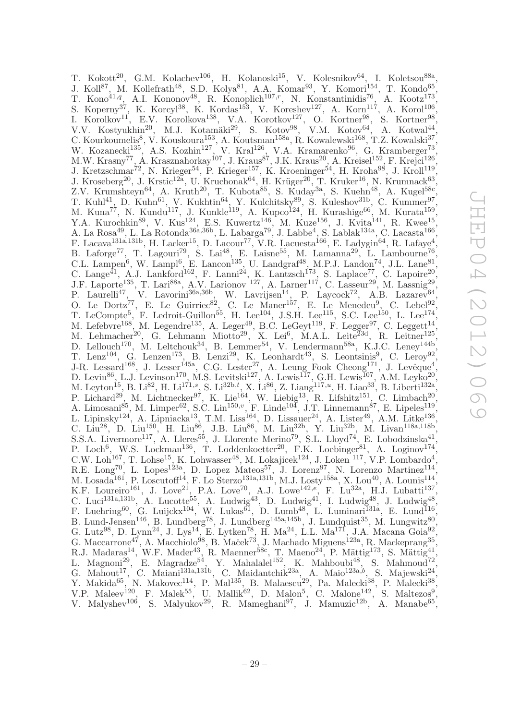T. Kokott<sup>20</sup>, G.M. Kolachev<sup>106</sup>, H. Kolanoski<sup>15</sup>, V. Kolesnikov<sup>64</sup>, I. Koletsou<sup>88a</sup>, J. Koll<sup>87</sup>, M. Kollefrath<sup>48</sup>, S.D. Kolya<sup>81</sup>, A.A. Komar<sup>93</sup>, Y. Komori<sup>154</sup>, T. Kondo<sup>65</sup>, , T. Kono<sup>41,q</sup>, A.I. Kononov<sup>48</sup>, R. Konoplich<sup>107,r</sup>, N. Konstantinidis<sup>76</sup>, A. Kootz<sup>173</sup>, S. Koperny<sup>37</sup>, K. Korcyl<sup>38</sup>, K. Kordas<sup>153</sup>, V. Koreshev<sup>127</sup>, A. Korn<sup>117</sup>, A. Korol<sup>106</sup>, I. Korolkov<sup>11</sup>, E.V. Korolkova<sup>138</sup>, V.A. Korotkov<sup>127</sup>, O. Kortner<sup>98</sup>, S. Kortner<sup>98</sup>, V.V. Kostyukhin<sup>20</sup>, M.J. Kotamäki<sup>29</sup>, S. Kotov<sup>98</sup>, V.M. Kotov<sup>64</sup>, A. Kotwal<sup>44</sup>, C. Kourkoumelis<sup>8</sup>, V. Kouskoura<sup>153</sup>, A. Koutsman<sup>158a</sup>, R. Kowalewski<sup>168</sup>, T.Z. Kowalski<sup>37</sup>, W. Kozanecki<sup>135</sup>, A.S. Kozhin<sup>127</sup>, V. Kral<sup>126</sup>, V.A. Kramarenko<sup>96</sup>, G. Kramberger<sup>73</sup>, M.W. Krasny<sup>77</sup>, A. Krasznahorkay<sup>107</sup>, J. Kraus<sup>87</sup>, J.K. Kraus<sup>20</sup>, A. Kreisel<sup>152</sup>, F. Krejci<sup>126</sup>, J. Kretzschmar<sup>72</sup>, N. Krieger<sup>54</sup>, P. Krieger<sup>157</sup>, K. Kroeninger<sup>54</sup>, H. Kroha<sup>98</sup>, J. Kroll<sup>119</sup>, J. Kroseberg<sup>20</sup>, J. Krstic<sup>12a</sup>, U. Kruchonak<sup>64</sup>, H. Krüger<sup>20</sup>, T. Kruker<sup>16</sup>, N. Krumnack<sup>63</sup>, Z.V. Krumshteyn<sup>64</sup>, A. Kruth<sup>20</sup>, T. Kubota<sup>85</sup>, S. Kuday<sup>3a</sup>, S. Kuehn<sup>48</sup>, A. Kugel<sup>58c</sup>, T. Kuhl<sup>41</sup>, D. Kuhn<sup>61</sup>, V. Kukhtin<sup>64</sup>, Y. Kulchitsky<sup>89</sup>, S. Kuleshov<sup>31b</sup>, C. Kummer<sup>97</sup>, M. Kuna<sup>77</sup>, N. Kundu<sup>117</sup>, J. Kunkle<sup>119</sup>, A. Kupco<sup>124</sup>, H. Kurashige<sup>66</sup>, M. Kurata<sup>159</sup>, Y.A. Kurochkin<sup>89</sup>, V. Kus<sup>124</sup>, E.S. Kuwertz<sup>146</sup>, M. Kuze<sup>156</sup>, J. Kvita<sup>141</sup>, R. Kwee<sup>15</sup>, A. La Rosa<sup>49</sup>, L. La Rotonda<sup>36a,36b</sup>, L. Labarga<sup>79</sup>, J. Labbe<sup>4</sup>, S. Lablak<sup>134a</sup>, C. Lacasta<sup>166</sup>, F. Lacava<sup>131a,131b</sup>, H. Lacker<sup>15</sup>, D. Lacour<sup>77</sup>, V.R. Lacuesta<sup>166</sup>, E. Ladygin<sup>64</sup>, R. Lafaye<sup>4</sup>, B. Laforge<sup>77</sup>, T. Lagouri<sup>79</sup>, S. Lai<sup>48</sup>, E. Laisne<sup>55</sup>, M. Lamanna<sup>29</sup>, L. Lambourne<sup>76</sup>, C.L. Lampen<sup>6</sup>, W. Lampl<sup>6</sup>, E. Lancon<sup>135</sup>, U. Landgraf<sup>48</sup>, M.P.J. Landon<sup>74</sup>, J.L. Lane<sup>81</sup>, C. Lange<sup>41</sup>, A.J. Lankford<sup>162</sup>, F. Lanni<sup>24</sup>, K. Lantzsch<sup>173</sup>, S. Laplace<sup>77</sup>, C. Lapoire<sup>20</sup>, J.F. Laporte<sup>135</sup>, T. Lari<sup>88a</sup>, A.V. Larionov<sup>'127</sup>, A. Larner<sup>117</sup>, C. Lasseur<sup>29</sup>, M. Lassnig<sup>29</sup>, P. Laurelli<sup>47</sup>, V. Lavorini<sup>36a, 36b</sup>, W. Lavrijsen<sup>14</sup>, P. Laycock<sup>72</sup>, A.B. Lazarev<sup>64</sup>, O. Le Dortz<sup>77</sup>, E. Le Guirriec<sup>82</sup>, C. Le Maner<sup>157</sup>, E. Le Menedeu<sup>9</sup>, C. Lebel<sup>92</sup>, T. LeCompte<sup>5</sup>, F. Ledroit-Guillon<sup>55</sup>, H. Lee<sup>104</sup>, J.S.H. Lee<sup>115</sup>, S.C. Lee<sup>150</sup>, L. Lee<sup>174</sup>, M. Lefebvre<sup>168</sup>, M. Legendre<sup>135</sup>, A. Leger<sup>49</sup>, B.C. LeGeyt<sup>119</sup>, F. Legger<sup>97</sup>, C. Leggett<sup>14</sup>, M. Lehmacher<sup>20</sup>, G. Lehmann Miotto<sup>29</sup>, X. Lei<sup>6</sup>, M.A.L. Leite<sup>23d</sup>, R. Leitner<sup>125</sup>, D. Lellouch<sup>170</sup>, M. Leltchouk<sup>34</sup>, B. Lemmer<sup>54</sup>, V. Lendermann<sup>58a</sup>, K.J.C. Leney<sup>144b</sup>, T. Lenz<sup>104</sup>, G. Lenzen<sup>173</sup>, B. Lenzi<sup>29</sup>, K. Leonhardt<sup>43</sup>, S. Leontsinis<sup>9</sup>, C. Leroy<sup>92</sup>, J-R. Lessard<sup>168</sup>, J. Lesser<sup>145a</sup>, C.G. Lester<sup>27</sup>, A. Leung Fook Cheong<sup>171</sup>, J. Levêque<sup>4</sup>, D. Levin<sup>86</sup>, L.J. Levinson<sup>170</sup>, M.S. Levitski<sup>127</sup>, A. Lewis<sup>117</sup>, G.H. Lewis<sup>107</sup>, A.M. Leyko<sup>20</sup>, M. Leyton<sup>15</sup>, B. Li<sup>82</sup>, H. Li<sup>171,s</sup>, S. Li<sup>32b,t</sup>, X. Li<sup>86</sup>, Z. Liang<sup>117,u</sup>, H. Liao<sup>33</sup>, B. Liberti<sup>132a</sup>, P. Lichard<sup>29</sup>, M. Lichtnecker<sup>97</sup>, K. Lie<sup>164</sup>, W. Liebig<sup>13</sup>, R. Lifshitz<sup>151</sup>, C. Limbach<sup>20</sup>, A. Limosani<sup>85</sup>, M. Limper<sup>62</sup>, S.C. Lin<sup>150,</sup>v, F. Linde<sup>104</sup>, J.T. Linnemann<sup>87</sup>, E. Lipeles<sup>119</sup>, L. Lipinsky<sup>124</sup>, A. Lipniacka<sup>13</sup>, T.M. Liss<sup>164</sup>, D. Lissauer<sup>24</sup>, A. Lister<sup>49</sup>, A.M. Litke<sup>136</sup>, C. Liu<sup>28</sup>, D. Liu<sup>150</sup>, H. Liu<sup>86</sup>, J.B. Liu<sup>86</sup>, M. Liu<sup>32b</sup>, Y. Liu<sup>32b</sup>, M. Livan<sup>118a,118b</sup>, S.S.A. Livermore<sup>117</sup>, A. Lleres<sup>55</sup>, J. Llorente Merino<sup>79</sup>, S.L. Lloyd<sup>74</sup>, E. Lobodzinska<sup>41</sup>, P. Loch<sup>6</sup>, W.S. Lockman<sup>136</sup>, T. Loddenkoetter<sup>20</sup>, F.K. Loebinger<sup>81</sup>, A. Loginov<sup>174</sup>, C.W. Loh<sup>167</sup>, T. Lohse<sup>15</sup>, K. Lohwasser<sup>48</sup>, M. Lokajicek<sup>124</sup>, J. Loken <sup>117</sup>, V.P. Lombardo<sup>4</sup>, R.E. Long<sup>70</sup>, L. Lopes<sup>123a</sup>, D. Lopez Mateos<sup>57</sup>, J. Lorenz<sup>97</sup>, N. Lorenzo Martinez<sup>114</sup>, M. Losada<sup>161</sup>, P. Loscutoff<sup>14</sup>, F. Lo Sterzo<sup>131a,131b</sup>, M.J. Losty<sup>158a</sup>, X. Lou<sup>40</sup>, A. Lounis<sup>114</sup>, K.F. Loureiro<sup>161</sup>, J. Love<sup>21</sup>, P.A. Love<sup>70</sup>, A.J. Lowe<sup>142,e</sup>, F. Lu<sup>32a</sup>, H.J. Lubatti<sup>137</sup>, C. Luci<sup>131a,131b</sup>, A. Lucotte<sup>55</sup>, A. Ludwig<sup>43</sup>, D. Ludwig<sup>41</sup>, I. Ludwig<sup>48</sup>, J. Ludwig<sup>48</sup>, F. Luehring<sup>60</sup>, G. Luijckx<sup>104</sup>, W. Lukas<sup>61</sup>, D. Lumb<sup>48</sup>, L. Luminari<sup>131a</sup>, E. Lund<sup>116</sup>, B. Lund-Jensen<sup>146</sup>, B. Lundberg<sup>78</sup>, J. Lundberg<sup>145a,145b</sup>, J. Lundquist<sup>35</sup>, M. Lungwitz<sup>80</sup>, G. Lutz<sup>98</sup>, D. Lynn<sup>24</sup>, J. Lys<sup>14</sup>, E. Lytken<sup>78</sup>, H. Ma<sup>24</sup>, L.L. Ma<sup>171</sup>, J.A. Macana Goia<sup>92</sup>, G. Maccarrone<sup>47</sup>, A. Macchiolo<sup>98</sup>, B. Maček<sup>73</sup>, J. Machado Miguens<sup>123a</sup>, R. Mackeprang<sup>35</sup>, R.J. Madaras<sup>14</sup>, W.F. Mader<sup>43</sup>, R. Maenner<sup>58c</sup>, T. Maeno<sup>24</sup>, P. Mättig<sup>173</sup>, S. Mättig<sup>41</sup>, L. Magnoni<sup>29</sup>, E. Magradze<sup>54</sup>, Y. Mahalalel<sup>152</sup>, K. Mahboubi<sup>48</sup>, S. Mahmoud<sup>72</sup>, G. Mahout<sup>17</sup>, C. Maiani<sup>131a,131b</sup>, C. Maidantchik<sup>23a</sup>, A. Maio<sup>123a,b</sup>, S. Majewski<sup>24</sup>, Y. Makida<sup>65</sup>, N. Makovec<sup>114</sup>, P. Mal<sup>135</sup>, B. Malaescu<sup>29</sup>, Pa. Malecki<sup>38</sup>, P. Malecki<sup>38</sup>, V.P. Maleev<sup>120</sup>, F. Malek<sup>55</sup>, U. Mallik<sup>62</sup>, D. Malon<sup>5</sup>, C. Malone<sup>142</sup>, S. Maltezos<sup>9</sup>, V. Malyshev<sup>106</sup>, S. Malyukov<sup>29</sup>, R. Mameghani<sup>97</sup>, J. Mamuzic<sup>12b</sup>, A. Manabe<sup>65</sup>,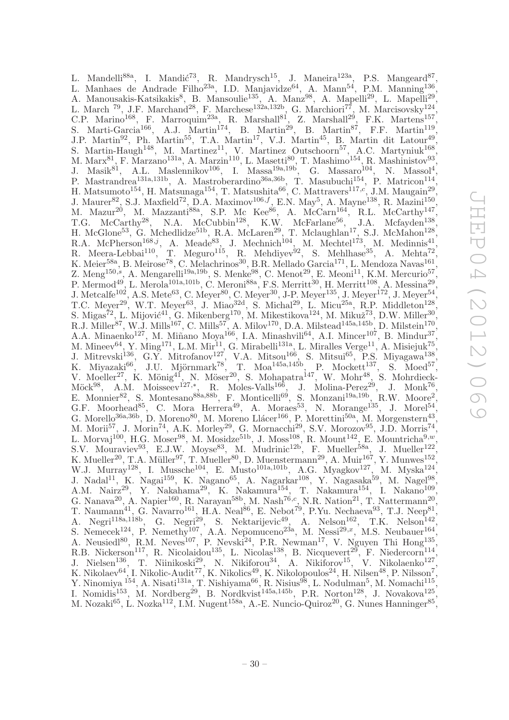L. Mandelli<sup>88a</sup>, I. Mandić<sup>73</sup>, R. Mandrysch<sup>15</sup>, J. Maneira<sup>123a</sup>, P.S. Mangeard<sup>87</sup>, L. Manhaes de Andrade Filho<sup>23a</sup>, I.D. Manjavidze<sup>64</sup>, A. Mann<sup>54</sup>, P.M. Manning<sup>136</sup>, A. Manousakis-Katsikakis<sup>8</sup>, B. Mansoulie<sup>135</sup>, A. Manz<sup>98</sup>, A. Mapelli<sup>29</sup>, L. Mapelli<sup>29</sup>, L. March <sup>79</sup>, J.F. Marchand<sup>28</sup>, F. Marchese<sup>132a,132b</sup>, G. Marchiori<sup>77</sup>, M. Marcisovsky<sup>124</sup>, C.P. Marino<sup>168</sup>, F. Marroquim<sup>23a</sup>, R. Marshall<sup>81</sup>, Z. Marshall<sup>29</sup>, F.K. Martens<sup>157</sup>, S. Marti-Garcia<sup>166</sup>, A.J. Martin<sup>174</sup>, B. Martin<sup>29</sup>, B. Martin<sup>87</sup>, F.F. Martin<sup>119</sup>, J.P. Martin<sup>92</sup>, Ph. Martin<sup>55</sup>, T.A. Martin<sup>17</sup>, V.J. Martin<sup>45</sup>, B. Martin dit Latour<sup>49</sup>, S. Martin-Haugh<sup>148</sup>, M. Martinez<sup>11</sup>, V. Martinez Outschoorn<sup>57</sup>, A.C. Martyniuk<sup>168</sup>, M. Marx<sup>81</sup>, F. Marzano<sup>131a</sup>, A. Marzin<sup>110</sup>, L. Masetti<sup>80</sup>, T. Mashimo<sup>154</sup>, R. Mashinistov<sup>93</sup>, J. Masik<sup>81</sup>, A.L. Maslennikov<sup>106</sup>, I. Massa<sup>19a,19b</sup>, G. Massaro<sup>104</sup>, N. Massol<sup>4</sup>, P. Mastrandrea<sup>131a,131b</sup>, A. Mastroberardino<sup>36a,36b</sup>, T. Masubuchi<sup>154</sup>, P. Matricon<sup>114</sup>, H. Matsumoto<sup>154</sup>, H. Matsunaga<sup>154</sup>, T. Matsushita<sup>66</sup>, C. Mattravers<sup>117,*c*'</sup>, J.M. Maugain<sup>29</sup>, J. Maurer<sup>82</sup>, S.J. Maxfield<sup>72</sup>, D.A. Maximov<sup>106,f</sup>, E.N. May<sup>5</sup>, A. Mayne<sup>138</sup>, R. Mazini<sup>150</sup>, M. Mazur<sup>20</sup>, M. Mazzanti<sup>88a</sup>, S.P. Mc Kee<sup>86</sup>, A. McCarn<sup>164</sup>, R.L. McCarthy<sup>147</sup>, T.G. McCarthy<sup>28</sup>, N.A. McCubbin<sup>128</sup>, K.W. McFarlane<sup>56</sup>, J.A. Mcfayden<sup>138</sup>, H. McGlone<sup>53</sup>, G. Mchedlidze<sup>51b</sup>, R.A. McLaren<sup>29</sup>, T. Mclaughlan<sup>17</sup>, S.J. McMahon<sup>128</sup>, R.A. McPherson<sup>168,j</sup>, A. Meade<sup>83</sup>, J. Mechnich<sup>104</sup>, M. Mechtel<sup>173</sup>, M. Medinnis<sup>41</sup>, R. Meera-Lebbai<sup>110</sup>, T. Meguro<sup>115</sup>, R. Mehdiyev<sup>92</sup>, S. Mehlhase<sup>35</sup>, A. Mehta<sup>72</sup> , K. Meier<sup>58a</sup>, B. Meirose<sup>78</sup>, C. Melachrinos<sup>30</sup>, B.R. Mellado Garcia<sup>171</sup>, L. Mendoza Navas<sup>161</sup>, Z. Meng<sup>150,s</sup>, A. Mengarelli<sup>19a,19b</sup>, S. Menke<sup>98</sup>, C. Menot<sup>29</sup>, E. Meoni<sup>11</sup>, K.M. Mercurio<sup>57</sup>, P. Mermod<sup>49</sup>, L. Merola<sup>101a,101b</sup>, C. Meroni<sup>88a</sup>, F.S. Merritt<sup>30</sup>, H. Merritt<sup>108</sup>, A. Messina<sup>29</sup>, J. Metcalfe<sup>102</sup>, A.S. Mete<sup>63</sup>, C. Meyer<sup>80</sup>, C. Meyer<sup>30</sup>, J-P. Meyer<sup>135</sup>, J. Meyer<sup>172</sup>, J. Meyer<sup>54</sup>, T.C. Meyer<sup>29</sup>, W.T. Meyer<sup>63</sup>, J. Miao<sup>32d</sup>, S. Michal<sup>29</sup>, L. Micu<sup>25a</sup>, R.P. Middleton<sup>128</sup>, S. Migas<sup>72</sup>, L. Mijović<sup>41</sup>, G. Mikenberg<sup>170</sup>, M. Mikestikova<sup>124</sup>, M. Mikuž<sup>73</sup>, D.W. Miller<sup>30</sup>, R.J. Miller<sup>87</sup>, W.J. Mills<sup>167</sup>, C. Mills<sup>57</sup>, A. Milov<sup>170</sup>, D.A. Milstead<sup>145a,145b</sup>, D. Milstein<sup>170</sup>, A.A. Minaenko<sup>127</sup>, M. Miñano Moya<sup>166</sup>, I.A. Minashvili<sup>64</sup>, A.I. Mincer<sup>107</sup>, B. Mindur<sup>37</sup>, M. Mineev $^{64}$ , Y. Ming<sup>171</sup>, L.M. Mir<sup>11</sup>, G. Mirabelli<sup>131a</sup>, L. Miralles Verge<sup>11</sup>, A. Misiejuk<sup>75</sup>, J. Mitrevski<sup>136</sup>, G.Y. Mitrofanov<sup>127</sup>, V.A. Mitsou<sup>166</sup>, S. Mitsui<sup>65</sup>, P.S. Miyagawa<sup>138</sup>, K. Miyazaki $^{66}$ , J.U. Mjörnmark $^{78}$ , T. Moa $^{145a,145b}$ , P. Mockett $^{137}$ , S. Moed $^{57}$ , V. Moeller<sup>27</sup>, K. Mönig<sup>41</sup>, N. Möser<sup>20</sup>, S. Mohapatra<sup>147</sup>, W. Mohr<sup>48</sup>, S. Mohrdieck- $\text{Möck}^{98}$ , A.M. Moisseev $^{127,*}$ , R. Moles-Valls<sup>166</sup>, J. Molina-Perez<sup>29</sup>, J. Monk<sup>76</sup>, E. Monnier<sup>82</sup>, S. Montesano<sup>88a,88b</sup>, F. Monticelli<sup>69</sup>, S. Monzani<sup>19a,19b</sup>, R.W. Moore<sup>2</sup>, G.F. Moorhead<sup>85</sup>, C. Mora Herrera<sup>49</sup>, A. Moraes<sup>53</sup>, N. Morange<sup>135</sup>, J. Morel<sup>54</sup>, G. Morello<sup>36a,36b</sup>, D. Moreno<sup>80</sup>, M. Moreno Llácer<sup>166</sup>, P. Morettini<sup>50a</sup>, M. Morgenstern<sup>43</sup>, M. Morii<sup>57</sup>, J. Morin<sup>74</sup>, A.K. Morley<sup>29</sup>, G. Mornacchi<sup>29</sup>, S.V. Morozov<sup>95</sup>, J.D. Morris<sup>74</sup>, L. Morvaj<sup>100</sup>, H.G. Moser<sup>98</sup>, M. Mosidze<sup>51b</sup>, J. Moss<sup>108</sup>, R. Mount<sup>142</sup>, E. Mountricha<sup>9,*w*</sup>, S.V. Mouraviev<sup>93</sup>, E.J.W. Moyse<sup>83</sup>, M. Mudrinic<sup>12b'</sup>, F. Mueller<sup>58a</sup>, J. Mueller<sup>122'</sup>, K. Mueller<sup>20</sup>, T.A. Müller<sup>97</sup>, T. Mueller<sup>80</sup>, D. Muenstermann<sup>29</sup>, A. Muir<sup>167</sup>, Y. Munwes<sup>152</sup>, W.J. Murray<sup>128</sup>, I. Mussche<sup>104</sup>, E. Musto<sup>101a,101b</sup>, A.G. Myagkov<sup>127</sup>, M. Myska<sup>124</sup>, J. Nadal<sup>11</sup>, K. Nagai<sup>159</sup>, K. Nagano<sup>65</sup>, A. Nagarkar<sup>108</sup>, Y. Nagasaka<sup>59</sup>, M. Nagel<sup>98</sup>, A.M. Nairz<sup>29</sup>, Y. Nakahama<sup>29</sup>, K. Nakamura<sup>154</sup>, T. Nakamura<sup>154</sup>, I. Nakano<sup>109</sup>, G. Nanava<sup>20</sup>, A. Napier<sup>160</sup>, R. Narayan<sup>58b</sup>, M. Nash<sup>76,c</sup>, N.R. Nation<sup>21</sup>, T. Nattermann<sup>20</sup>, T. Naumann<sup>41</sup>, G. Navarro<sup>161</sup>, H.A. Neal<sup>86</sup>, E. Nebot<sup>79</sup>, P.Yu. Nechaeva<sup>93</sup>, T.J. Neep<sup>81</sup>. , A. Negri<sup>118a,118b</sup>, G. Negri<sup>29</sup>, S. Nektarijevic<sup>49</sup>, A. Nelson<sup>162</sup>, T.K. Nelson<sup>142</sup>, S. Nemecek<sup>124</sup>, P. Nemethy<sup>107</sup>, A.A. Nepomuceno<sup>23a</sup>, M. Nessi<sup>29,x</sup>, M.S. Neubauer<sup>164</sup>, A. Neusiedl<sup>80</sup>, R.M. Neves<sup>107</sup>, P. Nevski<sup>24</sup>, P.R. Newman<sup>17</sup>, V. Nguyen Thi Hong<sup>135</sup>, R.B. Nickerson<sup>117</sup>, R. Nicolaidou<sup>135</sup>, L. Nicolas<sup>138</sup>, B. Nicquevert<sup>29</sup>, F. Niedercorn<sup>114</sup>, J. Nielsen<sup>136</sup>, T. Niinikoski<sup>29</sup>, N. Nikiforou<sup>34</sup>, A. Nikiforov<sup>15</sup>, V. Nikolaenko<sup>127</sup>, K. Nikolaev $^{64}$ , I. Nikolic-Audit $^{77}$ , K. Nikolics $^{49}$ , K. Nikolopoulos $^{24}$ , H. Nilsen $^{48}$ , P. Nilsson $^7$ , Y. Ninomiya <sup>154</sup>, A. Nisati<sup>131a</sup>, T. Nishiyama<sup>66</sup>, R. Nisius<sup>98</sup>, L. Nodulman<sup>5</sup>, M. Nomachi<sup>115</sup>, I. Nomidis<sup>153</sup>, M. Nordberg<sup>29</sup>, B. Nordkvist<sup>145a,145b</sup>, P.R. Norton<sup>128</sup>, J. Novakova<sup>125</sup>, M. Nozaki $^{65}$ , L. Nozka $^{112}$ , I.M. Nugent $^{158a}$ , A.-E. Nuncio-Quiroz<sup>20</sup>, G. Nunes Hanninger<sup>85</sup>,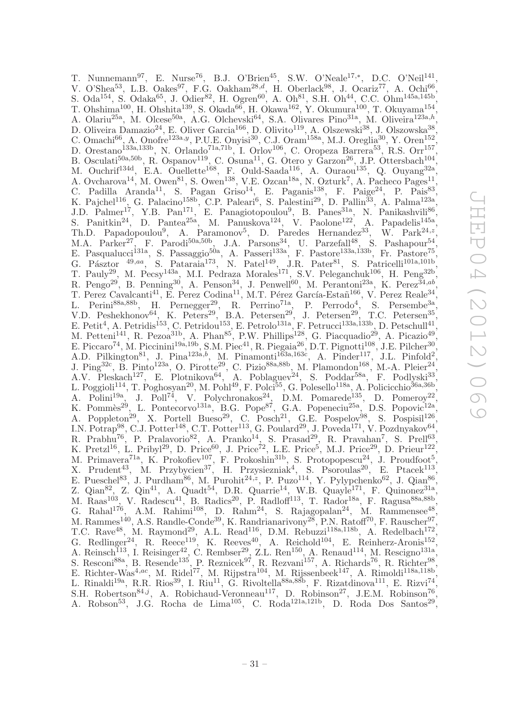T. Nunnemann<sup>97</sup>, E. Nurse<sup>76</sup>, B.J. O'Brien<sup>45</sup>, S.W. O'Neale<sup>17,\*</sup>, D.C. O'Neil<sup>141</sup>, V. O'Shea<sup>53</sup>, L.B. Oakes<sup>97</sup>, F.G. Oakham<sup>28,d</sup>, H. Oberlack<sup>98</sup>, J. Ocariz<sup>77</sup>, A. Ochi<sup>66</sup>, S. Oda<sup>154</sup>, S. Odaka<sup>65</sup>, J. Odier<sup>82</sup>, H. Ogren<sup>60</sup>, A. Oh<sup>81</sup>, S.H. Oh<sup>44</sup>, C.C. Ohm<sup>145a,145b</sup>, T. Ohshima<sup>100</sup>, H. Ohshita<sup>139</sup>, S. Okada<sup>66</sup>, H. Okawa<sup>162</sup>, Y. Okumura<sup>100</sup>, T. Okuyama<sup>154</sup>, , A. Olariu<sup>25a</sup>, M. Olcese<sup>50a</sup>, A.G. Olchevski<sup>64</sup>, S.A. Olivares Pino<sup>31a</sup>, M. Oliveira<sup>123a,h</sup>, D. Oliveira Damazio<sup>24</sup>, E. Oliver Garcia<sup>166</sup>, D. Olivito<sup>119</sup>, A. Olszewski<sup>38</sup>, J. Olszowska<sup>38</sup>, C. Omachi<sup>66</sup>, A. Onofre<sup>123a, y</sup>, P.U.E. Onyisi<sup>30</sup>, C.J. Oram<sup>158a</sup>, M.J. Oreglia<sup>30</sup>, Y. Oren<sup>152</sup>, D. Orestano<sup>133a,133b</sup>, N. Orlando<sup>71a,71b</sup>, I. Orlov<sup>106</sup>, C. Oropeza Barrera<sup>53</sup>, R.S. Orr<sup>157</sup>, B. Osculati<sup>50a,50b</sup>, R. Ospanov<sup>119</sup>, C. Osuna<sup>11</sup>, G. Otero y Garzon<sup>26</sup>, J.P. Ottersbach<sup>104</sup>, M. Ouchrif<sup>134d</sup>, E.A. Ouellette<sup>168</sup>, F. Ould-Saada<sup>116</sup>, A. Ouraou<sup>135</sup>, Q. Ouyang<sup>32a</sup>, A. Ovcharova<sup>14</sup>, M. Owen<sup>81</sup>, S. Owen<sup>138</sup>, V.E. Ozcan<sup>18a</sup>, N. Ozturk<sup>7</sup>, A. Pacheco Pages<sup>11</sup>, C. Padilla Aranda<sup>11</sup>, S. Pagan Griso<sup>14</sup>, E. Paganis<sup>138</sup>, F. Paige<sup>24</sup>, P. Pais<sup>83</sup>, K. Pajchel<sup>116</sup>, G. Palacino<sup>158b</sup>, C.P. Paleari<sup>6</sup>, S. Palestini<sup>29</sup>, D. Pallin<sup>33</sup>, A. Palma<sup>123a</sup>, J.D. Palmer<sup>17</sup>, Y.B. Pan<sup>171</sup>, E. Panagiotopoulou<sup>9</sup>, B. Panes<sup>31a</sup>, N. Panikashvili<sup>86</sup>, S. Panitkin<sup>24</sup>, D. Pantea<sup>25a</sup>, M. Panuskova<sup>124</sup>, V. Paolone<sup>122</sup>, A. Papadelis<sup>145a</sup>, Th.D. Papadopoulou<sup>9</sup>, A. Paramonov<sup>5</sup>, D. Paredes Hernandez<sup>33</sup>, W. Park<sup>24,z</sup>, M.A. Parker<sup>27</sup>, F. Parodi<sup>50a,50b</sup>, J.A. Parsons<sup>34</sup>, U. Parzefall<sup>48</sup>, S. Pashapour<sup>54</sup>, E. Pasqualucci<sup>131a</sup>, S. Passaggio<sup>50a</sup>, A. Passeri<sup>133a</sup>, F. Pastore<sup>133a,133b</sup>, Fr. Pastore<sup>75</sup>, G. Pásztor  $^{49,aa}$ , S. Pataraia<sup>173</sup>, N. Patel<sup>149</sup>, J.R. Pater<sup>81</sup>, S. Patricelli<sup>101a,101b</sup>, T. Pauly<sup>29</sup>, M. Pecsy<sup>143a</sup>, M.I. Pedraza Morales<sup>171</sup>, S.V. Peleganchuk<sup>106</sup>, H. Peng<sup>32b</sup>, R. Pengo<sup>29</sup>, B. Penning<sup>30</sup>, A. Penson<sup>34</sup>, J. Penwell<sup>60</sup>, M. Perantoni<sup>23a</sup>, K. Perez<sup>34,ab</sup>, T. Perez Cavalcanti<sup>41</sup>, E. Perez Codina<sup>11</sup>, M.T. Pérez García-Estañ<sup>166</sup>, V. Perez Reale<sup>34</sup>, L. Perini<sup>88a,88b</sup>, H. Pernegger<sup>29</sup>, R. Perrino<sup>71a</sup>, P. Perrodo<sup>4</sup>, S. Persembe<sup>3a</sup>, V.D. Peshekhonov<sup>64</sup>, K. Peters<sup>29</sup>, B.A. Petersen<sup>29</sup>, J. Petersen<sup>29</sup>, T.C. Petersen<sup>35</sup>, E. Petit<sup>4</sup>, A. Petridis<sup>153</sup>, C. Petridou<sup>153</sup>, E. Petrolo<sup>131a</sup>, F. Petrucci<sup>133a,133b</sup>, D. Petschull<sup>41</sup>, M. Petteni<sup>141</sup>, R. Pezoa<sup>31b</sup>, A. Phan<sup>85</sup>, P.W. Phillips<sup>128</sup>, G. Piacquadio<sup>29</sup>, A. Picazio<sup>49</sup>, E. Piccaro<sup>74</sup>, M. Piccinini<sup>19a,19b</sup>, S.M. Piec<sup>41</sup>, R. Piegaia<sup>26</sup>, D.T. Pignotti<sup>108</sup>, J.E. Pilcher<sup>30</sup>, A.D. Pilkington<sup>81</sup>, J. Pina<sup>123a,b</sup>, M. Pinamonti<sup>163a,163c</sup>, A. Pinder<sup>117</sup>, J.L. Pinfold<sup>2</sup>, J. Ping<sup>32c</sup>, B. Pinto<sup>123a</sup>, O. Pirotte<sup>29</sup>, C. Pizio<sup>88a,88b</sup>, M. Plamondon<sup>168</sup>, M.-A. Pleier<sup>24</sup>, A.V. Pleskach<sup>127</sup>, E. Plotnikova<sup>64</sup>, A. Poblaguev<sup>24</sup>, S. Poddar<sup>58a</sup>, F. Podlyski<sup>33</sup>, L. Poggioli<sup>114</sup>, T. Poghosyan<sup>20</sup>, M. Pohl<sup>49</sup>, F. Polci<sup>55</sup>, G. Polesello<sup>118a</sup>, A. Policicchio<sup>36a,36b</sup>, A. Polini<sup>19a</sup>, J. Poll<sup>74</sup>, V. Polychronakos<sup>24</sup>, D.M. Pomarede<sup>135</sup>, D. Pomeroy<sup>22</sup>, K. Pommès<sup>29</sup>, L. Pontecorvo<sup>131a</sup>, B.G. Pope<sup>87</sup>, G.A. Popeneciu<sup>25a</sup>, D.S. Popovic<sup>12a</sup>, A. Poppleton<sup>29</sup>, X. Portell Bueso<sup>29</sup>, C. Posch<sup>21</sup>, G.E. Pospelov<sup>98</sup>, S. Pospisil<sup>126</sup>, I.N. Potrap<sup>98</sup>, C.J. Potter<sup>148</sup>, C.T. Potter<sup>113</sup>, G. Poulard<sup>29</sup>, J. Poveda<sup>171</sup>, V. Pozdnyakov<sup>64</sup>, R. Prabhu<sup>76</sup>, P. Pralavorio<sup>82</sup>, A. Pranko<sup>14</sup>, S. Prasad<sup>29</sup>, R. Pravahan<sup>7</sup>, S. Prell<sup>63</sup>, K. Pretzl<sup>16</sup>, L. Pribyl<sup>29</sup>, D. Price<sup>60</sup>, J. Price<sup>72</sup>, L.E. Price<sup>5</sup>, M.J. Price<sup>29</sup>, D. Prieur<sup>122</sup>, M. Primavera<sup>71a</sup>, K. Prokofiev<sup>107</sup>, F. Prokoshin<sup>31b</sup>, S. Protopopescu<sup>24</sup>, J. Proudfoot<sup>5</sup>, X. Prudent<sup>43</sup>, M. Przybycien<sup>37</sup>, H. Przysiezniak<sup>4</sup>, S. Psoroulas<sup>20</sup>, E. Ptacek<sup>113</sup>, E. Pueschel<sup>83</sup>, J. Purdham<sup>86</sup>, M. Purohit<sup>24, $z$ </sup>, P. Puzo<sup>114</sup>, Y. Pylypchenko<sup>62</sup>, J. Qian<sup>86</sup>, Z. Qian<sup>82</sup>, Z. Qin<sup>41</sup>, A. Quadt<sup>54</sup>, D.R. Quarrie<sup>14</sup>, W.B. Quayle<sup>171</sup>, F. Quinonez<sup>31a</sup>, M. Raas<sup>103</sup>, V. Radescu<sup>41</sup>, B. Radics<sup>20</sup>, P. Radloff<sup>113</sup>, T. Rador<sup>18a</sup>, F. Ragusa<sup>88a,88b</sup>, G. Rahal<sup>176</sup>, A.M. Rahimi<sup>108</sup>, D. Rahm<sup>24</sup>, S. Rajagopalan<sup>24</sup>, M. Rammensee<sup>48</sup>, M. Rammes<sup>140</sup>, A.S. Randle-Conde<sup>39</sup>, K. Randrianarivony<sup>28</sup>, P.N. Ratoff<sup>70</sup>, F. Rauscher<sup>97</sup>, T.C. Rave<sup>48</sup>, M. Raymond<sup>29</sup>, A.L. Read<sup>116</sup>, D.M. Rebuzzi<sup>118a,118b</sup>, A. Redelbach<sup>172</sup>, G. Redlinger<sup>24</sup>, R. Reece<sup>119</sup>, K. Reeves<sup>40</sup>, A. Reichold<sup>104</sup>, E. Reinherz-Aronis<sup>152</sup>, A. Reinsch<sup>113</sup>, I. Reisinger<sup>42</sup>, C. Rembser<sup>29</sup>, Z.L. Ren<sup>150</sup>, A. Renaud<sup>114</sup>, M. Rescigno<sup>131a</sup>, S. Resconi<sup>88a</sup>, B. Resende<sup>135</sup>, P. Reznicek<sup>97</sup>, R. Rezvani<sup>157</sup>, A. Richards<sup>76</sup>, R. Richter<sup>98</sup>, E. Richter-Was<sup>4,ac</sup>, M. Ridel<sup>77</sup>, M. Rijpstra<sup>104</sup>, M. Rijssenbeek<sup>147</sup>, A. Rimoldi<sup>118a,118b</sup>, L. Rinaldi<sup>19a</sup>, R.R. Rios<sup>39</sup>, I. Riu<sup>11</sup>, G. Rivoltella<sup>88a,88b</sup>, F. Rizatdinova<sup>111</sup>, E. Rizvi<sup>74</sup>, S.H. Robertson<sup>84,j</sup>, A. Robichaud-Veronneau<sup>117</sup>, D. Robinson<sup>27</sup>, J.E.M. Robinson<sup>76</sup>, A. Robson<sup>53</sup>, J.G. Rocha de Lima<sup>105</sup>, C. Roda<sup>121a,121b</sup>, D. Roda Dos Santos<sup>29</sup>,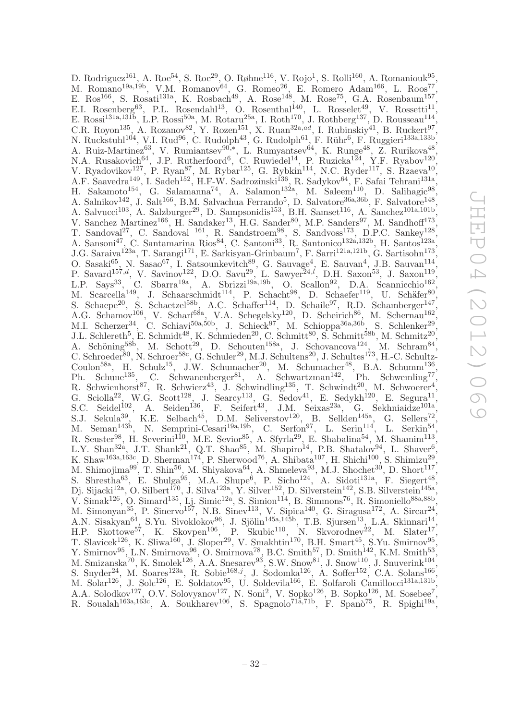D. Rodriguez<sup>161</sup>, A. Roe<sup>54</sup>, S. Roe<sup>29</sup>, O. Røhne<sup>116</sup>, V. Rojo<sup>1</sup>, S. Rolli<sup>160</sup>, A. Romaniouk<sup>95</sup>, M. Romano<sup>19a,19b</sup>, V.M. Romanov<sup>64</sup>, G. Romeo<sup>26</sup>, E. Romero Adam<sup>166</sup>, L. Roos<sup>77</sup>, E. Ros<sup>166</sup>, S. Rosati<sup>131a</sup>, K. Rosbach<sup>49</sup>, A. Rose<sup>148</sup>, M. Rose<sup>75</sup>, G.A. Rosenbaum<sup>157</sup>, E.I. Rosenberg<sup>63</sup>, P.L. Rosendahl<sup>13</sup>, O. Rosenthal<sup>140</sup>, L. Rosselet<sup>49</sup>, V. Rossetti<sup>11</sup>, E. Rossi<sup>131a,131b</sup>, L.P. Rossi<sup>50a</sup>, M. Rotaru<sup>25a</sup>, I. Roth<sup>170</sup>, J. Rothberg<sup>137</sup>, D. Rousseau<sup>114</sup>, C.R. Royon<sup>135</sup>, A. Rozanov<sup>82</sup>, Y. Rozen<sup>151</sup>, X. Ruan<sup>32a,ad</sup>, I. Rubinskiy<sup>41</sup>, B. Ruckert<sup>97</sup>, N. Ruckstuhl<sup>104</sup>, V.I. Rud<sup>96</sup>, C. Rudolph<sup>43</sup>, G. Rudolph<sup>61</sup>, F. Rühr<sup>6</sup>, F. Ruggieri<sup>133a,133b</sup>, A. Ruiz-Martinez<sup>63</sup>, V. Rumiantsev<sup>90,\*</sup>, L. Rumyantsev<sup>64</sup>, K. Runge<sup>48</sup>, Z. Rurikova<sup>48</sup>, N.A. Rusakovich<sup>64</sup>, J.P. Rutherfoord<sup>6</sup>, C. Ruwiedel<sup>14</sup>, P. Ruzicka<sup>124</sup>, Y.F. Ryabov<sup>120</sup>, V. Ryadovikov<sup>127</sup>, P. Ryan<sup>87</sup>, M. Rybar<sup>125</sup>, G. Rybkin<sup>114</sup>, N.C. Ryder<sup>117</sup>, S. Rzaeva<sup>10</sup>, A.F. Saavedra<sup>149</sup>, I. Sadeh<sup>152</sup>, H.F-W. Sadrozinski<sup>136</sup>, R. Sadykov<sup>64</sup>, F. Safai Tehrani<sup>131a</sup>, H. Sakamoto<sup>154</sup>, G. Salamanna<sup>74</sup>, A. Salamon<sup>132a</sup>, M. Saleem<sup>110</sup>, D. Salihagic<sup>98</sup>, A. Salnikov<sup>142</sup>, J. Salt<sup>166</sup>, B.M. Salvachua Ferrando<sup>5</sup>, D. Salvatore<sup>36a,36b</sup>, F. Salvatore<sup>148</sup> , A. Salvucci<sup>103</sup>, A. Salzburger<sup>29</sup>, D. Sampsonidis<sup>153</sup>, B.H. Samset<sup>116</sup>, A. Sanchez<sup>101a,101b</sup>, V. Sanchez Martinez<sup>166</sup>, H. Sandaker<sup>13</sup>, H.G. Sander<sup>80</sup>, M.P. Sanders<sup>97</sup>, M. Sandhoff<sup>173</sup>, T. Sandoval<sup>27</sup>, C. Sandoval <sup>161</sup>, R. Sandstroem<sup>98</sup>, S. Sandvoss<sup>173</sup>, D.P.C. Sankey<sup>128</sup>, A. Sansoni<sup>47</sup>, C. Santamarina Rios<sup>84</sup>, C. Santoni<sup>33</sup>, R. Santonico<sup>132a,132b</sup>, H. Santos<sup>123a</sup>, J.G. Saraiva<sup>123a</sup>, T. Sarangi<sup>171</sup>, E. Sarkisyan-Grinbaum<sup>7</sup>, F. Sarri<sup>121a,121b</sup>, G. Sartisohn<sup>173</sup> , O. Sasaki<sup>65</sup>, N. Sasao<sup>67</sup>, I. Satsounkevitch<sup>89</sup>, G. Sauvage<sup>4</sup>, E. Sauvan<sup>4</sup>, J.B. Sauvan<sup>114</sup>, P. Savard<sup>157,d</sup>, V. Savinov<sup>122</sup>, D.O. Savu<sup>29</sup>, L. Sawyer<sup>24, $l$ </sup>, D.H. Saxon<sup>53</sup>, J. Saxon<sup>119</sup>, L.P. Says<sup>33</sup>, C. Sbarra<sup>19a</sup>, A. Sbrizzi<sup>19a,19b</sup>, O. Scallon<sup>92</sup>, D.A. Scannicchio<sup>162</sup>, M. Scarcella<sup>149</sup>, J. Schaarschmidt<sup>114</sup>, P. Schacht<sup>98</sup>, D. Schaefer<sup>119</sup>, U. Schäfer<sup>80</sup>, S. Schaepe<sup>20</sup>, S. Schaetzel<sup>58b</sup>, A.C. Schaffer<sup>114</sup>, D. Schaile<sup>97</sup>, R.D. Schamberger<sup>147</sup>, A.G. Schamov<sup>106</sup>, V. Scharf<sup>58a</sup>, V.A. Schegelsky<sup>120</sup>, D. Scheirich<sup>86</sup>, M. Schernau<sup>162</sup>, M.I. Scherzer<sup>34</sup>, C. Schiavi<sup>50a,50b</sup>, J. Schieck<sup>97</sup>, M. Schioppa<sup>36a,36b</sup>, S. Schlenker<sup>29</sup>, J.L. Schlereth<sup>5</sup>, E. Schmidt<sup>48</sup>, K. Schmieden<sup>20</sup>, C. Schmitt<sup>80</sup>, S. Schmitt<sup>58b</sup>, M. Schmitz<sup>20</sup>, A. Schöning<sup>58b</sup>, M. Schott<sup>29</sup>, D. Schouten<sup>158a</sup>, J. Schovancova<sup>124</sup>, M. Schram<sup>84</sup>, C. Schroeder<sup>80</sup>, N. Schroer<sup>58c</sup>, G. Schuler<sup>29</sup>, M.J. Schultens<sup>20</sup>, J. Schultes<sup>173</sup>, H.-C. Schultz-Coulon<sup>58a</sup>, H. Schulz<sup>15</sup>, J.W. Schumacher<sup>20</sup>, M. Schumacher<sup>48</sup>, B.A. Schumm<sup>136</sup>, Ph. Schune<sup>135</sup>, C. Schwanenberger<sup>81</sup>, A. Schwartzman<sup>142</sup>, Ph. Schwemling<sup>77</sup>, R. Schwienhorst<sup>87</sup>, R. Schwierz<sup>43</sup>, J. Schwindling<sup>135</sup>, T. Schwindt<sup>20</sup>, M. Schwoerer<sup>4</sup>, G. Sciolla<sup>22</sup>, W.G. Scott<sup>128</sup>, J. Searcy<sup>113</sup>, G. Sedov<sup>41</sup>, E. Sedykh<sup>120</sup>, E. Segura<sup>11</sup>, S.C. Seidel<sup>102</sup>, A. Seiden<sup>136</sup>, F. Seifert<sup>43</sup>, J.M. Seixas<sup>23a</sup>, G. Sekhniaidze<sup>101a</sup>, S.J. Sekula<sup>39</sup>, K.E. Selbach<sup>45</sup>, D.M. Seliverstov<sup>120</sup>, B. Sellden<sup>145a</sup>, G. Sellers<sup>72</sup>, M. Seman<sup>143b</sup>, N. Semprini-Cesari<sup>19a,19b</sup>, C. Serfon<sup>97</sup>, L. Serin<sup>114</sup>, L. Serkin<sup>54</sup>, R. Seuster<sup>98</sup>, H. Severini<sup>110</sup>, M.E. Sevior<sup>85</sup>, A. Sfyrla<sup>29</sup>, E. Shabalina<sup>54</sup>, M. Shamim<sup>113</sup>, L.Y. Shan<sup>32a</sup>, J.T. Shank<sup>21'</sup>, Q.T. Shao<sup>85</sup>, M. Shapiro<sup>14</sup>, P.B. Shatalov<sup>94</sup>, L. Shaver<sup>6</sup>, K. Shaw<sup>163a,163c</sup>, D. Sherman<sup>174</sup>, P. Sherwood<sup>76</sup>, A. Shibata<sup>107</sup>, H. Shichi<sup>100</sup>, S. Shimizu<sup>29</sup>, M. Shimojima $^{99}$ , T. Shin<sup>56</sup>, M. Shiyakova<sup>64</sup>, A. Shmeleva $^{93}$ , M.J. Shochet<sup>30</sup>, D. Short<sup>117</sup>, S. Shrestha<sup>63</sup>, E. Shulga<sup>95</sup>, M.A. Shupe<sup>6</sup>, P. Sicho<sup>124</sup>, A. Sidoti<sup>131a</sup>, F. Siegert<sup>48</sup>, Dj. Sijacki<sup>12a</sup>, O. Silbert<sup>170</sup>, J. Silva<sup>123a</sup>, Y. Silver<sup>152</sup>, D. Silverstein<sup>142</sup>, S.B. Silverstein<sup>145a</sup>, V. Simak<sup>126</sup>, O. Simard<sup>135</sup>, Lj. Simic<sup>12a</sup>, S. Simion<sup>114</sup>, B. Simmons<sup>76</sup>, R. Simoniello<sup>88a,88b</sup>, M. Simonyan<sup>35</sup>, P. Sinervo<sup>157</sup>, N.B. Sinev<sup>113</sup>, V. Sipica<sup>140</sup>, G. Siragusa<sup>172</sup>, A. Sircar<sup>24</sup>, , A.N. Sisakyan<sup>64</sup>, S.Yu. Sivoklokov<sup>96</sup>, J. Sjölin<sup>145a,145b</sup>, T.B. Sjursen<sup>13</sup>, L.A. Skinnari<sup>14</sup>,  $H.P.$  Skottowe<sup>57</sup>, K. Skovpen<sup>106</sup>, P. Skubic<sup>110</sup>, N. Skvorodnev<sup>22</sup>, M. Slater<sup>17</sup>, T. Slavicek<sup>126</sup>, K. Sliwa<sup>160</sup>, J. Sloper<sup>29</sup>, V. Smakhtin<sup>170</sup>, B.H. Smart<sup>45</sup>, S.Yu. Smirnov<sup>95</sup>, Y. Smirnov<sup>95</sup>, L.N. Smirnova<sup>96</sup>, O. Smirnova<sup>78</sup>, B.C. Smith<sup>57</sup>, D. Smith<sup>142</sup>, K.M. Smith<sup>53</sup>, M. Smizanska<sup>70</sup>, K. Smolek<sup>126</sup>, A.A. Snesarev<sup>93</sup>, S.W. Snow<sup>81</sup>, J. Snow<sup>110</sup>, J. Snuverink<sup>104</sup>, S. Snyder<sup>24</sup>, M. Soares<sup>123a</sup>, R. Sobie<sup>168,j</sup>, J. Sodomka<sup>126</sup>, A. Soffer<sup>152</sup>, C.A. Solans<sup>166</sup>, M. Solar<sup>126</sup>, J. Solc<sup>126</sup>, E. Soldatov<sup>95</sup>, U. Soldevila<sup>166</sup>, E. Solfaroli Camillocci<sup>131a,131b</sup>, A.A. Solodkov<sup>127</sup>, O.V. Solovyanov<sup>127</sup>, N. Soni<sup>2</sup>, V. Sopko<sup>126</sup>, B. Sopko<sup>126</sup>, M. Sosebee<sup>7</sup>, R. Soualah<sup>163a,163c</sup>, A. Soukharev<sup>106</sup>, S. Spagnolo<sup>71a,71b</sup>, F. Spanò<sup>75</sup>, R. Spighi<sup>19a</sup>,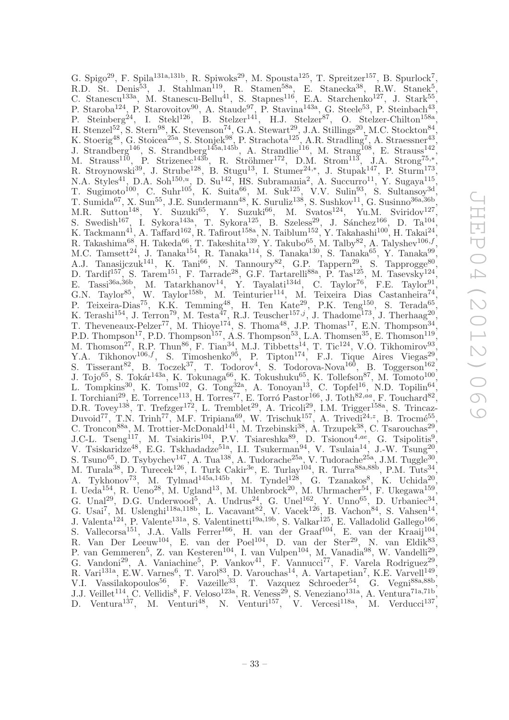G. Spigo<sup>29</sup>, F. Spila<sup>131a,131b</sup>, R. Spiwoks<sup>29</sup>, M. Spousta<sup>125</sup>, T. Spreitzer<sup>157</sup>, B. Spurlock<sup>7</sup>, R.D. St. Denis<sup>53</sup>, J. Stahlman<sup>119</sup>, R. Stamen<sup>58a</sup>, E. Stanecka<sup>38</sup>, R.W. Stanek<sup>5</sup>, C. Stanescu<sup>133a</sup>, M. Stanescu-Bellu<sup>41</sup>, S. Stapnes<sup>116</sup>, E.A. Starchenko<sup>127</sup>, J. Stark<sup>55</sup>, P. Staroba<sup>124</sup>, P. Starovoitov<sup>90</sup>, A. Staude<sup>97</sup>, P. Stavina<sup>143a</sup>, G. Steele<sup>53</sup>, P. Steinbach<sup>43</sup>, P. Steinberg<sup>24</sup>, I. Stekl<sup>126</sup>, B. Stelzer<sup>141</sup>, H.J. Stelzer<sup>87</sup>, O. Stelzer-Chilton<sup>158a</sup>, H. Stenzel<sup>52</sup>, S. Stern<sup>98</sup>, K. Stevenson<sup>74</sup>, G.A. Stewart<sup>29</sup>, J.A. Stillings<sup>20</sup>, M.C. Stockton<sup>84</sup>, K. Stoerig<sup>48</sup>, G. Stoicea<sup>25a</sup>, S. Stonjek<sup>98'</sup>, P. Strachota<sup>125'</sup>, A.R. Stradling<sup>7</sup>, A. Straessner<sup>43'</sup>, J. Strandberg<sup>146</sup>, S. Strandberg<sup>145a,145b</sup>, A. Strandlie<sup>116</sup>, M. Strang<sup>108</sup>, E. Strauss<sup>142</sup>, M. Strauss<sup>110</sup>, P. Strizenec<sup>143b</sup>, R. Ströhmer<sup>172</sup>, D.M. Strom<sup>113</sup>, J.A. Strong<sup>75,\*</sup>, R. Stroynowski<sup>39</sup>, J. Strube<sup>128</sup>, B. Stugu<sup>13</sup>, I. Stumer<sup>24,\*</sup>, J. Stupak<sup>147</sup>, P. Sturm<sup>173</sup>, N.A. Styles<sup>41</sup>, D.A. Soh<sup>150,u</sup>, D. Su<sup>142</sup>, HS. Subramania<sup>2</sup>, A. Succurro<sup>11</sup>, Y. Sugaya<sup>115</sup>, T. Sugimoto<sup>100</sup>, C. Suhr<sup>105</sup>, K. Suita<sup>66</sup>, M. Suk<sup>125</sup>, V.V. Sulin<sup>93</sup>, S. Sultansoy<sup>3d</sup>, T. Sumida<sup>67</sup>, X. Sun<sup>55</sup>, J.E. Sundermann<sup>48</sup>, K. Suruliz<sup>138</sup>, S. Sushkov<sup>11</sup>, G. Susinno<sup>36a,36b</sup>, M.R. Sutton<sup>148</sup>, Y. Suzuki<sup>65</sup>, Y. Suzuki<sup>66</sup>, M. Svatos<sup>124</sup>, Yu.M. Sviridov<sup>127</sup>, S. Swedish<sup>167</sup>, I. Sykora<sup>143a</sup>, T. Sykora<sup>125</sup>, B. Szeless<sup>29</sup>, J. Sánchez<sup>166</sup>, D. Ta<sup>104</sup>, K. Tackmann<sup>41</sup>, A. Taffard<sup>162</sup>, R. Tafirout<sup>158a</sup>, N. Taiblum<sup>152</sup>, Y. Takahashi<sup>100</sup>, H. Takai<sup>24</sup>, R. Takashima<sup>68</sup>, H. Takeda<sup>66</sup>, T. Takeshita<sup>139</sup>, Y. Takubo<sup>65</sup>, M. Talby<sup>82</sup>, A. Talyshev<sup>106,f</sup>, M.C. Tamsett<sup>24</sup>, J. Tanaka<sup>154</sup>, R. Tanaka<sup>114</sup>, S. Tanaka<sup>130</sup>, S. Tanaka<sup>65</sup>, Y. Tanaka<sup>99</sup>, A.J. Tanasijczuk<sup>141</sup>, K. Tani<sup>66</sup>, N. Tannoury<sup>82</sup>, G.P. Tappern<sup>29</sup>, S. Tapprogge<sup>80</sup>, D. Tardif<sup>157</sup>, S. Tarem<sup>151</sup>, F. Tarrade<sup>28</sup>, G.F. Tartarelli<sup>88a</sup>, P. Tas<sup>125</sup>, M. Tasevsky<sup>124</sup>, E. Tassi<sup>36a,36b</sup>, M. Tatarkhanov<sup>14</sup>, Y. Tayalati<sup>134d</sup>, C. Taylor<sup>76</sup>, F.E. Taylor<sup>91</sup>, G.N. Taylor<sup>85</sup>, W. Taylor<sup>158b</sup>, M. Teinturier<sup>114</sup>, M. Teixeira Dias Castanheira<sup>74</sup>, P. Teixeira-Dias<sup>75</sup>, K.K. Temming<sup>48</sup>, H. Ten Kate<sup>29</sup>, P.K. Teng<sup>150</sup>, S. Terada<sup>65</sup>, K. Terashi<sup>154</sup>, J. Terron<sup>79</sup>, M. Testa<sup>47</sup>, R.J. Teuscher<sup>157,j</sup>, J. Thadome<sup>173</sup>, J. Therhaag<sup>20</sup>, T. Theveneaux-Pelzer<sup>77</sup>, M. Thioye<sup>174</sup>, S. Thoma<sup>48</sup>, J.P. Thomas<sup>17</sup>, E.N. Thompson<sup>34</sup>, P.D. Thompson<sup>17</sup>, P.D. Thompson<sup>157</sup>, A.S. Thompson<sup>53</sup>, L.A. Thomsen<sup>35</sup>, E. Thomson<sup>119</sup>, M. Thomson<sup>27</sup>, R.P. Thun<sup>86</sup>, F. Tian<sup>34</sup>, M.J. Tibbetts<sup>14</sup>, T. Tic<sup>124</sup>, V.O. Tikhomirov<sup>93</sup>, Y.A. Tikhonov<sup>106,f</sup>, S. Timoshenko<sup>95</sup>, P. Tipton<sup>174</sup>, F.J. Tique Aires Viegas<sup>29</sup>, S. Tisserant<sup>82</sup>, B. Toczek<sup>37</sup>, T. Todorov<sup>4</sup>, S. Todorova-Nova<sup>160</sup>, B. Toggerson<sup>162</sup>, J. Tojo<sup>65</sup>, S. Tokár<sup>143a</sup>, K. Tokunaga<sup>66</sup>, K. Tokushuku<sup>65</sup>, K. Tollefson<sup>87</sup>, M. Tomoto<sup>100</sup>, L. Tompkins<sup>30</sup>, K. Toms<sup>102</sup>, G. Tong<sup>32a</sup>, A. Tonoyan<sup>13</sup>, C. Topfel<sup>16</sup>, N.D. Topilin<sup>64</sup>, I. Torchiani<sup>29</sup>, E. Torrence<sup>113</sup>, H. Torres<sup>77</sup>, E. Torró Pastor<sup>166</sup>, J. Toth<sup>82,*aa*</sup>, F. Touchard<sup>82</sup>, D.R. Tovey<sup>138</sup>, T. Trefzger<sup>172</sup>, L. Tremblet<sup>29</sup>, A. Tricoli<sup>29</sup>, I.M. Trigger<sup>158a</sup>, S. Trincaz-Duvoid<sup>77</sup>, T.N. Trinh<sup>77</sup>, M.F. Tripiana<sup>69</sup>, W. Trischuk<sup>157</sup>, A. Trivedi<sup>24,z</sup>, B. Trocmé<sup>55</sup>, C. Troncon<sup>88a</sup>, M. Trottier-McDonald<sup>141</sup>, M. Trzebinski<sup>38</sup>, A. Trzupek<sup>38</sup>, C. Tsarouchas<sup>29</sup>, J.C-L. Tseng<sup>117</sup>, M. Tsiakiris<sup>104</sup>, P.V. Tsiareshka<sup>89</sup>, D. Tsionou<sup>4,ae</sup>, G. Tsipolitis<sup>9</sup>, V. Tsiskaridze<sup>48</sup>, E.G. Tskhadadze<sup>51a</sup>, I.I. Tsukerman<sup>94</sup>, V. Tsulaia<sup>14</sup>, J.-W. Tsung<sup>20</sup>, S. Tsuno<sup>65</sup>, D. Tsybychev<sup>147</sup>, A. Tua<sup>138</sup>, A. Tudorache<sup>25a</sup>, V. Tudorache<sup>25a</sup>, J.M. Tuggle<sup>30</sup>, M. Turala<sup>38</sup>, D. Turecek<sup>126</sup>, I. Turk Cakir<sup>3e</sup>, E. Turlay<sup>104</sup>, R. Turra<sup>88a,88b</sup>, P.M. Tuts<sup>34</sup>, A. Tykhonov<sup>73</sup>, M. Tylmad<sup>145a,145b</sup>, M. Tyndel<sup>128</sup>, G. Tzanakos<sup>8</sup>, K. Uchida<sup>20</sup>, I. Ueda<sup>154</sup>, R. Ueno<sup>28</sup>, M. Ugland<sup>13</sup>, M. Uhlenbrock<sup>20</sup>, M. Uhrmacher<sup>54</sup>, F. Ukegawa<sup>159</sup>, G. Unal<sup>29</sup>, D.G. Underwood<sup>5</sup>, A. Undrus<sup>24</sup>, G. Unel<sup>162</sup>, Y. Unno<sup>65</sup>, D. Urbaniec<sup>34</sup>, G. Usai<sup>7</sup>, M. Uslenghi<sup>118a,118b</sup>, L. Vacavant<sup>82</sup>, V. Vacek<sup>126</sup>, B. Vachon<sup>84</sup>, S. Vahsen<sup>14</sup>, J. Valenta<sup>124</sup>, P. Valente<sup>131a</sup>, S. Valentinetti<sup>19a,19b</sup>, S. Valkar<sup>125</sup>, E. Valladolid Gallego<sup>166</sup>, S. Vallecorsa<sup>151</sup>, J.A. Valls Ferrer<sup>166</sup>, H. van der Graaf<sup>104</sup>, E. van der Kraaij<sup>104</sup>, R. Van Der Leeuw<sup>104</sup>, E. van der Poel<sup>104</sup>, D. van der Ster<sup>29</sup>, N. van Eldik<sup>83</sup>, P. van Gemmeren<sup>5</sup>, Z. van Kesteren<sup>104</sup>, I. van Vulpen<sup>104</sup>, M. Vanadia<sup>98</sup>, W. Vandelli<sup>29</sup>, G. Vandoni<sup>29</sup>, A. Vaniachine<sup>5</sup>, P. Vankov<sup>41</sup>, F. Vannucci<sup>77</sup>, F. Varela Rodriguez<sup>29</sup>, R. Vari<sup>131a</sup>, E.W. Varnes<sup>6</sup>, T. Varol<sup>83</sup>, D. Varouchas<sup>14</sup>, A. Vartapetian<sup>7</sup>, K.E. Varvell<sup>149</sup>, V.I. Vassilakopoulos<sup>56</sup>, F. Vazeille<sup>33</sup>, T. Vazquez Schroeder<sup>54</sup>, G. Vegni<sup>88a,88b</sup>, J.J. Veillet<sup>114</sup>, C. Vellidis<sup>8</sup>, F. Veloso<sup>123a</sup>, R. Veness<sup>29</sup>, S. Veneziano<sup>131a</sup>, A. Ventura<sup>71a,71b</sup>, D. Ventura<sup>137</sup>, M. Venturi<sup>48</sup>, N. Venturi<sup>157</sup>, V. Vercesi<sup>118a</sup>, M. Verducci<sup>137</sup>,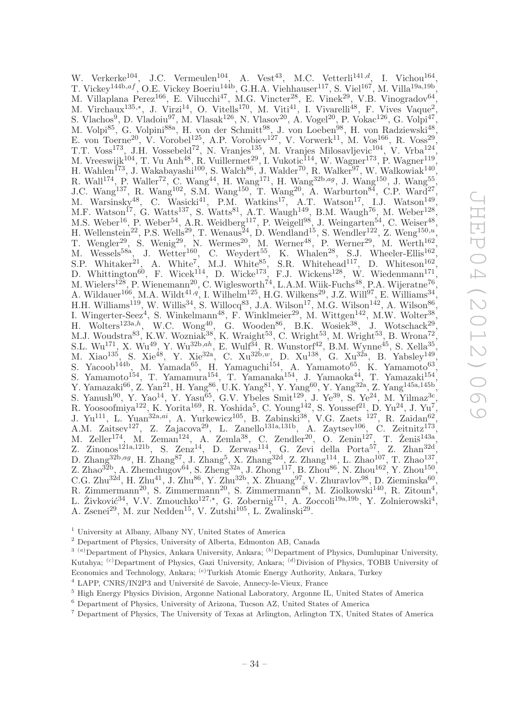W. Verkerke<sup>104</sup>, J.C. Vermeulen<sup>104</sup>, A. Vest<sup>43</sup>, M.C. Vetterli<sup>141,d</sup>, I. Vichou<sup>164</sup>, T. Vickey<sup>144b,af</sup>, O.E. Vickey Boeriu<sup>144b</sup>, G.H.A. Viehhauser<sup>117</sup>, S. Viel<sup>167</sup>, M. Villa<sup>19a,19b</sup>, M. Villaplana Perez<sup>166</sup>, E. Vilucchi<sup>47</sup>, M.G. Vincter<sup>28</sup>, E. Vinek<sup>29</sup>, V.B. Vinogradov<sup>64</sup>, M. Virchaux<sup>135,\*</sup>, J. Virzi<sup>14</sup>, O. Vitells<sup>170</sup>, M. Viti<sup>41</sup>, I. Vivarelli<sup>48</sup>, F. Vives Vaque<sup>2</sup>, S. Vlachos<sup>9</sup>, D. Vladoiu<sup>97</sup>, M. Vlasak<sup>126</sup>, N. Vlasov<sup>20</sup>, A. Vogel<sup>20</sup>, P. Vokac<sup>126</sup>, G. Volpi<sup>47</sup>, M. Volpi<sup>85</sup>, G. Volpini<sup>88a</sup>, H. von der Schmitt<sup>98</sup>, J. von Loeben<sup>98</sup>, H. von Radziewski<sup>48</sup>, E. von Toerne<sup>20</sup>, V. Vorobel<sup>125</sup>, A.P. Vorobiev<sup>127</sup>, V. Vorwerk<sup>11</sup>, M. Vos<sup>166</sup>, R. Voss<sup>29</sup>, T.T. Voss<sup>173</sup>, J.H. Vossebeld<sup>72</sup>, N. Vranjes<sup>135</sup>, M. Vranjes Milosavljevic<sup>104</sup>, V. Vrba<sup>124</sup>, M. Vreeswijk<sup>104</sup>, T. Vu Anh<sup>48</sup>, R. Vuillermet<sup>29</sup>, I. Vukotic<sup>114</sup>, W. Wagner<sup>173</sup>, P. Wagner<sup>119</sup>, H. Wahlen<sup>173</sup>, J. Wakabayashi<sup>100</sup>, S. Walch<sup>86</sup>, J. Walder<sup>70</sup>, R. Walker<sup>97</sup>, W. Walkowiak<sup>140</sup>, R. Wall<sup>174</sup>, P. Waller<sup>72</sup>, C. Wang<sup>44</sup>, H. Wang<sup>171</sup>, H. Wang<sup>32b,ag</sup>, J. Wang<sup>150</sup>, J. Wang<sup>55</sup>, J.C. Wang<sup>137</sup>, R. Wang<sup>102</sup>, S.M. Wang<sup>150</sup>, T. Wang<sup>20</sup>, A. Warburton<sup>84</sup>, C.P. Ward<sup>27</sup>, M. Warsinsky<sup>48</sup>, C. Wasicki<sup>41</sup>, P.M. Watkins<sup>17</sup>, A.T. Watson<sup>17</sup>, I.J. Watson<sup>149</sup>, M.F. Watson<sup>17</sup>, G. Watts<sup>137</sup>, S. Watts<sup>81</sup>, A.T. Waugh<sup>149</sup>, B.M. Waugh<sup>76</sup>, M. Weber<sup>128</sup>, M.S. Weber<sup>16</sup>, P. Weber<sup>54</sup>, A.R. Weidberg<sup>117</sup>, P. Weigell<sup>98</sup>, J. Weingarten<sup>54</sup>, C. Weiser<sup>48</sup>, H. Wellenstein<sup>22</sup>, P.S. Wells<sup>29</sup>, T. Wenaus<sup>24</sup>, D. Wendland<sup>15</sup>, S. Wendler<sup>122</sup>, Z. Weng<sup>150,*u*</sup>, T. Wengler<sup>29</sup>, S. Wenig<sup>29</sup>, N. Wermes<sup>20</sup>, M. Werner<sup>48</sup>, P. Werner<sup>29</sup>, M. Werth<sup>162</sup>, M. Wessels<sup>58a</sup>, J. Wetter<sup>160</sup>, C. Weydert<sup>55</sup>, K. Whalen<sup>28</sup>, S.J. Wheeler-Ellis<sup>162</sup>, S.P. Whitaker<sup>21</sup>, A. White<sup>7</sup>, M.J. White<sup>85</sup>, S.R. Whitehead<sup>117</sup>, D. Whiteson<sup>162</sup>, D. Whittington<sup>60</sup>, F. Wicek<sup>114</sup>, D. Wicke<sup>173</sup>, F.J. Wickens<sup>128</sup>, W. Wiedenmann<sup>171</sup>, M. Wielers<sup>128</sup>, P. Wienemann<sup>20</sup>, C. Wiglesworth<sup>74</sup>, L.A.M. Wiik-Fuchs<sup>48</sup>, P.A. Wijeratne<sup>76</sup>, A. Wildauer<sup>166</sup>, M.A. Wildt<sup>41,q'</sup>, I. Wilhelm<sup>125</sup>, H.G. Wilkens<sup>29</sup>, J.Z. Will<sup>97</sup>, E. Williams<sup>34</sup>, H.H. Williams<sup>119</sup>, W. Willis<sup>34</sup>, S. Willocq<sup>83</sup>, J.A. Wilson<sup>17</sup>, M.G. Wilson<sup>142</sup>, A. Wilson<sup>86</sup>, I. Wingerter-Seez<sup>4</sup>, S. Winkelmann<sup>48</sup>, F. Winklmeier<sup>29</sup>, M. Wittgen<sup>142</sup>, M.W. Wolter<sup>38</sup>, H. Wolters<sup>123a,h</sup>, W.C. Wong<sup>40</sup>, G. Wooden<sup>86</sup>, B.K. Wosiek<sup>38</sup>, J. Wotschack<sup>29</sup>, M.J. Woudstra $^{83}$ , K.W. Wozniak $^{38}$ , K. Wraight $^{53}$ , C. Wright $^{53}$ , M. Wright $^{53}$ , B. Wrona<sup>72</sup>, S.L. Wu<sup>171</sup>, X. Wu<sup>49</sup>, Y. Wu<sup>32b,ah</sup>, E. Wulf<sup>34</sup>, R. Wunstorf<sup>42</sup>, B.M. Wynne<sup>45</sup>, S. Xella<sup>35</sup>, M. Xiao<sup>135</sup>, S. Xie<sup>48</sup>, Y. Xie<sup>32a'</sup>, C. Xu<sup>32b,w</sup>, D. Xu<sup>138</sup>, G. Xu<sup>32a</sup>, B. Yabsley<sup>149'</sup>, S. Yacoob<sup>144b</sup>, M. Yamada<sup>65</sup>, H. Yamaguchi<sup>154</sup>, A. Yamamoto<sup>65</sup>, K. Yamamoto<sup>63</sup>, S. Yamamoto<sup>154</sup>, T. Yamamura<sup>154</sup>, T. Yamanaka<sup>154</sup>, J. Yamaoka<sup>44</sup>, T. Yamazaki<sup>154</sup>, Y. Yamazaki<sup>66</sup>, Z. Yan<sup>21</sup>, H. Yang<sup>86</sup>, U.K. Yang<sup>81</sup>, Y. Yang<sup>60</sup>, Y. Yang<sup>32</sup><sup>a</sup>, Z. Yang<sup>145a,145b</sup>, S. Yanush<sup>90</sup>, Y. Yao<sup>14</sup>, Y. Yasu<sup>65</sup>, G.V. Ybeles Smit<sup>129</sup>, J. Ye<sup>39</sup>, S. Ye<sup>24</sup>, M. Yilmaz<sup>3c</sup>, R. Yoosoofmiya<sup>122</sup>, K. Yorita<sup>169</sup>, R. Yoshida<sup>5</sup>, C. Young<sup>142</sup>, S. Youssef<sup>21</sup>, D. Yu<sup>24</sup>, J. Yu<sup>7</sup>, J. Yu<sup>111</sup>, L. Yuan<sup>32a,ai</sup>, A. Yurkewicz<sup>105</sup>, B. Zabinski<sup>38</sup>, V.G. Zaets<sup>127</sup>, R. Zaidan<sup>62</sup>, A.M. Zaitsev<sup>127</sup>, Z. Zajacova<sup>29</sup>, L. Zanello<sup>131a,131b</sup>, A. Zaytsev<sup>106</sup>, C. Zeitnitz<sup>173</sup>, M. Zeller<sup>174</sup>, M. Zeman<sup>124</sup>, A. Zemla<sup>38</sup>, C. Zendler<sup>20</sup>, O. Zenin<sup>127</sup>, T. Ženiš<sup>143a</sup>, Z. Zinonos<sup>121a,121b</sup>, S. Zenz<sup>14</sup>, D. Zerwas<sup>114</sup>, G. Zevi della Porta<sup>57</sup>, Z. Zhan<sup>32d</sup>, D. Zhang<sup>32b,ag</sup>, H. Zhang<sup>87</sup>, J. Zhang<sup>5</sup>, X. Zhang<sup>32d</sup>, Z. Zhang<sup>114</sup>, L. Zhao<sup>107</sup>, T. Zhao<sup>137</sup>, Z. Zhao<sup>32b</sup>, A. Zhemchugov<sup>64</sup>, S. Zheng<sup>32a</sup>, J. Zhong<sup>117</sup>, B. Zhou<sup>86</sup>, N. Zhou<sup>162</sup>, Y. Zhou<sup>150</sup>, C.G. Zhu<sup>32d</sup>, H. Zhu<sup>41</sup>, J. Zhu<sup>86</sup>, Y. Zhu<sup>32b</sup>, X. Zhuang<sup>97</sup>, V. Zhuravlov<sup>98</sup>, D. Zieminska<sup>60</sup>, R. Zimmermann<sup>20</sup>, S. Zimmermann<sup>20</sup>, S. Zimmermann<sup>48</sup>, M. Ziolkowski<sup>140</sup>, R. Zitoun<sup>4</sup>, L. Živković<sup>34</sup>, V.V. Zmouchko<sup>127,∗</sup>, G. Zobernig<sup>171</sup>, A. Zoccoli<sup>19a,19b</sup>, Y. Zolnierowski<sup>4</sup>, A. Zsenei<sup>29</sup>, M. zur Nedden<sup>15</sup>, V. Zutshi<sup>105</sup>, L. Zwalinski<sup>29</sup>.

<sup>1</sup> University at Albany, Albany NY, United States of America

<sup>2</sup> Department of Physics, University of Alberta, Edmonton AB, Canada

 $3(a)$ Department of Physics, Ankara University, Ankara;  $(b)$ Department of Physics, Dumlupinar University, Kutahya; <sup>(c)</sup>Department of Physics, Gazi University, Ankara; <sup>(d)</sup>Division of Physics, TOBB University of Economics and Technology, Ankara; <sup>(e)</sup>Turkish Atomic Energy Authority, Ankara, Turkey

 $4$  LAPP, CNRS/IN2P3 and Université de Savoie, Annecy-le-Vieux, France

<sup>5</sup> High Energy Physics Division, Argonne National Laboratory, Argonne IL, United States of America

<sup>6</sup> Department of Physics, University of Arizona, Tucson AZ, United States of America

<sup>7</sup> Department of Physics, The University of Texas at Arlington, Arlington TX, United States of America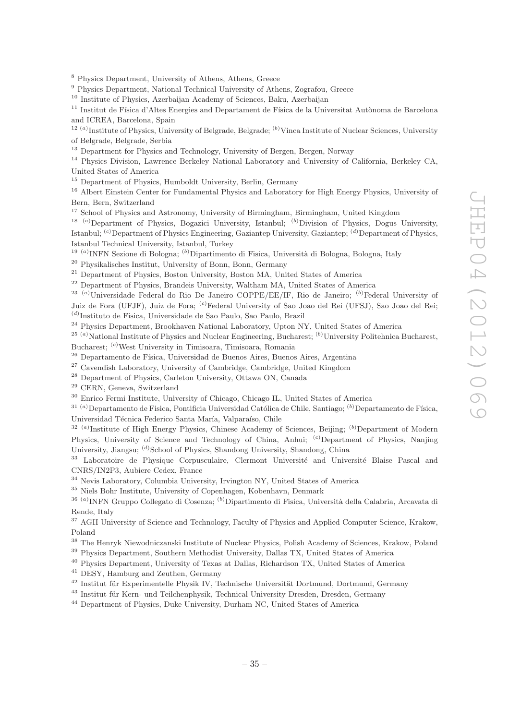<sup>8</sup> Physics Department, University of Athens, Athens, Greece

<sup>9</sup> Physics Department, National Technical University of Athens, Zografou, Greece

<sup>10</sup> Institute of Physics, Azerbaijan Academy of Sciences, Baku, Azerbaijan

<sup>11</sup> Institut de Física d'Altes Energies and Departament de Física de la Universitat Autònoma de Barcelona and ICREA, Barcelona, Spain

<sup>12 (a)</sup>Institute of Physics, University of Belgrade, Belgrade; <sup>(b)</sup>Vinca Institute of Nuclear Sciences, University of Belgrade, Belgrade, Serbia

<sup>13</sup> Department for Physics and Technology, University of Bergen, Bergen, Norway

<sup>14</sup> Physics Division, Lawrence Berkeley National Laboratory and University of California, Berkeley CA, United States of America

<sup>15</sup> Department of Physics, Humboldt University, Berlin, Germany

<sup>16</sup> Albert Einstein Center for Fundamental Physics and Laboratory for High Energy Physics, University of Bern, Bern, Switzerland

<sup>17</sup> School of Physics and Astronomy, University of Birmingham, Birmingham, United Kingdom

<sup>18 (a)</sup>Department of Physics, Bogazici University, Istanbul; <sup>(b)</sup>Division of Physics, Dogus University, Istanbul; <sup>(c)</sup>Department of Physics Engineering, Gaziantep University, Gaziantep; <sup>(d)</sup>Department of Physics, Istanbul Technical University, Istanbul, Turkey

<sup>19 (a)</sup> INFN Sezione di Bologna; <sup>(b)</sup> Dipartimento di Fisica, Università di Bologna, Bologna, Italy

<sup>20</sup> Physikalisches Institut, University of Bonn, Bonn, Germany

<sup>21</sup> Department of Physics, Boston University, Boston MA, United States of America

<sup>22</sup> Department of Physics, Brandeis University, Waltham MA, United States of America

<sup>23 (a)</sup>Universidade Federal do Rio De Janeiro COPPE/EE/IF, Rio de Janeiro; <sup>(b)</sup>Federal University of Juiz de Fora (UFJF), Juiz de Fora; (c)Federal University of Sao Joao del Rei (UFSJ), Sao Joao del Rei; (d) Instituto de Fisica, Universidade de Sao Paulo, Sao Paulo, Brazil

<sup>24</sup> Physics Department, Brookhaven National Laboratory, Upton NY, United States of America

 $^{25~(a)}$ National Institute of Physics and Nuclear Engineering, Bucharest;  $^{(b)}$ University Politehnica Bucharest, Bucharest; (c)West University in Timisoara, Timisoara, Romania

<sup>26</sup> Departamento de Física, Universidad de Buenos Aires, Buenos Aires, Argentina

<sup>27</sup> Cavendish Laboratory, University of Cambridge, Cambridge, United Kingdom

<sup>28</sup> Department of Physics, Carleton University, Ottawa ON, Canada

<sup>29</sup> CERN, Geneva, Switzerland

<sup>30</sup> Enrico Fermi Institute, University of Chicago, Chicago IL, United States of America

 $31 (a)$ Departamento de Fisica, Pontificia Universidad Católica de Chile, Santiago;  $(b)$ Departamento de Física, Universidad Técnica Federico Santa María, Valparaíso, Chile

<sup>32 (a)</sup>Institute of High Energy Physics, Chinese Academy of Sciences, Beijing; <sup>(b)</sup>Department of Modern Physics, University of Science and Technology of China, Anhui; <sup>(c)</sup>Department of Physics, Nanjing University, Jiangsu; (d)School of Physics, Shandong University, Shandong, China

<sup>33</sup> Laboratoire de Physique Corpusculaire, Clermont Université and Université Blaise Pascal and CNRS/IN2P3, Aubiere Cedex, France

<sup>34</sup> Nevis Laboratory, Columbia University, Irvington NY, United States of America

<sup>35</sup> Niels Bohr Institute, University of Copenhagen, Kobenhavn, Denmark

<sup>36 (a)</sup>INFN Gruppo Collegato di Cosenza; <sup>(b)</sup>Dipartimento di Fisica, Università della Calabria, Arcavata di Rende, Italy

<sup>37</sup> AGH University of Science and Technology, Faculty of Physics and Applied Computer Science, Krakow, Poland

<sup>38</sup> The Henryk Niewodniczanski Institute of Nuclear Physics, Polish Academy of Sciences, Krakow, Poland

<sup>39</sup> Physics Department, Southern Methodist University, Dallas TX, United States of America

<sup>40</sup> Physics Department, University of Texas at Dallas, Richardson TX, United States of America

<sup>41</sup> DESY, Hamburg and Zeuthen, Germany

 $42$  Institut für Experimentelle Physik IV, Technische Universität Dortmund, Dortmund, Germany

<sup>43</sup> Institut für Kern- und Teilchenphysik, Technical University Dresden, Dresden, Germany

<sup>44</sup> Department of Physics, Duke University, Durham NC, United States of America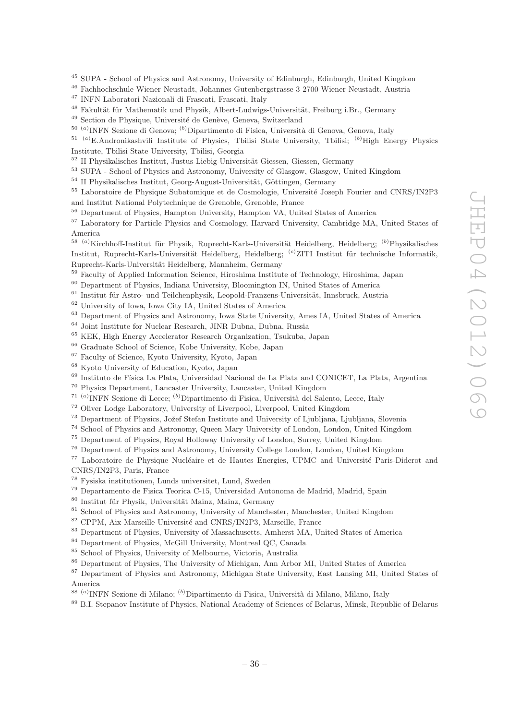<sup>45</sup> SUPA - School of Physics and Astronomy, University of Edinburgh, Edinburgh, United Kingdom

<sup>46</sup> Fachhochschule Wiener Neustadt, Johannes Gutenbergstrasse 3 2700 Wiener Neustadt, Austria

<sup>47</sup> INFN Laboratori Nazionali di Frascati, Frascati, Italy

 $^{48}$  Fakultät für Mathematik und Physik, Albert-Ludwigs-Universität, Freiburg i.Br., Germany

<sup>49</sup> Section de Physique, Université de Genève, Geneva, Switzerland

<sup>50 (a)</sup>INFN Sezione di Genova; <sup>(b)</sup>Dipartimento di Fisica, Università di Genova, Genova, Italy

<sup>51 (a)</sup>E.Andronikashvili Institute of Physics, Tbilisi State University, Tbilisi; <sup>(b)</sup>High Energy Physics Institute, Tbilisi State University, Tbilisi, Georgia

 $52$  II Physikalisches Institut, Justus-Liebig-Universität Giessen, Giessen, Germany

<sup>53</sup> SUPA - School of Physics and Astronomy, University of Glasgow, Glasgow, United Kingdom

 $54$  II Physikalisches Institut, Georg-August-Universität, Göttingen, Germany

<sup>55</sup> Laboratoire de Physique Subatomique et de Cosmologie, Université Joseph Fourier and CNRS/IN2P3 and Institut National Polytechnique de Grenoble, Grenoble, France

<sup>56</sup> Department of Physics, Hampton University, Hampton VA, United States of America

<sup>57</sup> Laboratory for Particle Physics and Cosmology, Harvard University, Cambridge MA, United States of America

<sup>58 (a)</sup>Kirchhoff-Institut für Physik, Ruprecht-Karls-Universität Heidelberg, Heidelberg; <sup>(b)</sup>Physikalisches Institut, Ruprecht-Karls-Universität Heidelberg, Heidelberg; <sup>(c)</sup>ZITI Institut für technische Informatik, Ruprecht-Karls-Universität Heidelberg, Mannheim, Germany

<sup>59</sup> Faculty of Applied Information Science, Hiroshima Institute of Technology, Hiroshima, Japan

<sup>60</sup> Department of Physics, Indiana University, Bloomington IN, United States of America

 $61$  Institut für Astro- und Teilchenphysik, Leopold-Franzens-Universität, Innsbruck, Austria

<sup>62</sup> University of Iowa, Iowa City IA, United States of America

<sup>63</sup> Department of Physics and Astronomy, Iowa State University, Ames IA, United States of America

<sup>64</sup> Joint Institute for Nuclear Research, JINR Dubna, Dubna, Russia

<sup>65</sup> KEK, High Energy Accelerator Research Organization, Tsukuba, Japan

<sup>66</sup> Graduate School of Science, Kobe University, Kobe, Japan

<sup>67</sup> Faculty of Science, Kyoto University, Kyoto, Japan

<sup>68</sup> Kyoto University of Education, Kyoto, Japan

<sup>69</sup> Instituto de Física La Plata, Universidad Nacional de La Plata and CONICET, La Plata, Argentina

<sup>70</sup> Physics Department, Lancaster University, Lancaster, United Kingdom

<sup>71 (a)</sup> INFN Sezione di Lecce; <sup>(b)</sup> Dipartimento di Fisica, Università del Salento, Lecce, Italy

<sup>72</sup> Oliver Lodge Laboratory, University of Liverpool, Liverpool, United Kingdom

<sup>73</sup> Department of Physics, Jožef Stefan Institute and University of Ljubljana, Ljubljana, Slovenia

<sup>74</sup> School of Physics and Astronomy, Queen Mary University of London, London, United Kingdom

<sup>75</sup> Department of Physics, Royal Holloway University of London, Surrey, United Kingdom

<sup>76</sup> Department of Physics and Astronomy, University College London, London, United Kingdom

<sup>77</sup> Laboratoire de Physique Nucléaire et de Hautes Energies, UPMC and Université Paris-Diderot and CNRS/IN2P3, Paris, France

<sup>78</sup> Fysiska institutionen, Lunds universitet, Lund, Sweden

<sup>79</sup> Departamento de Fisica Teorica C-15, Universidad Autonoma de Madrid, Madrid, Spain

80 Institut für Physik, Universität Mainz, Mainz, Germany

<sup>81</sup> School of Physics and Astronomy, University of Manchester, Manchester, United Kingdom

<sup>82</sup> CPPM, Aix-Marseille Université and CNRS/IN2P3, Marseille, France

<sup>83</sup> Department of Physics, University of Massachusetts, Amherst MA, United States of America

<sup>84</sup> Department of Physics, McGill University, Montreal QC, Canada

<sup>85</sup> School of Physics, University of Melbourne, Victoria, Australia

<sup>86</sup> Department of Physics, The University of Michigan, Ann Arbor MI, United States of America

<sup>87</sup> Department of Physics and Astronomy, Michigan State University, East Lansing MI, United States of America

<sup>88 (a)</sup>INFN Sezione di Milano; <sup>(b)</sup>Dipartimento di Fisica, Università di Milano, Milano, Italy

<sup>89</sup> B.I. Stepanov Institute of Physics, National Academy of Sciences of Belarus, Minsk, Republic of Belarus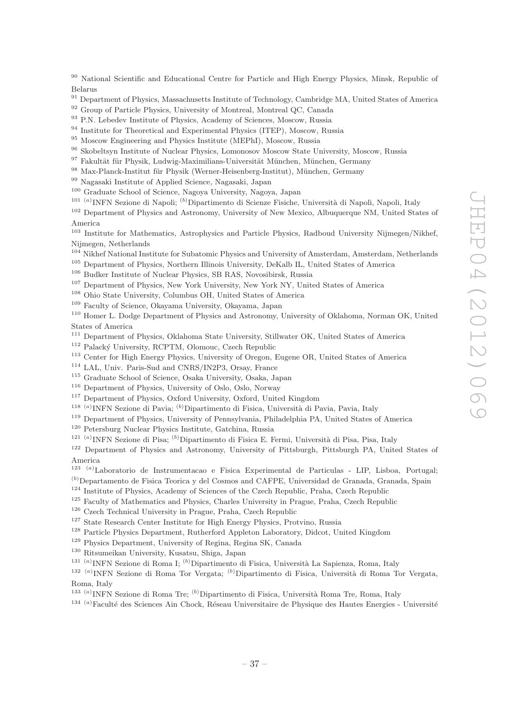<sup>90</sup> National Scientific and Educational Centre for Particle and High Energy Physics, Minsk, Republic of Belarus

- <sup>91</sup> Department of Physics, Massachusetts Institute of Technology, Cambridge MA, United States of America
- <sup>92</sup> Group of Particle Physics, University of Montreal, Montreal QC, Canada
- <sup>93</sup> P.N. Lebedev Institute of Physics, Academy of Sciences, Moscow, Russia
- <sup>94</sup> Institute for Theoretical and Experimental Physics (ITEP), Moscow, Russia
- <sup>95</sup> Moscow Engineering and Physics Institute (MEPhI), Moscow, Russia
- <sup>96</sup> Skobeltsyn Institute of Nuclear Physics, Lomonosov Moscow State University, Moscow, Russia
- 97 Fakultät für Physik, Ludwig-Maximilians-Universität München, München, Germany
- 98 Max-Planck-Institut für Physik (Werner-Heisenberg-Institut), München, Germany
- <sup>99</sup> Nagasaki Institute of Applied Science, Nagasaki, Japan
- <sup>100</sup> Graduate School of Science, Nagoya University, Nagoya, Japan
- <sup>101 (a)</sup>INFN Sezione di Napoli; <sup>(b)</sup>Dipartimento di Scienze Fisiche, Università di Napoli, Napoli, Italy

<sup>102</sup> Department of Physics and Astronomy, University of New Mexico, Albuquerque NM, United States of America

<sup>103</sup> Institute for Mathematics, Astrophysics and Particle Physics, Radboud University Nijmegen/Nikhef, Nijmegen, Netherlands

- <sup>104</sup> Nikhef National Institute for Subatomic Physics and University of Amsterdam, Amsterdam, Netherlands
- <sup>105</sup> Department of Physics, Northern Illinois University, DeKalb IL, United States of America
- <sup>106</sup> Budker Institute of Nuclear Physics, SB RAS, Novosibirsk, Russia
- <sup>107</sup> Department of Physics, New York University, New York NY, United States of America
- <sup>108</sup> Ohio State University, Columbus OH, United States of America
- <sup>109</sup> Faculty of Science, Okayama University, Okayama, Japan

<sup>110</sup> Homer L. Dodge Department of Physics and Astronomy, University of Oklahoma, Norman OK, United States of America

- <sup>111</sup> Department of Physics, Oklahoma State University, Stillwater OK, United States of America
- <sup>112</sup> Palacký University, RCPTM, Olomouc, Czech Republic
- <sup>113</sup> Center for High Energy Physics, University of Oregon, Eugene OR, United States of America
- <sup>114</sup> LAL, Univ. Paris-Sud and CNRS/IN2P3, Orsay, France
- <sup>115</sup> Graduate School of Science, Osaka University, Osaka, Japan
- <sup>116</sup> Department of Physics, University of Oslo, Oslo, Norway
- <sup>117</sup> Department of Physics, Oxford University, Oxford, United Kingdom
- <sup>118 (a)</sup>INFN Sezione di Pavia; <sup>(b)</sup>Dipartimento di Fisica, Università di Pavia, Pavia, Italy
- <sup>119</sup> Department of Physics, University of Pennsylvania, Philadelphia PA, United States of America
- <sup>120</sup> Petersburg Nuclear Physics Institute, Gatchina, Russia
- <sup>121 (a</sup>) INFN Sezione di Pisa; <sup>(b)</sup> Dipartimento di Fisica E. Fermi, Università di Pisa, Pisa, Italy
- <sup>122</sup> Department of Physics and Astronomy, University of Pittsburgh, Pittsburgh PA, United States of America
- 123 (a)Laboratorio de Instrumentacao e Fisica Experimental de Particulas LIP, Lisboa, Portugal;
- $<sup>(b)</sup>$ Departamento de Fisica Teorica y del Cosmos and CAFPE, Universidad de Granada, Granada, Spain</sup> <sup>124</sup> Institute of Physics, Academy of Sciences of the Czech Republic, Praha, Czech Republic
- <sup>125</sup> Faculty of Mathematics and Physics, Charles University in Prague, Praha, Czech Republic
- 
- <sup>126</sup> Czech Technical University in Prague, Praha, Czech Republic
- <sup>127</sup> State Research Center Institute for High Energy Physics, Protvino, Russia
- <sup>128</sup> Particle Physics Department, Rutherford Appleton Laboratory, Didcot, United Kingdom
- <sup>129</sup> Physics Department, University of Regina, Regina SK, Canada
- <sup>130</sup> Ritsumeikan University, Kusatsu, Shiga, Japan
- <sup>131 (a)</sup>INFN Sezione di Roma I; <sup>(b)</sup>Dipartimento di Fisica, Università La Sapienza, Roma, Italy
- <sup>132 (a)</sup>INFN Sezione di Roma Tor Vergata; <sup>(b)</sup>Dipartimento di Fisica, Università di Roma Tor Vergata, Roma, Italy
- <sup>133 (a)</sup>INFN Sezione di Roma Tre; <sup>(b)</sup>Dipartimento di Fisica, Università Roma Tre, Roma, Italy
- $134$ <sup>(a)</sup>Faculté des Sciences Ain Chock, Réseau Universitaire de Physique des Hautes Energies Université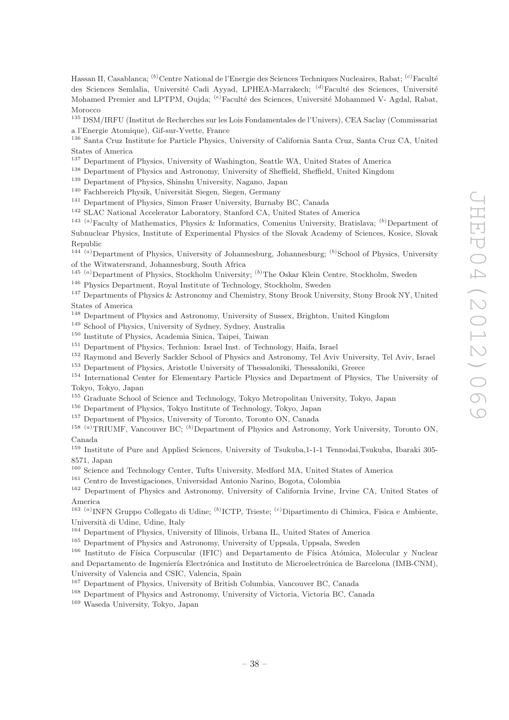Hassan II, Casablanca; <sup>(b)</sup>Centre National de l'Energie des Sciences Techniques Nucleaires, Rabat; <sup>(c)</sup>Faculté des Sciences Semlalia, Université Cadi Ayyad, LPHEA-Marrakech; <sup>(d)</sup>Faculté des Sciences, Université Mohamed Premier and LPTPM, Oujda; <sup>(e)</sup>Faculté des Sciences, Université Mohammed V- Agdal, Rabat, Morocco

<sup>135</sup> DSM/IRFU (Institut de Recherches sur les Lois Fondamentales de l'Univers), CEA Saclay (Commissariat a l'Energie Atomique), Gif-sur-Yvette, France

<sup>136</sup> Santa Cruz Institute for Particle Physics, University of California Santa Cruz, Santa Cruz CA, United States of America

<sup>137</sup> Department of Physics, University of Washington, Seattle WA, United States of America

<sup>138</sup> Department of Physics and Astronomy, University of Sheffield, Sheffield, United Kingdom

<sup>139</sup> Department of Physics, Shinshu University, Nagano, Japan

<sup>140</sup> Fachbereich Physik, Universität Siegen, Siegen, Germany

<sup>141</sup> Department of Physics, Simon Fraser University, Burnaby BC, Canada

<sup>142</sup> SLAC National Accelerator Laboratory, Stanford CA, United States of America

<sup>143 (a)</sup>Faculty of Mathematics, Physics & Informatics, Comenius University, Bratislava; <sup>(b)</sup>Department of Subnuclear Physics, Institute of Experimental Physics of the Slovak Academy of Sciences, Kosice, Slovak Republic

 $144\alpha$ <sup>(a)</sup>Department of Physics, University of Johannesburg, Johannesburg; <sup>(b)</sup>School of Physics, University of the Witwatersrand, Johannesburg, South Africa

<sup>145 (a)</sup>Department of Physics, Stockholm University; <sup>(b)</sup>The Oskar Klein Centre, Stockholm, Sweden

<sup>146</sup> Physics Department, Royal Institute of Technology, Stockholm, Sweden

<sup>147</sup> Departments of Physics & Astronomy and Chemistry, Stony Brook University, Stony Brook NY, United States of America

<sup>148</sup> Department of Physics and Astronomy, University of Sussex, Brighton, United Kingdom

<sup>149</sup> School of Physics, University of Sydney, Sydney, Australia

<sup>150</sup> Institute of Physics, Academia Sinica, Taipei, Taiwan

<sup>151</sup> Department of Physics, Technion: Israel Inst. of Technology, Haifa, Israel

<sup>152</sup> Raymond and Beverly Sackler School of Physics and Astronomy, Tel Aviv University, Tel Aviv, Israel

<sup>153</sup> Department of Physics, Aristotle University of Thessaloniki, Thessaloniki, Greece

<sup>154</sup> International Center for Elementary Particle Physics and Department of Physics, The University of Tokyo, Tokyo, Japan

<sup>155</sup> Graduate School of Science and Technology, Tokyo Metropolitan University, Tokyo, Japan

<sup>156</sup> Department of Physics, Tokyo Institute of Technology, Tokyo, Japan

<sup>157</sup> Department of Physics, University of Toronto, Toronto ON, Canada

<sup>158 (a)</sup>TRIUMF, Vancouver BC; <sup>(b)</sup>Department of Physics and Astronomy, York University, Toronto ON, Canada

<sup>159</sup> Institute of Pure and Applied Sciences, University of Tsukuba,1-1-1 Tennodai,Tsukuba, Ibaraki 305- 8571, Japan

<sup>160</sup> Science and Technology Center, Tufts University, Medford MA, United States of America

<sup>161</sup> Centro de Investigaciones, Universidad Antonio Narino, Bogota, Colombia

<sup>162</sup> Department of Physics and Astronomy, University of California Irvine, Irvine CA, United States of America

<sup>163 (a)</sup>INFN Gruppo Collegato di Udine; <sup>(b)</sup>ICTP, Trieste; <sup>(c)</sup>Dipartimento di Chimica, Fisica e Ambiente, Universit`a di Udine, Udine, Italy

<sup>164</sup> Department of Physics, University of Illinois, Urbana IL, United States of America

<sup>165</sup> Department of Physics and Astronomy, University of Uppsala, Uppsala, Sweden

<sup>166</sup> Instituto de Física Corpuscular (IFIC) and Departamento de Física Atómica, Molecular y Nuclear and Departamento de Ingeniería Electrónica and Instituto de Microelectrónica de Barcelona (IMB-CNM), University of Valencia and CSIC, Valencia, Spain

<sup>167</sup> Department of Physics, University of British Columbia, Vancouver BC, Canada

<sup>168</sup> Department of Physics and Astronomy, University of Victoria, Victoria BC, Canada

<sup>169</sup> Waseda University, Tokyo, Japan